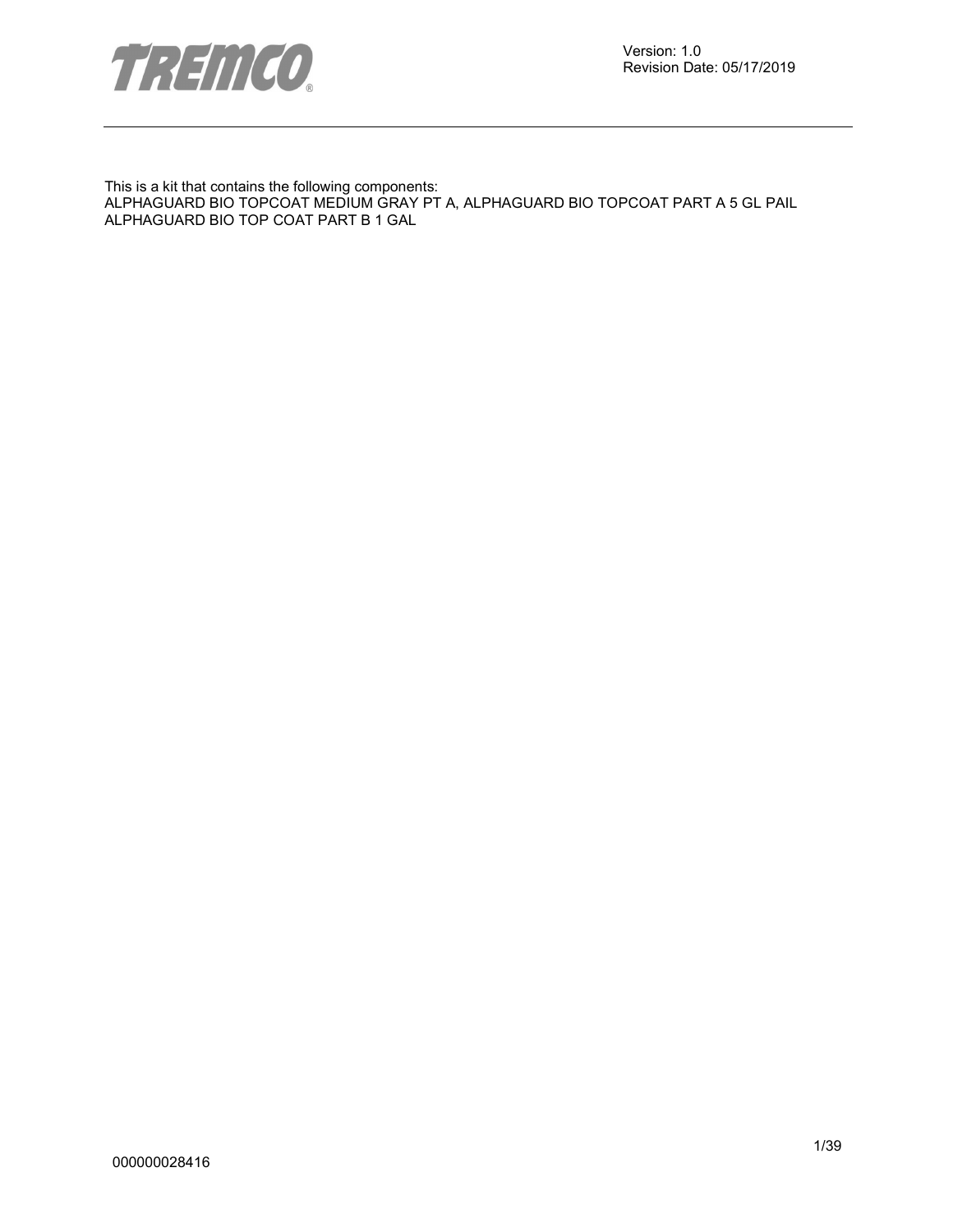

This is a kit that contains the following components: ALPHAGUARD BIO TOPCOAT MEDIUM GRAY PT A, ALPHAGUARD BIO TOPCOAT PART A 5 GL PAIL ALPHAGUARD BIO TOP COAT PART B 1 GAL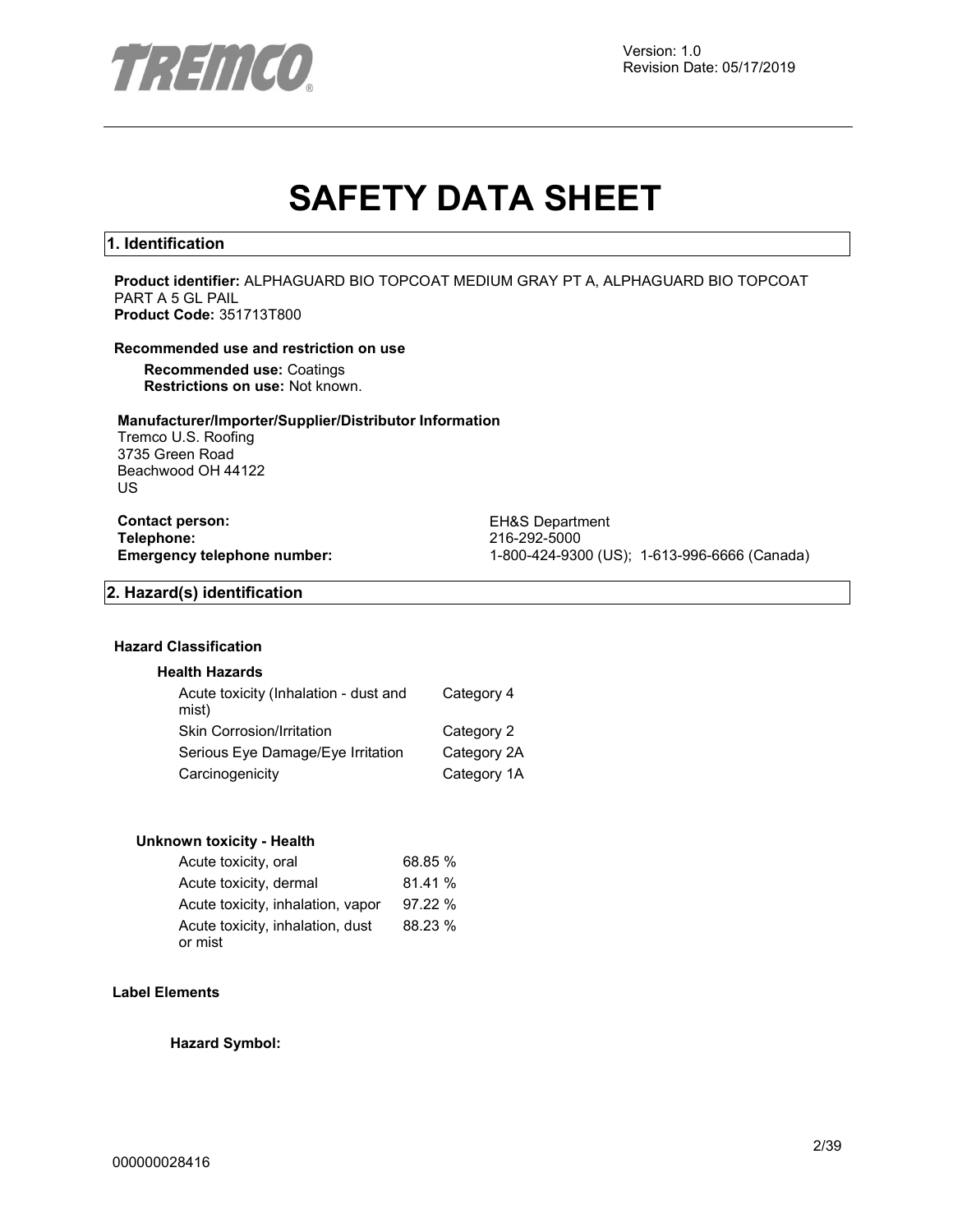

# **SAFETY DATA SHEET**

#### **1. Identification**

**Product identifier:** ALPHAGUARD BIO TOPCOAT MEDIUM GRAY PT A, ALPHAGUARD BIO TOPCOAT PART A 5 GL PAIL **Product Code:** 351713T800

#### **Recommended use and restriction on use**

**Recommended use:** Coatings **Restrictions on use:** Not known.

#### **Manufacturer/Importer/Supplier/Distributor Information**

Tremco U.S. Roofing 3735 Green Road Beachwood OH 44122 US

**Contact person:** EH&S Department<br>
Telephone: 216-292-5000 **Telephone:** 216-292-5000

**Emergency telephone number:** 1-800-424-9300 (US); 1-613-996-6666 (Canada)

#### **2. Hazard(s) identification**

#### **Hazard Classification**

#### **Health Hazards**

| Acute toxicity (Inhalation - dust and<br>mist) | Category 4  |
|------------------------------------------------|-------------|
| <b>Skin Corrosion/Irritation</b>               | Category 2  |
| Serious Eye Damage/Eye Irritation              | Category 2A |
| Carcinogenicity                                | Category 1A |

#### **Unknown toxicity - Health**

| Acute toxicity, oral              | 68.85 % |
|-----------------------------------|---------|
| Acute toxicity, dermal            | 81.41 % |
| Acute toxicity, inhalation, vapor | 97.22 % |
| Acute toxicity, inhalation, dust  | 88.23 % |
| or mist                           |         |

#### **Label Elements**

**Hazard Symbol:**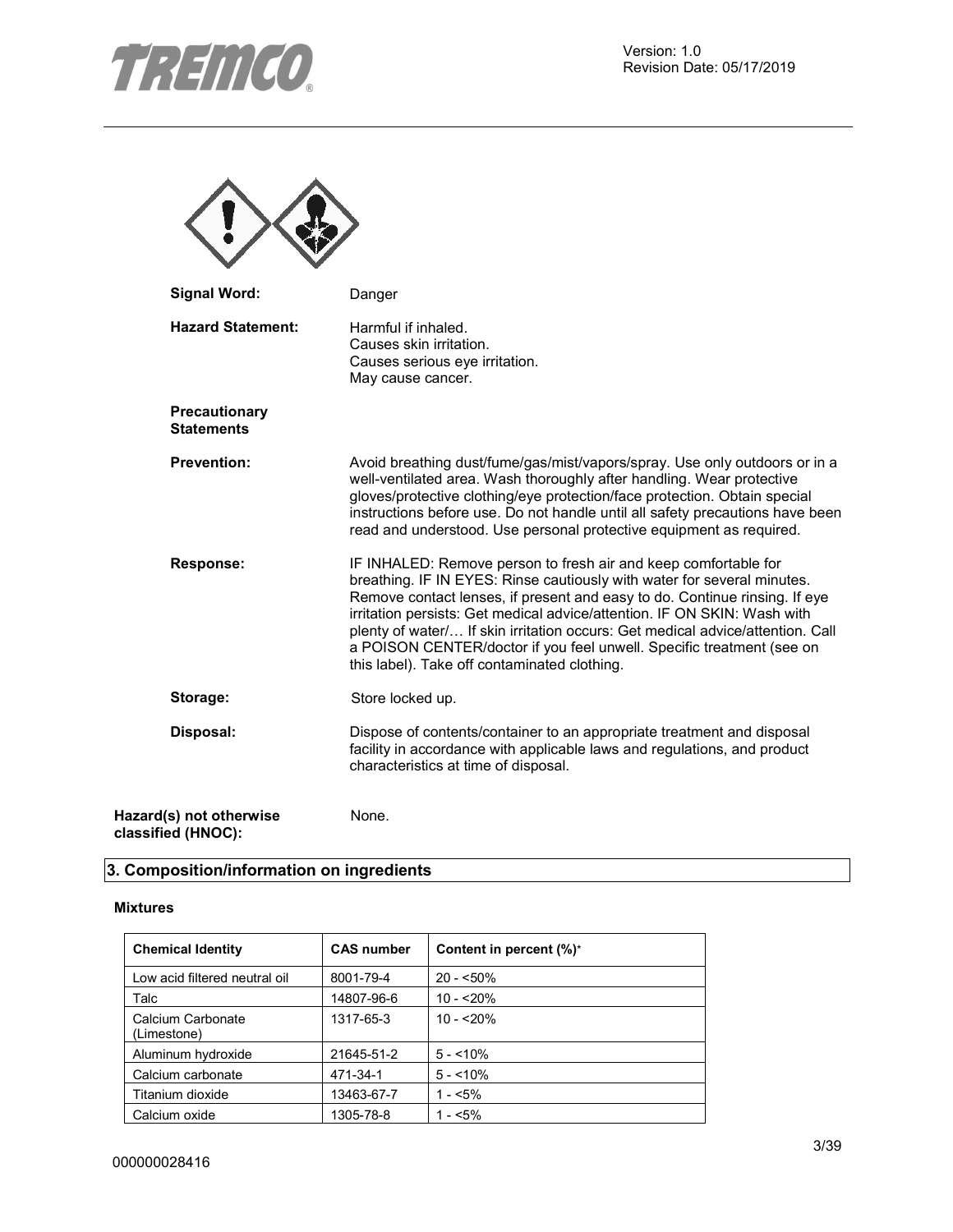

| <b>Signal Word:</b>                | Danger                                                                                                                                                                                                                                                                                                                                                                                                                                                                                                          |
|------------------------------------|-----------------------------------------------------------------------------------------------------------------------------------------------------------------------------------------------------------------------------------------------------------------------------------------------------------------------------------------------------------------------------------------------------------------------------------------------------------------------------------------------------------------|
| <b>Hazard Statement:</b>           | Harmful if inhaled.<br>Causes skin irritation.<br>Causes serious eye irritation.<br>May cause cancer.                                                                                                                                                                                                                                                                                                                                                                                                           |
| Precautionary<br><b>Statements</b> |                                                                                                                                                                                                                                                                                                                                                                                                                                                                                                                 |
| <b>Prevention:</b>                 | Avoid breathing dust/fume/gas/mist/vapors/spray. Use only outdoors or in a<br>well-ventilated area. Wash thoroughly after handling. Wear protective<br>gloves/protective clothing/eye protection/face protection. Obtain special<br>instructions before use. Do not handle until all safety precautions have been<br>read and understood. Use personal protective equipment as required.                                                                                                                        |
| <b>Response:</b>                   | IF INHALED: Remove person to fresh air and keep comfortable for<br>breathing. IF IN EYES: Rinse cautiously with water for several minutes.<br>Remove contact lenses, if present and easy to do. Continue rinsing. If eye<br>irritation persists: Get medical advice/attention. IF ON SKIN: Wash with<br>plenty of water/ If skin irritation occurs: Get medical advice/attention. Call<br>a POISON CENTER/doctor if you feel unwell. Specific treatment (see on<br>this label). Take off contaminated clothing. |
| Storage:                           | Store locked up.                                                                                                                                                                                                                                                                                                                                                                                                                                                                                                |
| Disposal:                          | Dispose of contents/container to an appropriate treatment and disposal<br>facility in accordance with applicable laws and regulations, and product<br>characteristics at time of disposal.                                                                                                                                                                                                                                                                                                                      |
| Hazard(s) not otherwise            | None.                                                                                                                                                                                                                                                                                                                                                                                                                                                                                                           |

# **3. Composition/information on ingredients**

#### **Mixtures**

**classified (HNOC):** 

| <b>Chemical Identity</b>         | <b>CAS number</b> | Content in percent $(\%)^*$ |
|----------------------------------|-------------------|-----------------------------|
| Low acid filtered neutral oil    | 8001-79-4         | $20 - 50\%$                 |
| Talc                             | 14807-96-6        | $10 - 20%$                  |
| Calcium Carbonate<br>(Limestone) | 1317-65-3         | $10 - 20%$                  |
| Aluminum hydroxide               | 21645-51-2        | $5 - 10\%$                  |
| Calcium carbonate                | 471-34-1          | $5 - 10\%$                  |
| Titanium dioxide                 | 13463-67-7        | $1 - 5\%$                   |
| Calcium oxide                    | 1305-78-8         | $1 - 5\%$                   |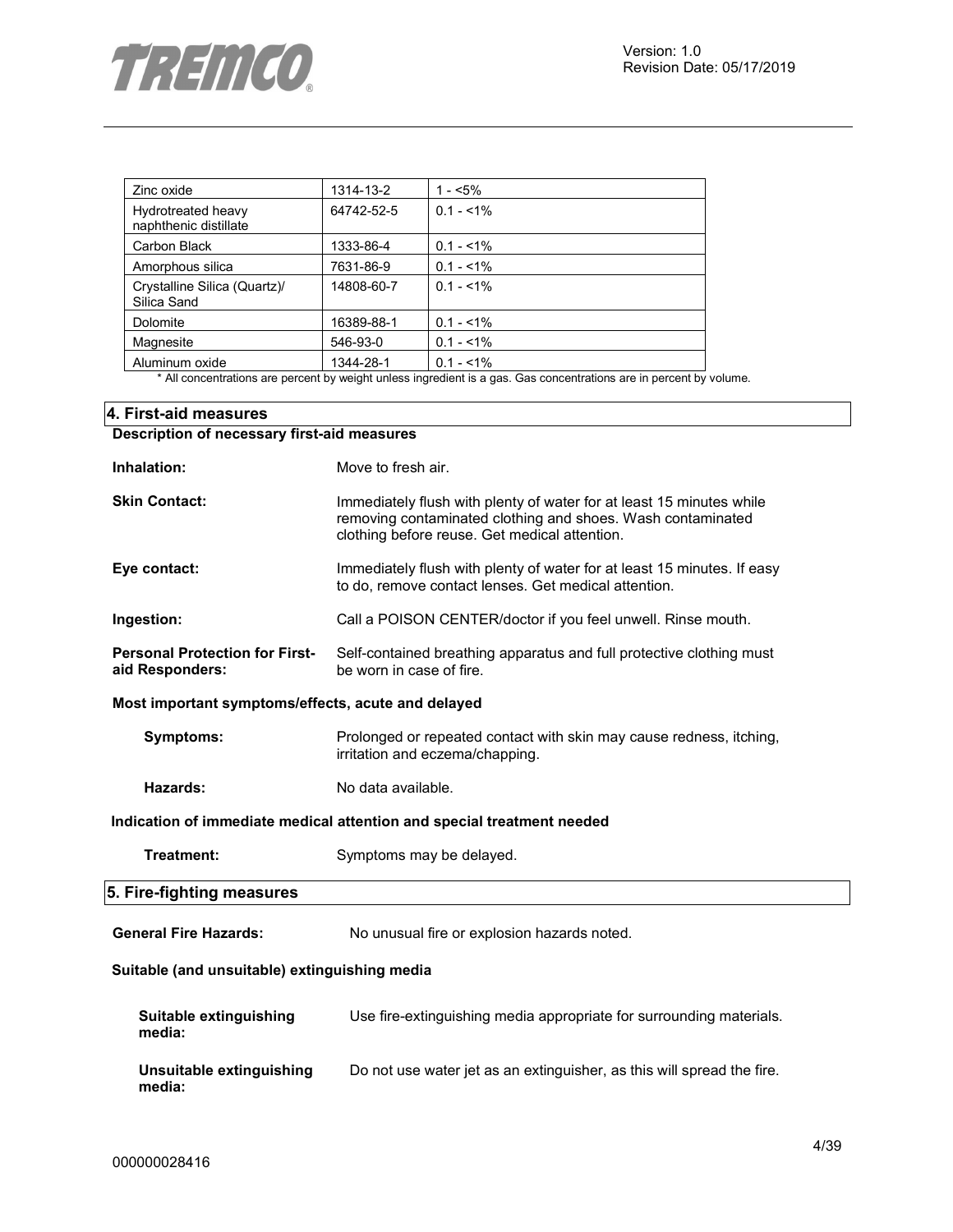| Zinc oxide                                  | 1314-13-2  | $1 - 5\%$   |
|---------------------------------------------|------------|-------------|
| Hydrotreated heavy<br>naphthenic distillate | 64742-52-5 | $0.1 - 1\%$ |
| Carbon Black                                | 1333-86-4  | $0.1 - 1\%$ |
| Amorphous silica                            | 7631-86-9  | $0.1 - 1\%$ |
| Crystalline Silica (Quartz)/<br>Silica Sand | 14808-60-7 | $0.1 - 1\%$ |
| Dolomite                                    | 16389-88-1 | $0.1 - 1\%$ |
| Magnesite                                   | 546-93-0   | $0.1 - 1\%$ |
| Aluminum oxide                              | 1344-28-1  | $0.1 - 1\%$ |

\* All concentrations are percent by weight unless ingredient is a gas. Gas concentrations are in percent by volume.

## **4. First-aid measures Description of necessary first-aid measures**

| Inhalation:                                              | Move to fresh air.                                                                                                                                                                   |
|----------------------------------------------------------|--------------------------------------------------------------------------------------------------------------------------------------------------------------------------------------|
| <b>Skin Contact:</b>                                     | Immediately flush with plenty of water for at least 15 minutes while<br>removing contaminated clothing and shoes. Wash contaminated<br>clothing before reuse. Get medical attention. |
| Eye contact:                                             | Immediately flush with plenty of water for at least 15 minutes. If easy<br>to do, remove contact lenses. Get medical attention.                                                      |
| Ingestion:                                               | Call a POISON CENTER/doctor if you feel unwell. Rinse mouth.                                                                                                                         |
| <b>Personal Protection for First-</b><br>aid Responders: | Self-contained breathing apparatus and full protective clothing must<br>be worn in case of fire.                                                                                     |
| Most important symptoms/effects, acute and delayed       |                                                                                                                                                                                      |
| <b>Symptoms:</b>                                         | Prolonged or repeated contact with skin may cause redness, itching,<br>irritation and eczema/chapping.                                                                               |
| Hazards:                                                 | No data available.                                                                                                                                                                   |
|                                                          | Indication of immediate medical attention and special treatment needed                                                                                                               |
| Treatment:                                               | Symptoms may be delayed.                                                                                                                                                             |
| 5. Fire-fighting measures                                |                                                                                                                                                                                      |
| <b>General Fire Hazards:</b>                             | No unusual fire or explosion hazards noted.                                                                                                                                          |
| Suitable (and unsuitable) extinguishing media            |                                                                                                                                                                                      |
| Suitable extinguishing<br>media:                         | Use fire-extinguishing media appropriate for surrounding materials.                                                                                                                  |
| Unsuitable extinguishing<br>media:                       | Do not use water jet as an extinguisher, as this will spread the fire.                                                                                                               |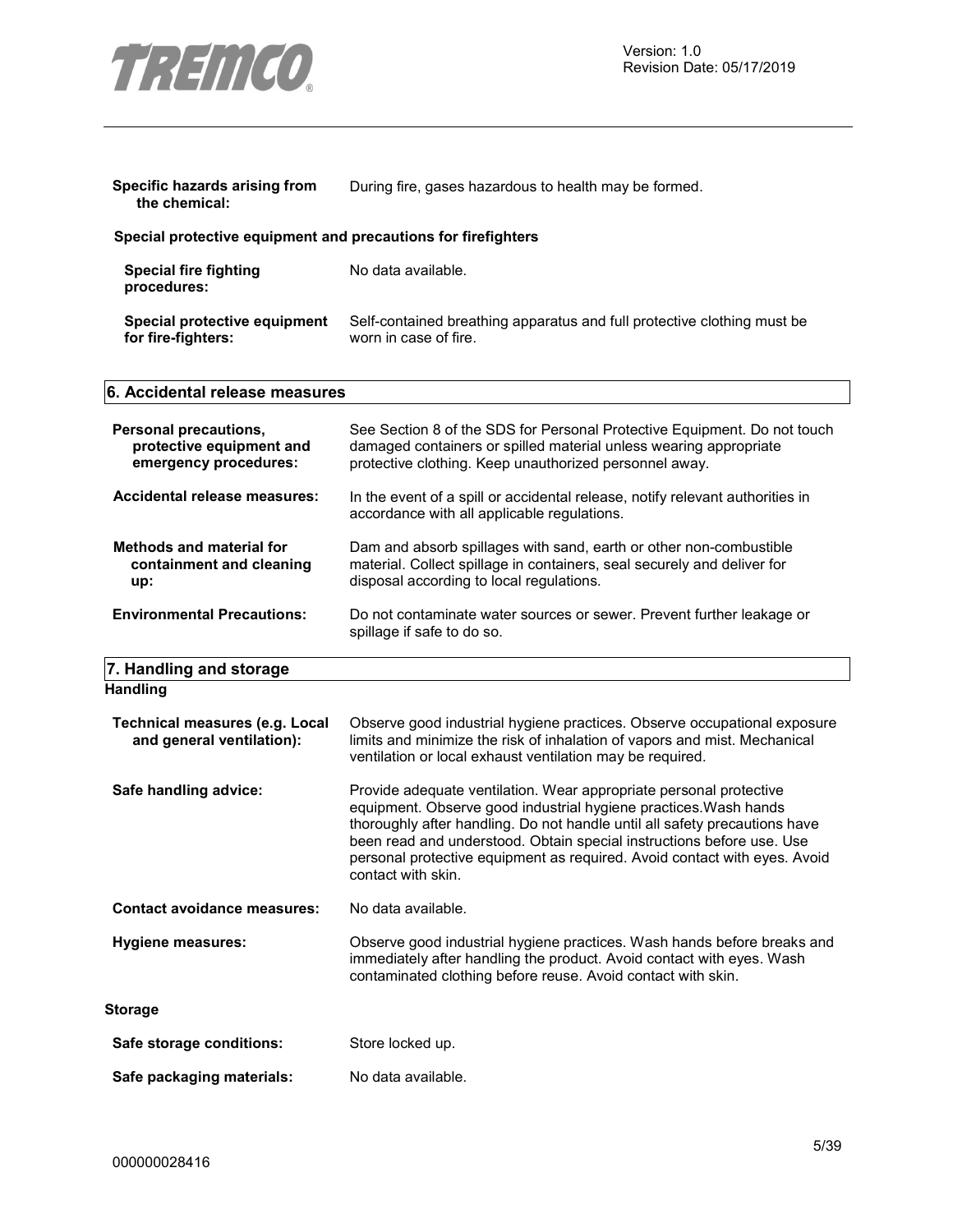

| Specific hazards arising from<br>the chemical:                             | During fire, gases hazardous to health may be formed.                                                                                                                                                                                                                                                                                                                                            |  |  |
|----------------------------------------------------------------------------|--------------------------------------------------------------------------------------------------------------------------------------------------------------------------------------------------------------------------------------------------------------------------------------------------------------------------------------------------------------------------------------------------|--|--|
| Special protective equipment and precautions for firefighters              |                                                                                                                                                                                                                                                                                                                                                                                                  |  |  |
| <b>Special fire fighting</b><br>procedures:                                | No data available.                                                                                                                                                                                                                                                                                                                                                                               |  |  |
| Special protective equipment<br>for fire-fighters:                         | Self-contained breathing apparatus and full protective clothing must be<br>worn in case of fire.                                                                                                                                                                                                                                                                                                 |  |  |
| 6. Accidental release measures                                             |                                                                                                                                                                                                                                                                                                                                                                                                  |  |  |
| Personal precautions,<br>protective equipment and<br>emergency procedures: | See Section 8 of the SDS for Personal Protective Equipment. Do not touch<br>damaged containers or spilled material unless wearing appropriate<br>protective clothing. Keep unauthorized personnel away.                                                                                                                                                                                          |  |  |
| Accidental release measures:                                               | In the event of a spill or accidental release, notify relevant authorities in<br>accordance with all applicable regulations.                                                                                                                                                                                                                                                                     |  |  |
| <b>Methods and material for</b><br>containment and cleaning<br>up:         | Dam and absorb spillages with sand, earth or other non-combustible<br>material. Collect spillage in containers, seal securely and deliver for<br>disposal according to local regulations.                                                                                                                                                                                                        |  |  |
| <b>Environmental Precautions:</b>                                          | Do not contaminate water sources or sewer. Prevent further leakage or<br>spillage if safe to do so.                                                                                                                                                                                                                                                                                              |  |  |
| 7. Handling and storage                                                    |                                                                                                                                                                                                                                                                                                                                                                                                  |  |  |
| <b>Handling</b>                                                            |                                                                                                                                                                                                                                                                                                                                                                                                  |  |  |
| Technical measures (e.g. Local<br>and general ventilation):                | Observe good industrial hygiene practices. Observe occupational exposure<br>limits and minimize the risk of inhalation of vapors and mist. Mechanical<br>ventilation or local exhaust ventilation may be required.                                                                                                                                                                               |  |  |
| Safe handling advice:                                                      | Provide adequate ventilation. Wear appropriate personal protective<br>equipment. Observe good industrial hygiene practices. Wash hands<br>thoroughly after handling. Do not handle until all safety precautions have<br>been read and understood. Obtain special instructions before use. Use<br>personal protective equipment as required. Avoid contact with eyes. Avoid<br>contact with skin. |  |  |
| <b>Contact avoidance measures:</b>                                         | No data available.                                                                                                                                                                                                                                                                                                                                                                               |  |  |
| <b>Hygiene measures:</b>                                                   | Observe good industrial hygiene practices. Wash hands before breaks and<br>immediately after handling the product. Avoid contact with eyes. Wash<br>contaminated clothing before reuse. Avoid contact with skin.                                                                                                                                                                                 |  |  |
| <b>Storage</b>                                                             |                                                                                                                                                                                                                                                                                                                                                                                                  |  |  |
| Safe storage conditions:                                                   | Store locked up.                                                                                                                                                                                                                                                                                                                                                                                 |  |  |
| Safe packaging materials:                                                  | No data available.                                                                                                                                                                                                                                                                                                                                                                               |  |  |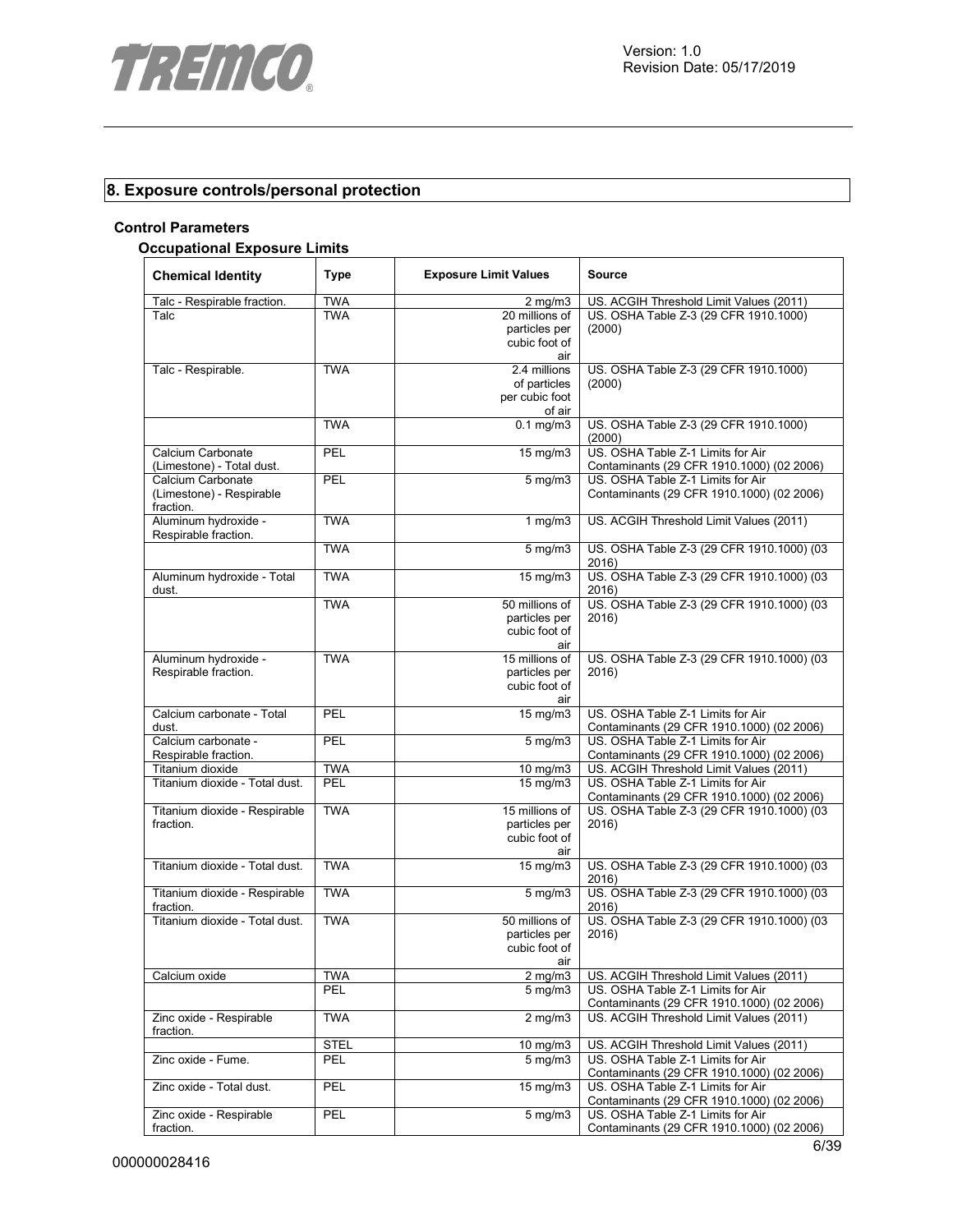

# **8. Exposure controls/personal protection**

#### **Control Parameters**

#### **Occupational Exposure Limits**

| <b>Chemical Identity</b>                                   | <b>Type</b> | <b>Exposure Limit Values</b>                             | Source                                                                         |
|------------------------------------------------------------|-------------|----------------------------------------------------------|--------------------------------------------------------------------------------|
| Talc - Respirable fraction.                                | <b>TWA</b>  | $2$ mg/m $3$                                             | US. ACGIH Threshold Limit Values (2011)                                        |
| Talc                                                       | <b>TWA</b>  | 20 millions of<br>particles per<br>cubic foot of<br>air  | US. OSHA Table Z-3 (29 CFR 1910.1000)<br>(2000)                                |
| Talc - Respirable.                                         | <b>TWA</b>  | 2.4 millions<br>of particles<br>per cubic foot<br>of air | US. OSHA Table Z-3 (29 CFR 1910.1000)<br>(2000)                                |
|                                                            | <b>TWA</b>  | $0.1 \text{ mg/m}$                                       | US. OSHA Table Z-3 (29 CFR 1910.1000)<br>(2000)                                |
| Calcium Carbonate<br>(Limestone) - Total dust.             | <b>PEL</b>  | 15 mg/m3                                                 | US. OSHA Table Z-1 Limits for Air<br>Contaminants (29 CFR 1910.1000) (02 2006) |
| Calcium Carbonate<br>(Limestone) - Respirable<br>fraction. | PEL         | $5 \overline{\mathrm{mg}}$ m3                            | US. OSHA Table Z-1 Limits for Air<br>Contaminants (29 CFR 1910.1000) (02 2006) |
| Aluminum hydroxide -<br>Respirable fraction.               | <b>TWA</b>  | 1 $mg/m3$                                                | US. ACGIH Threshold Limit Values (2011)                                        |
|                                                            | <b>TWA</b>  | $5$ mg/m $3$                                             | US. OSHA Table Z-3 (29 CFR 1910.1000) (03<br>2016)                             |
| Aluminum hydroxide - Total<br>dust.                        | <b>TWA</b>  | 15 mg/m3                                                 | US. OSHA Table Z-3 (29 CFR 1910.1000) (03<br>2016)                             |
|                                                            | <b>TWA</b>  | 50 millions of<br>particles per<br>cubic foot of<br>air  | US. OSHA Table Z-3 (29 CFR 1910.1000) (03<br>2016)                             |
| Aluminum hydroxide -<br>Respirable fraction.               | <b>TWA</b>  | 15 millions of<br>particles per<br>cubic foot of<br>air  | US. OSHA Table Z-3 (29 CFR 1910.1000) (03<br>2016)                             |
| Calcium carbonate - Total<br>dust.                         | <b>PEL</b>  | 15 mg/m3                                                 | US. OSHA Table Z-1 Limits for Air<br>Contaminants (29 CFR 1910.1000) (02 2006) |
| Calcium carbonate -<br>Respirable fraction.                | <b>PEL</b>  | $5 \,\mathrm{mg/m}$                                      | US. OSHA Table Z-1 Limits for Air<br>Contaminants (29 CFR 1910.1000) (02 2006) |
| Titanium dioxide                                           | <b>TWA</b>  | $10 \text{ mg/m}$                                        | US. ACGIH Threshold Limit Values (2011)                                        |
| Titanium dioxide - Total dust.                             | <b>PEL</b>  | 15 mg/m3                                                 | US. OSHA Table Z-1 Limits for Air<br>Contaminants (29 CFR 1910.1000) (02 2006) |
| Titanium dioxide - Respirable<br>fraction.                 | <b>TWA</b>  | 15 millions of<br>particles per<br>cubic foot of<br>air  | US. OSHA Table Z-3 (29 CFR 1910.1000) (03<br>2016)                             |
| Titanium dioxide - Total dust.                             | <b>TWA</b>  | $15 \text{ mg/m}$                                        | US. OSHA Table Z-3 (29 CFR 1910.1000) (03<br>2016)                             |
| Titanium dioxide - Respirable<br>fraction.                 | <b>TWA</b>  | $5 \,\mathrm{mg/m}$                                      | US. OSHA Table Z-3 (29 CFR 1910.1000) (03<br>2016)                             |
| Titanium dioxide - Total dust.                             | <b>TWA</b>  | 50 millions of<br>particles per<br>cubic foot of<br>air  | US. OSHA Table Z-3 (29 CFR 1910.1000) (03<br>2016                              |
| Calcium oxide                                              | TWA         | $2$ mg/m $3$                                             | US. ACGIH Threshold Limit Values (2011)                                        |
|                                                            | PEL         | $5 \text{ mg/m}$                                         | US. OSHA Table Z-1 Limits for Air<br>Contaminants (29 CFR 1910.1000) (02 2006) |
| Zinc oxide - Respirable<br>fraction.                       | <b>TWA</b>  | $2$ mg/m $3$                                             | US. ACGIH Threshold Limit Values (2011)                                        |
|                                                            | <b>STEL</b> | 10 mg/m3                                                 | US. ACGIH Threshold Limit Values (2011)                                        |
| Zinc oxide - Fume.                                         | PEL         | $5 \overline{\mathrm{mg}}$ m3                            | US. OSHA Table Z-1 Limits for Air<br>Contaminants (29 CFR 1910.1000) (02 2006) |
| Zinc oxide - Total dust.                                   | PEL         | 15 mg/m3                                                 | US. OSHA Table Z-1 Limits for Air<br>Contaminants (29 CFR 1910.1000) (02 2006) |
| Zinc oxide - Respirable<br>fraction.                       | PEL         | $5 \text{ mg/m}$                                         | US. OSHA Table Z-1 Limits for Air<br>Contaminants (29 CFR 1910.1000) (02 2006) |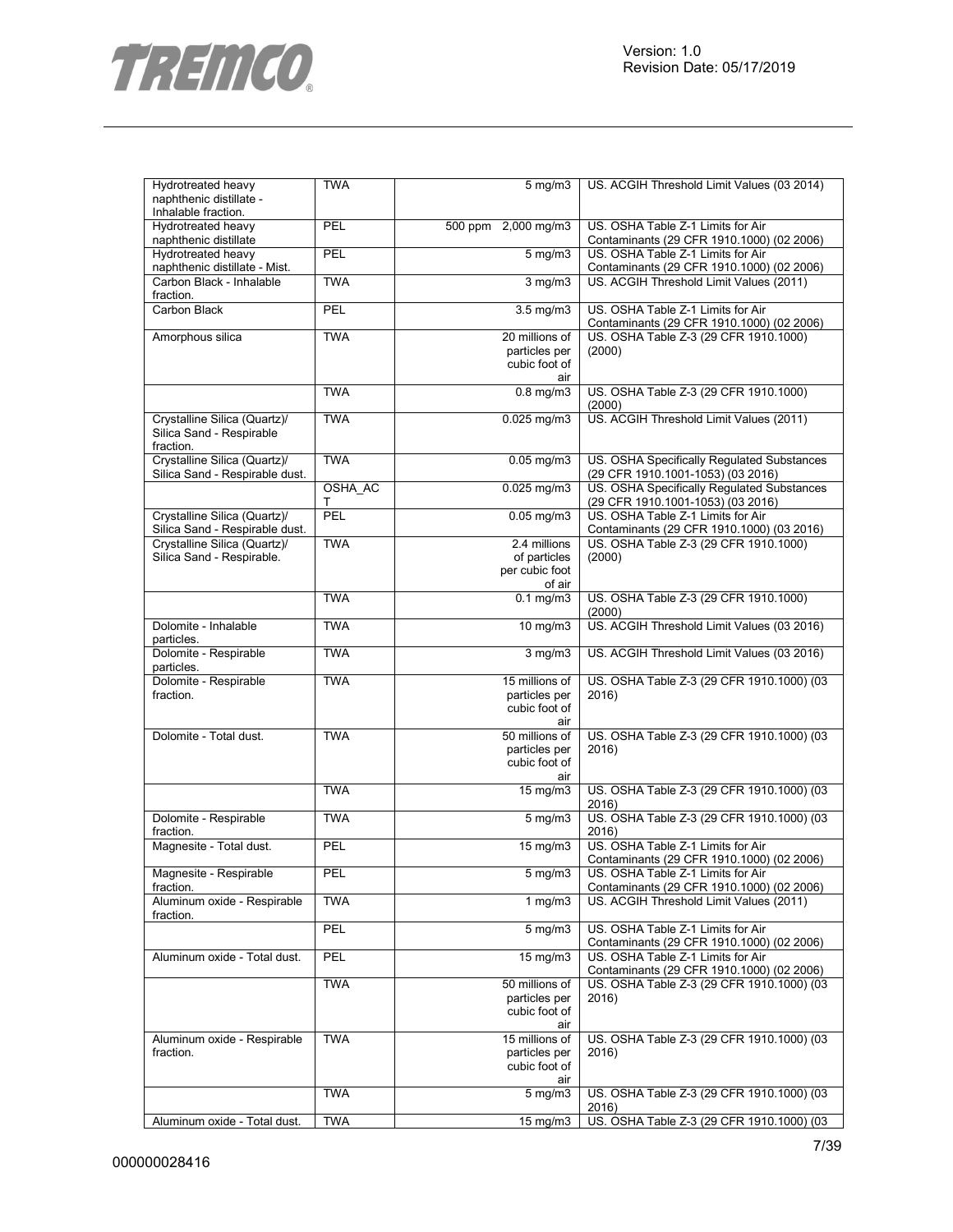

| Hydrotreated heavy                        | <b>TWA</b> | 5 mg/m3                         | US. ACGIH Threshold Limit Values (03 2014)                                             |
|-------------------------------------------|------------|---------------------------------|----------------------------------------------------------------------------------------|
| naphthenic distillate -                   |            |                                 |                                                                                        |
| Inhalable fraction.<br>Hydrotreated heavy | PEL        | 500 ppm 2,000 mg/m3             | US. OSHA Table Z-1 Limits for Air                                                      |
| naphthenic distillate                     |            |                                 | Contaminants (29 CFR 1910.1000) (02 2006)                                              |
| Hydrotreated heavy                        | PEL        | $5$ mg/m $3$                    | US. OSHA Table Z-1 Limits for Air                                                      |
| naphthenic distillate - Mist.             |            |                                 | Contaminants (29 CFR 1910.1000) (02 2006)                                              |
| Carbon Black - Inhalable                  | <b>TWA</b> | $3$ mg/m $3$                    | US. ACGIH Threshold Limit Values (2011)                                                |
| fraction.                                 |            |                                 |                                                                                        |
| Carbon Black                              | PEL        | $3.5$ mg/m $3$                  | US. OSHA Table Z-1 Limits for Air<br>Contaminants (29 CFR 1910.1000) (02 2006)         |
| Amorphous silica                          | <b>TWA</b> | 20 millions of                  | US. OSHA Table Z-3 (29 CFR 1910.1000)                                                  |
|                                           |            | particles per                   | (2000)                                                                                 |
|                                           |            | cubic foot of                   |                                                                                        |
|                                           | <b>TWA</b> | air<br>$0.8$ mg/m3              | US. OSHA Table Z-3 (29 CFR 1910.1000)                                                  |
|                                           |            |                                 | (2000)                                                                                 |
| Crystalline Silica (Quartz)/              | <b>TWA</b> | $0.025$ mg/m $3$                | US. ACGIH Threshold Limit Values (2011)                                                |
| Silica Sand - Respirable                  |            |                                 |                                                                                        |
| fraction.<br>Crystalline Silica (Quartz)/ | <b>TWA</b> | $0.05$ mg/m $3$                 | US. OSHA Specifically Regulated Substances                                             |
| Silica Sand - Respirable dust.            |            |                                 | (29 CFR 1910.1001-1053) (03 2016)                                                      |
|                                           | OSHA_AC    | 0.025 mg/m3                     | US. OSHA Specifically Regulated Substances                                             |
|                                           | т          |                                 | (29 CFR 1910.1001-1053) (03 2016)                                                      |
| Crystalline Silica (Quartz)/              | PEL        | $0.05$ mg/m $3$                 | US. OSHA Table Z-1 Limits for Air                                                      |
| Silica Sand - Respirable dust.            |            |                                 | Contaminants (29 CFR 1910.1000) (03 2016)                                              |
| Crystalline Silica (Quartz)/              | <b>TWA</b> | 2.4 millions                    | US. OSHA Table Z-3 (29 CFR 1910.1000)                                                  |
| Silica Sand - Respirable.                 |            | of particles<br>per cubic foot  | (2000)                                                                                 |
|                                           |            | of air                          |                                                                                        |
|                                           | <b>TWA</b> | $0.1$ mg/m $3$                  | US. OSHA Table Z-3 (29 CFR 1910.1000)                                                  |
|                                           |            |                                 | (2000)                                                                                 |
| Dolomite - Inhalable<br>particles.        | <b>TWA</b> | $10 \text{ mg/m}$               | US. ACGIH Threshold Limit Values (03 2016)                                             |
| Dolomite - Respirable                     | <b>TWA</b> | $3$ mg/m $3$                    | US. ACGIH Threshold Limit Values (03 2016)                                             |
| particles.                                |            |                                 |                                                                                        |
| Dolomite - Respirable                     | <b>TWA</b> | 15 millions of                  | US. OSHA Table Z-3 (29 CFR 1910.1000) (03                                              |
| fraction.                                 |            | particles per                   | 2016)                                                                                  |
|                                           |            | cubic foot of                   |                                                                                        |
|                                           |            | air                             |                                                                                        |
| Dolomite - Total dust.                    | <b>TWA</b> | 50 millions of<br>particles per | US. OSHA Table Z-3 (29 CFR 1910.1000) (03<br>2016)                                     |
|                                           |            | cubic foot of                   |                                                                                        |
|                                           |            | air                             |                                                                                        |
|                                           | <b>TWA</b> | $15 \text{ mg/m}$               | US. OSHA Table Z-3 (29 CFR 1910.1000) (03                                              |
|                                           |            |                                 | 2016)                                                                                  |
| Dolomite - Respirable                     | <b>TWA</b> | $5$ mg/m $3$                    | US. OSHA Table Z-3 (29 CFR 1910.1000) (03                                              |
| fraction.                                 |            |                                 | 2016)                                                                                  |
| Magnesite - Total dust.                   | PEL        | 15 mg/m3                        | US. OSHA Table Z-1 Limits for Air<br>Contaminants (29 CFR 1910.1000) (02 2006)         |
| Magnesite - Respirable                    | PEL        | $5 \text{ mg/m}$                | U.S. OSHA Table 7-1 Limits for Air                                                     |
| fraction.                                 |            |                                 | Contaminants (29 CFR 1910.1000) (02 2006)                                              |
| Aluminum oxide - Respirable               | <b>TWA</b> | 1 $mg/m3$                       | US. ACGIH Threshold Limit Values (2011)                                                |
| fraction.                                 |            |                                 |                                                                                        |
|                                           | PEL        | $5$ mg/m $3$                    | US. OSHA Table Z-1 Limits for Air                                                      |
|                                           |            |                                 | Contaminants (29 CFR 1910.1000) (02 2006)                                              |
| Aluminum oxide - Total dust.              | PEL        | 15 mg/m3                        | US. OSHA Table Z-1 Limits for Air                                                      |
|                                           | <b>TWA</b> | 50 millions of                  | Contaminants (29 CFR 1910.1000) (02 2006)<br>US. OSHA Table Z-3 (29 CFR 1910.1000) (03 |
|                                           |            | particles per                   | 2016)                                                                                  |
|                                           |            | cubic foot of                   |                                                                                        |
|                                           |            | air                             |                                                                                        |
| Aluminum oxide - Respirable               | <b>TWA</b> | 15 millions of                  | US. OSHA Table Z-3 (29 CFR 1910.1000) (03                                              |
| fraction.                                 |            | particles per                   | 2016)                                                                                  |
|                                           |            | cubic foot of                   |                                                                                        |
|                                           |            | air                             |                                                                                        |
|                                           | <b>TWA</b> | $5 \overline{\mathrm{mg}}$ m3   | US. OSHA Table Z-3 (29 CFR 1910.1000) (03<br>2016)                                     |
| Aluminum oxide - Total dust.              | <b>TWA</b> | 15 mg/m3                        | US. OSHA Table Z-3 (29 CFR 1910.1000) (03                                              |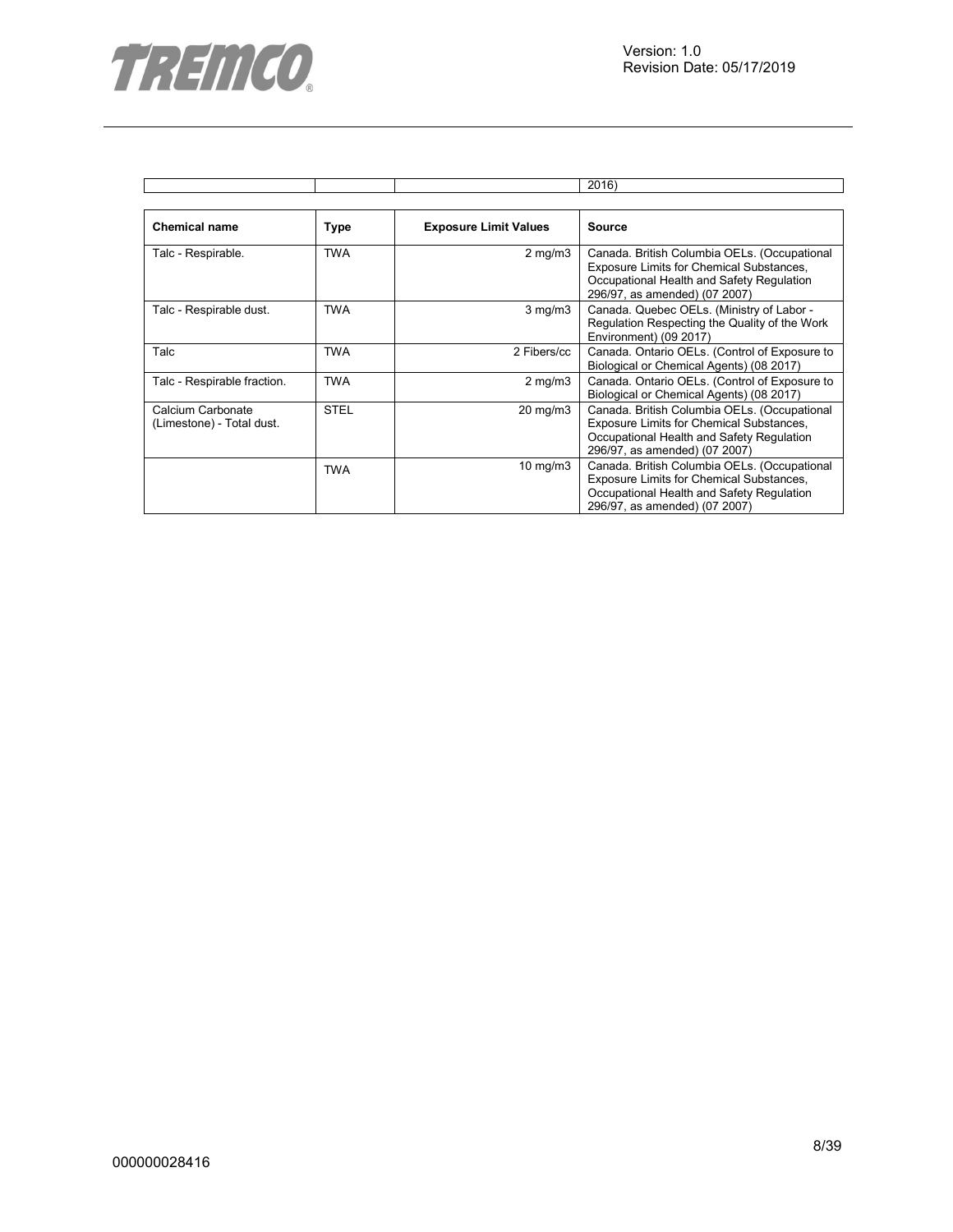

|                                                |             |                              | 2016)                                                                                                                                                                  |
|------------------------------------------------|-------------|------------------------------|------------------------------------------------------------------------------------------------------------------------------------------------------------------------|
|                                                |             |                              |                                                                                                                                                                        |
| <b>Chemical name</b>                           | <b>Type</b> | <b>Exposure Limit Values</b> | <b>Source</b>                                                                                                                                                          |
| Talc - Respirable.                             | <b>TWA</b>  | $2$ mg/m $3$                 | Canada. British Columbia OELs. (Occupational<br>Exposure Limits for Chemical Substances,<br>Occupational Health and Safety Regulation<br>296/97, as amended) (07 2007) |
| Talc - Respirable dust.                        | <b>TWA</b>  | $3$ mg/m $3$                 | Canada. Quebec OELs. (Ministry of Labor -<br>Regulation Respecting the Quality of the Work<br>Environment) (09 2017)                                                   |
| Talc                                           | TWA         | 2 Fibers/cc                  | Canada. Ontario OELs. (Control of Exposure to<br>Biological or Chemical Agents) (08 2017)                                                                              |
| Talc - Respirable fraction.                    | <b>TWA</b>  | $2$ mg/m $3$                 | Canada. Ontario OELs. (Control of Exposure to<br>Biological or Chemical Agents) (08 2017)                                                                              |
| Calcium Carbonate<br>(Limestone) - Total dust. | <b>STEL</b> | 20 mg/m3                     | Canada. British Columbia OELs. (Occupational<br>Exposure Limits for Chemical Substances,<br>Occupational Health and Safety Regulation<br>296/97, as amended) (07 2007) |
|                                                | <b>TWA</b>  | 10 mg/m $3$                  | Canada. British Columbia OELs. (Occupational<br>Exposure Limits for Chemical Substances,<br>Occupational Health and Safety Regulation<br>296/97, as amended) (07 2007) |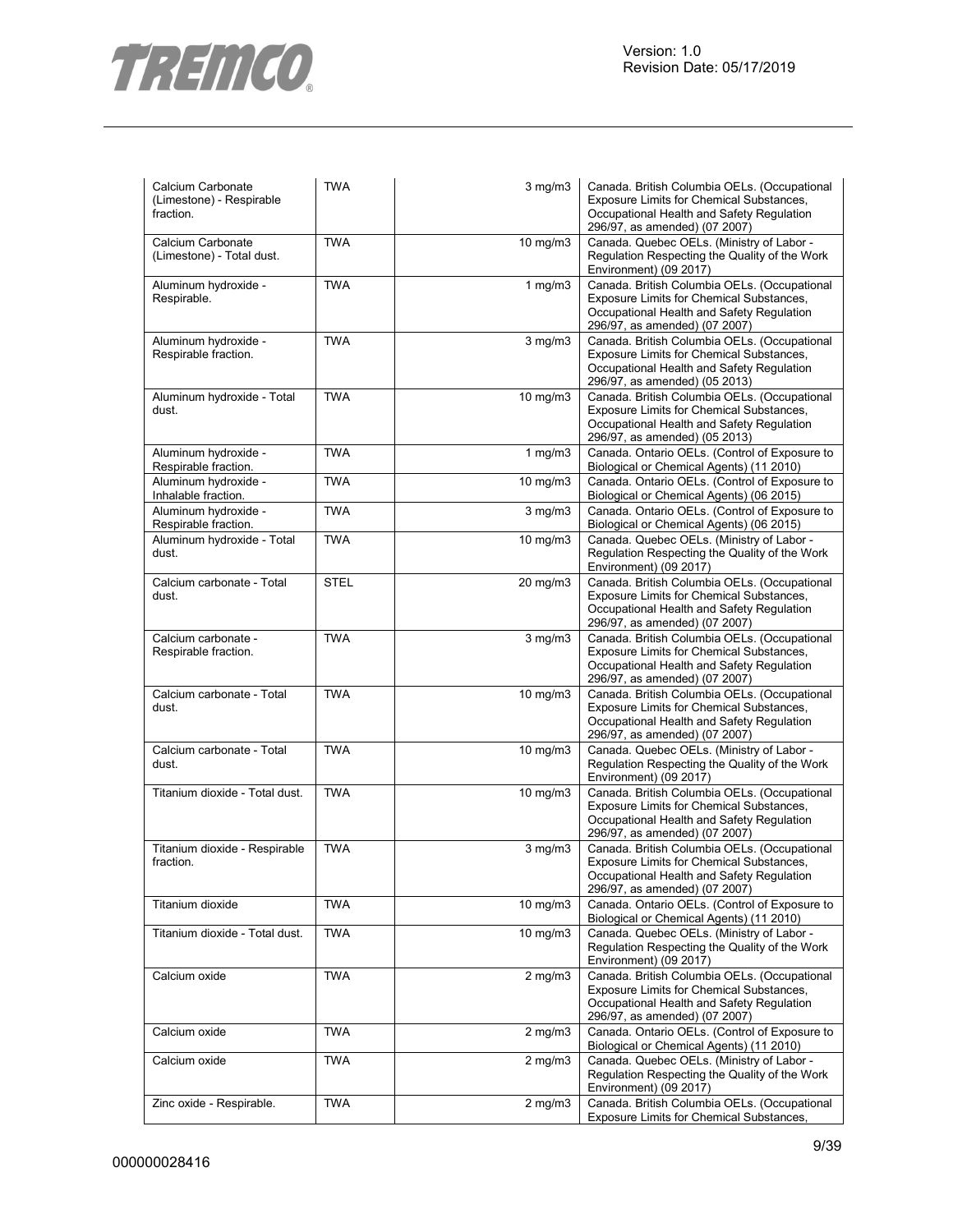

| Calcium Carbonate<br>(Limestone) - Respirable<br>fraction. | <b>TWA</b>  | $3$ mg/m $3$      | Canada. British Columbia OELs. (Occupational<br>Exposure Limits for Chemical Substances,<br>Occupational Health and Safety Regulation<br>296/97, as amended) (07 2007) |
|------------------------------------------------------------|-------------|-------------------|------------------------------------------------------------------------------------------------------------------------------------------------------------------------|
| Calcium Carbonate<br>(Limestone) - Total dust.             | <b>TWA</b>  | 10 mg/m3          | Canada. Quebec OELs. (Ministry of Labor -<br>Regulation Respecting the Quality of the Work<br>Environment) (09 2017)                                                   |
| Aluminum hydroxide -<br>Respirable.                        | <b>TWA</b>  | 1 $mg/m3$         | Canada. British Columbia OELs. (Occupational<br>Exposure Limits for Chemical Substances,<br>Occupational Health and Safety Regulation<br>296/97, as amended) (07 2007) |
| Aluminum hydroxide -<br>Respirable fraction.               | <b>TWA</b>  | $3$ mg/m $3$      | Canada. British Columbia OELs. (Occupational<br>Exposure Limits for Chemical Substances,<br>Occupational Health and Safety Regulation<br>296/97, as amended) (05 2013) |
| Aluminum hydroxide - Total<br>dust.                        | <b>TWA</b>  | 10 mg/m3          | Canada. British Columbia OELs. (Occupational<br>Exposure Limits for Chemical Substances,<br>Occupational Health and Safety Regulation<br>296/97, as amended) (05 2013) |
| Aluminum hydroxide -<br>Respirable fraction.               | <b>TWA</b>  | 1 $mg/m3$         | Canada. Ontario OELs. (Control of Exposure to<br>Biological or Chemical Agents) (11 2010)                                                                              |
| Aluminum hydroxide -<br>Inhalable fraction.                | <b>TWA</b>  | 10 mg/m3          | Canada. Ontario OELs. (Control of Exposure to<br>Biological or Chemical Agents) (06 2015)                                                                              |
| Aluminum hydroxide -<br>Respirable fraction.               | <b>TWA</b>  | $3$ mg/m $3$      | Canada. Ontario OELs. (Control of Exposure to<br>Biological or Chemical Agents) (06 2015)                                                                              |
| Aluminum hydroxide - Total<br>dust.                        | <b>TWA</b>  | 10 mg/m3          | Canada. Quebec OELs. (Ministry of Labor -<br>Regulation Respecting the Quality of the Work<br>Environment) (09 2017)                                                   |
| Calcium carbonate - Total<br>dust.                         | <b>STEL</b> | 20 mg/m3          | Canada. British Columbia OELs. (Occupational<br>Exposure Limits for Chemical Substances,<br>Occupational Health and Safety Regulation<br>296/97, as amended) (07 2007) |
| Calcium carbonate -<br>Respirable fraction.                | <b>TWA</b>  | $3$ mg/m $3$      | Canada. British Columbia OELs. (Occupational<br>Exposure Limits for Chemical Substances,<br>Occupational Health and Safety Regulation<br>296/97, as amended) (07 2007) |
| Calcium carbonate - Total<br>dust.                         | <b>TWA</b>  | $10$ mg/m $3$     | Canada. British Columbia OELs. (Occupational<br>Exposure Limits for Chemical Substances,<br>Occupational Health and Safety Regulation<br>296/97, as amended) (07 2007) |
| Calcium carbonate - Total<br>dust.                         | <b>TWA</b>  | 10 mg/m3          | Canada. Quebec OELs. (Ministry of Labor -<br>Regulation Respecting the Quality of the Work<br>Environment) (09 2017)                                                   |
| Titanium dioxide - Total dust.                             | <b>TWA</b>  | 10 mg/m3          | Canada. British Columbia OELs. (Occupational<br>Exposure Limits for Chemical Substances,<br>Occupational Health and Safety Regulation<br>296/97, as amended) (07 2007) |
| Titanium dioxide - Respirable<br>fraction.                 | <b>TWA</b>  | $3$ mg/m $3$      | Canada. British Columbia OELs. (Occupational<br>Exposure Limits for Chemical Substances,<br>Occupational Health and Safety Regulation<br>296/97, as amended) (07 2007) |
| Titanium dioxide                                           | <b>TWA</b>  | $10 \text{ mg/m}$ | Canada. Ontario OELs. (Control of Exposure to<br>Biological or Chemical Agents) (11 2010)                                                                              |
| Titanium dioxide - Total dust.                             | <b>TWA</b>  | $10 \text{ mg/m}$ | Canada. Quebec OELs. (Ministry of Labor -<br>Regulation Respecting the Quality of the Work<br>Environment) (09 2017)                                                   |
| Calcium oxide                                              | <b>TWA</b>  | $2$ mg/m $3$      | Canada. British Columbia OELs. (Occupational<br>Exposure Limits for Chemical Substances,<br>Occupational Health and Safety Regulation<br>296/97, as amended) (07 2007) |
| Calcium oxide                                              | <b>TWA</b>  | $2$ mg/m $3$      | Canada. Ontario OELs. (Control of Exposure to<br>Biological or Chemical Agents) (11 2010)                                                                              |
| Calcium oxide                                              | <b>TWA</b>  | $2$ mg/m $3$      | Canada. Quebec OELs. (Ministry of Labor -<br>Regulation Respecting the Quality of the Work<br>Environment) (09 2017)                                                   |
| Zinc oxide - Respirable.                                   | <b>TWA</b>  | $2$ mg/m $3$      | Canada. British Columbia OELs. (Occupational<br>Exposure Limits for Chemical Substances,                                                                               |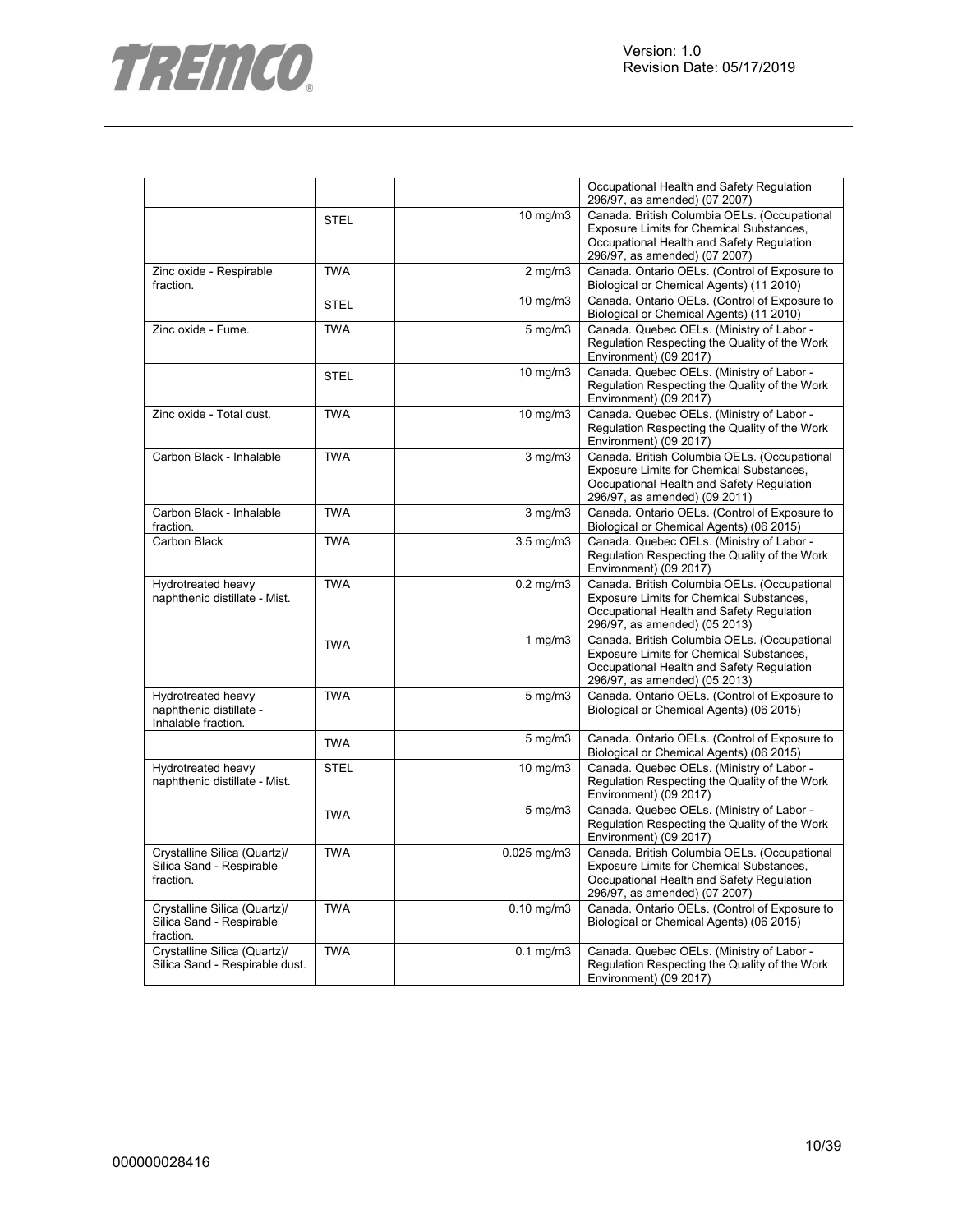

|                                                                       |             |                    | Occupational Health and Safety Regulation<br>296/97, as amended) (07 2007)                                                                                             |
|-----------------------------------------------------------------------|-------------|--------------------|------------------------------------------------------------------------------------------------------------------------------------------------------------------------|
|                                                                       | <b>STEL</b> | 10 mg/m3           | Canada. British Columbia OELs. (Occupational<br>Exposure Limits for Chemical Substances,<br>Occupational Health and Safety Regulation<br>296/97, as amended) (07 2007) |
| Zinc oxide - Respirable<br>fraction.                                  | <b>TWA</b>  | $2$ mg/m $3$       | Canada. Ontario OELs. (Control of Exposure to<br>Biological or Chemical Agents) (11 2010)                                                                              |
|                                                                       | <b>STEL</b> | $10$ mg/m $3$      | Canada. Ontario OELs. (Control of Exposure to<br>Biological or Chemical Agents) (11 2010)                                                                              |
| Zinc oxide - Fume.                                                    | <b>TWA</b>  | 5 mg/m3            | Canada. Quebec OELs. (Ministry of Labor -<br>Regulation Respecting the Quality of the Work<br>Environment) (09 2017)                                                   |
|                                                                       | <b>STEL</b> | 10 mg/m3           | Canada. Quebec OELs. (Ministry of Labor -<br>Regulation Respecting the Quality of the Work<br>Environment) (09 2017)                                                   |
| Zinc oxide - Total dust.                                              | <b>TWA</b>  | 10 mg/m3           | Canada. Quebec OELs. (Ministry of Labor -<br>Regulation Respecting the Quality of the Work<br>Environment) (09 2017)                                                   |
| Carbon Black - Inhalable                                              | <b>TWA</b>  | $3$ mg/m $3$       | Canada. British Columbia OELs. (Occupational<br>Exposure Limits for Chemical Substances,<br>Occupational Health and Safety Regulation<br>296/97, as amended) (09 2011) |
| Carbon Black - Inhalable<br>fraction.                                 | <b>TWA</b>  | $3$ mg/m $3$       | Canada. Ontario OELs. (Control of Exposure to<br>Biological or Chemical Agents) (06 2015)                                                                              |
| Carbon Black                                                          | <b>TWA</b>  | $3.5 \text{ mg/m}$ | Canada. Quebec OELs. (Ministry of Labor -<br>Regulation Respecting the Quality of the Work<br>Environment) (09 2017)                                                   |
| Hydrotreated heavy<br>naphthenic distillate - Mist.                   | <b>TWA</b>  | $0.2$ mg/m $3$     | Canada. British Columbia OELs. (Occupational<br>Exposure Limits for Chemical Substances,<br>Occupational Health and Safety Regulation<br>296/97, as amended) (05 2013) |
|                                                                       | <b>TWA</b>  | $1$ mg/m $3$       | Canada. British Columbia OELs. (Occupational<br>Exposure Limits for Chemical Substances,<br>Occupational Health and Safety Regulation<br>296/97, as amended) (05 2013) |
| Hydrotreated heavy<br>naphthenic distillate -<br>Inhalable fraction.  | <b>TWA</b>  | $5 \text{ mg/m}$   | Canada. Ontario OELs. (Control of Exposure to<br>Biological or Chemical Agents) (06 2015)                                                                              |
|                                                                       | <b>TWA</b>  | $5$ mg/m $3$       | Canada. Ontario OELs. (Control of Exposure to<br>Biological or Chemical Agents) (06 2015)                                                                              |
| Hydrotreated heavy<br>naphthenic distillate - Mist.                   | STEL        | 10 mg/m3           | Canada. Quebec OELs. (Ministry of Labor -<br>Regulation Respecting the Quality of the Work<br>Environment) (09 2017)                                                   |
|                                                                       | <b>TWA</b>  | $5$ mg/m $3$       | Canada. Quebec OELs. (Ministry of Labor -<br>Regulation Respecting the Quality of the Work<br>Environment) (09 2017)                                                   |
| Crystalline Silica (Quartz)/<br>Silica Sand - Respirable<br>fraction. | <b>TWA</b>  | $0.025$ mg/m $3$   | Canada. British Columbia OELs. (Occupational<br>Exposure Limits for Chemical Substances,<br>Occupational Health and Safety Regulation<br>296/97, as amended) (07 2007) |
| Crystalline Silica (Quartz)/<br>Silica Sand - Respirable<br>fraction. | <b>TWA</b>  | $0.10$ mg/m $3$    | Canada. Ontario OELs. (Control of Exposure to<br>Biological or Chemical Agents) (06 2015)                                                                              |
| Crystalline Silica (Quartz)/<br>Silica Sand - Respirable dust.        | <b>TWA</b>  | $0.1$ mg/m $3$     | Canada. Quebec OELs. (Ministry of Labor -<br>Regulation Respecting the Quality of the Work<br>Environment) (09 2017)                                                   |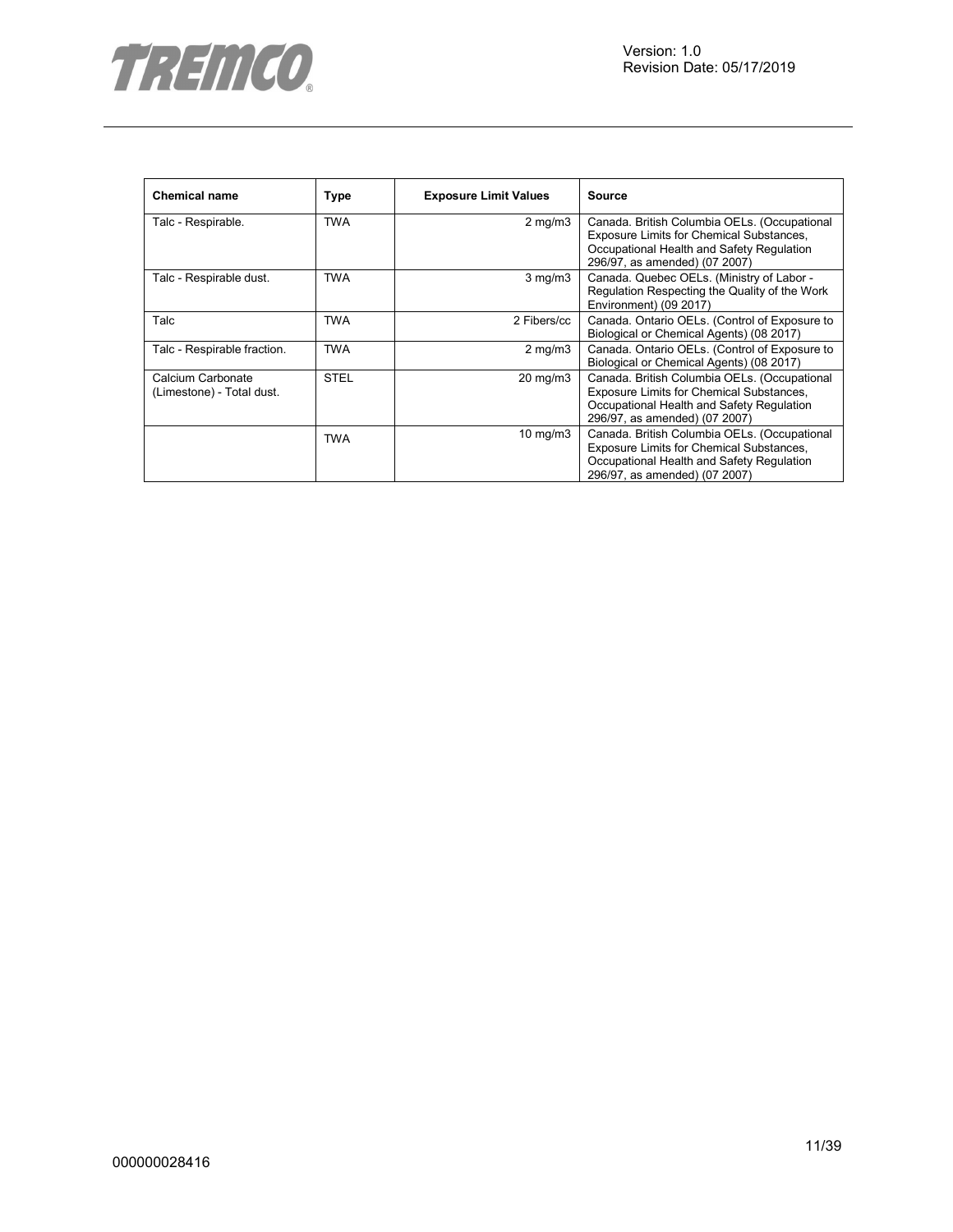

| <b>Chemical name</b>                           | Type        | <b>Exposure Limit Values</b> | Source                                                                                                                                                                 |
|------------------------------------------------|-------------|------------------------------|------------------------------------------------------------------------------------------------------------------------------------------------------------------------|
| Talc - Respirable.                             | <b>TWA</b>  | $2 \text{ mg/m}$             | Canada. British Columbia OELs. (Occupational<br>Exposure Limits for Chemical Substances,<br>Occupational Health and Safety Regulation<br>296/97, as amended) (07 2007) |
| Talc - Respirable dust.                        | <b>TWA</b>  | $3$ mg/m $3$                 | Canada. Quebec OELs. (Ministry of Labor -<br>Regulation Respecting the Quality of the Work<br>Environment) (09 2017)                                                   |
| Talc                                           | <b>TWA</b>  | 2 Fibers/cc                  | Canada. Ontario OELs. (Control of Exposure to<br>Biological or Chemical Agents) (08 2017)                                                                              |
| Talc - Respirable fraction.                    | <b>TWA</b>  | $2$ mg/m $3$                 | Canada. Ontario OELs. (Control of Exposure to<br>Biological or Chemical Agents) (08 2017)                                                                              |
| Calcium Carbonate<br>(Limestone) - Total dust. | <b>STEL</b> | $20 \text{ mg/m}$ 3          | Canada. British Columbia OELs. (Occupational<br>Exposure Limits for Chemical Substances,<br>Occupational Health and Safety Regulation<br>296/97, as amended) (07 2007) |
|                                                | <b>TWA</b>  | $10 \text{ mg/m}$            | Canada. British Columbia OELs. (Occupational<br>Exposure Limits for Chemical Substances,<br>Occupational Health and Safety Regulation<br>296/97, as amended) (07 2007) |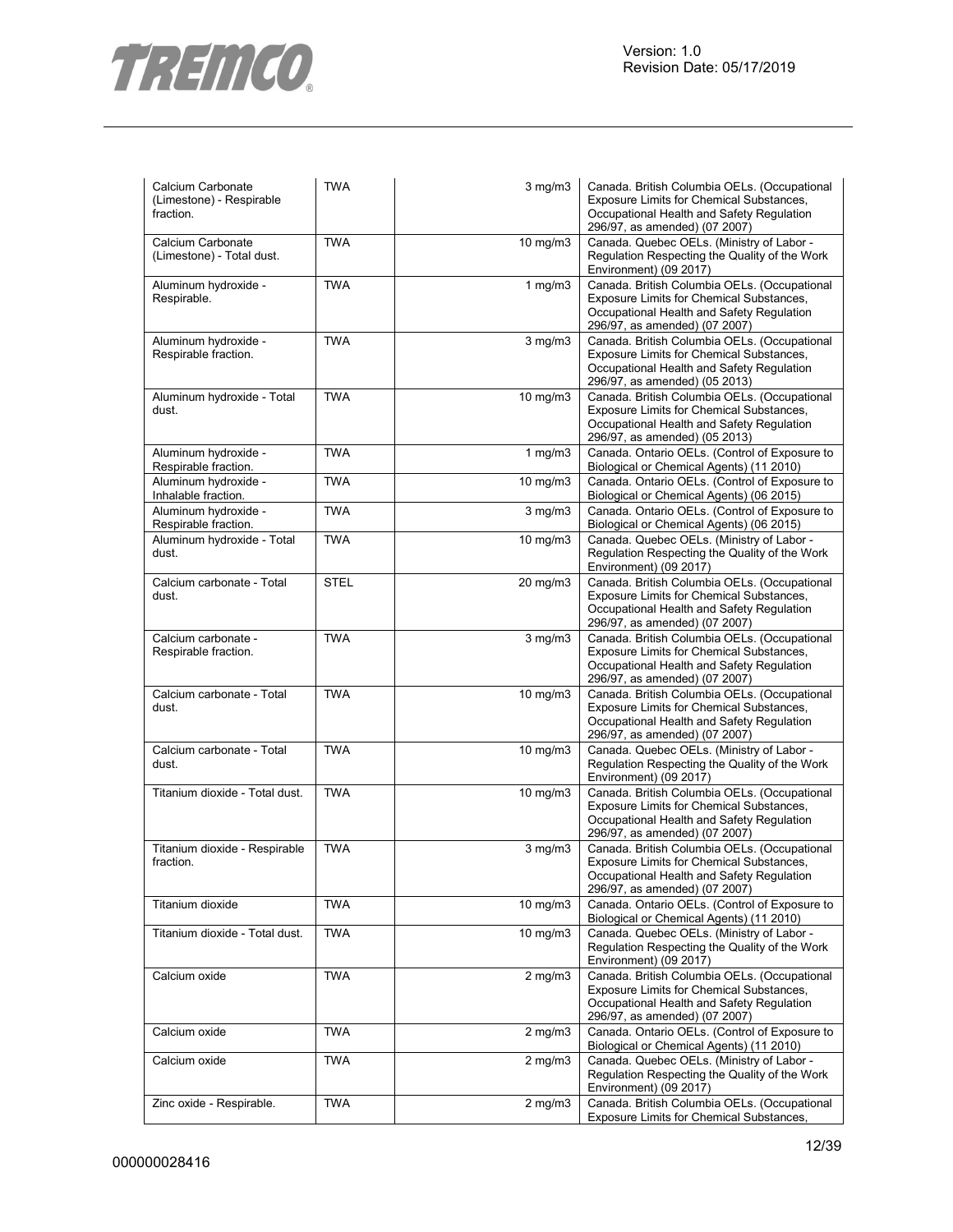

| Calcium Carbonate<br>(Limestone) - Respirable<br>fraction. | <b>TWA</b>  | $3$ mg/m $3$      | Canada. British Columbia OELs. (Occupational<br>Exposure Limits for Chemical Substances,<br>Occupational Health and Safety Regulation<br>296/97, as amended) (07 2007) |
|------------------------------------------------------------|-------------|-------------------|------------------------------------------------------------------------------------------------------------------------------------------------------------------------|
| Calcium Carbonate<br>(Limestone) - Total dust.             | <b>TWA</b>  | 10 mg/m3          | Canada. Quebec OELs. (Ministry of Labor -<br>Regulation Respecting the Quality of the Work<br>Environment) (09 2017)                                                   |
| Aluminum hydroxide -<br>Respirable.                        | <b>TWA</b>  | 1 $mg/m3$         | Canada. British Columbia OELs. (Occupational<br>Exposure Limits for Chemical Substances,<br>Occupational Health and Safety Regulation<br>296/97, as amended) (07 2007) |
| Aluminum hydroxide -<br>Respirable fraction.               | <b>TWA</b>  | $3$ mg/m $3$      | Canada. British Columbia OELs. (Occupational<br>Exposure Limits for Chemical Substances,<br>Occupational Health and Safety Regulation<br>296/97, as amended) (05 2013) |
| Aluminum hydroxide - Total<br>dust.                        | <b>TWA</b>  | 10 mg/m3          | Canada. British Columbia OELs. (Occupational<br>Exposure Limits for Chemical Substances,<br>Occupational Health and Safety Regulation<br>296/97, as amended) (05 2013) |
| Aluminum hydroxide -<br>Respirable fraction.               | <b>TWA</b>  | 1 $mg/m3$         | Canada. Ontario OELs. (Control of Exposure to<br>Biological or Chemical Agents) (11 2010)                                                                              |
| Aluminum hydroxide -<br>Inhalable fraction.                | <b>TWA</b>  | 10 mg/m3          | Canada. Ontario OELs. (Control of Exposure to<br>Biological or Chemical Agents) (06 2015)                                                                              |
| Aluminum hydroxide -<br>Respirable fraction.               | <b>TWA</b>  | $3$ mg/m $3$      | Canada. Ontario OELs. (Control of Exposure to<br>Biological or Chemical Agents) (06 2015)                                                                              |
| Aluminum hydroxide - Total<br>dust.                        | <b>TWA</b>  | 10 mg/m3          | Canada. Quebec OELs. (Ministry of Labor -<br>Regulation Respecting the Quality of the Work<br>Environment) (09 2017)                                                   |
| Calcium carbonate - Total<br>dust.                         | <b>STEL</b> | 20 mg/m3          | Canada. British Columbia OELs. (Occupational<br>Exposure Limits for Chemical Substances,<br>Occupational Health and Safety Regulation<br>296/97, as amended) (07 2007) |
| Calcium carbonate -<br>Respirable fraction.                | <b>TWA</b>  | $3$ mg/m $3$      | Canada. British Columbia OELs. (Occupational<br>Exposure Limits for Chemical Substances,<br>Occupational Health and Safety Regulation<br>296/97, as amended) (07 2007) |
| Calcium carbonate - Total<br>dust.                         | <b>TWA</b>  | $10$ mg/m $3$     | Canada. British Columbia OELs. (Occupational<br>Exposure Limits for Chemical Substances,<br>Occupational Health and Safety Regulation<br>296/97, as amended) (07 2007) |
| Calcium carbonate - Total<br>dust.                         | <b>TWA</b>  | 10 mg/m3          | Canada. Quebec OELs. (Ministry of Labor -<br>Regulation Respecting the Quality of the Work<br>Environment) (09 2017)                                                   |
| Titanium dioxide - Total dust.                             | <b>TWA</b>  | 10 mg/m3          | Canada. British Columbia OELs. (Occupational<br>Exposure Limits for Chemical Substances,<br>Occupational Health and Safety Regulation<br>296/97, as amended) (07 2007) |
| Titanium dioxide - Respirable<br>fraction.                 | <b>TWA</b>  | $3$ mg/m $3$      | Canada. British Columbia OELs. (Occupational<br>Exposure Limits for Chemical Substances,<br>Occupational Health and Safety Regulation<br>296/97, as amended) (07 2007) |
| Titanium dioxide                                           | <b>TWA</b>  | $10 \text{ mg/m}$ | Canada. Ontario OELs. (Control of Exposure to<br>Biological or Chemical Agents) (11 2010)                                                                              |
| Titanium dioxide - Total dust.                             | <b>TWA</b>  | $10 \text{ mg/m}$ | Canada. Quebec OELs. (Ministry of Labor -<br>Regulation Respecting the Quality of the Work<br>Environment) (09 2017)                                                   |
| Calcium oxide                                              | <b>TWA</b>  | $2$ mg/m $3$      | Canada. British Columbia OELs. (Occupational<br>Exposure Limits for Chemical Substances,<br>Occupational Health and Safety Regulation<br>296/97, as amended) (07 2007) |
| Calcium oxide                                              | <b>TWA</b>  | $2$ mg/m $3$      | Canada. Ontario OELs. (Control of Exposure to<br>Biological or Chemical Agents) (11 2010)                                                                              |
| Calcium oxide                                              | <b>TWA</b>  | $2$ mg/m $3$      | Canada. Quebec OELs. (Ministry of Labor -<br>Regulation Respecting the Quality of the Work<br>Environment) (09 2017)                                                   |
| Zinc oxide - Respirable.                                   | <b>TWA</b>  | $2$ mg/m $3$      | Canada. British Columbia OELs. (Occupational<br>Exposure Limits for Chemical Substances,                                                                               |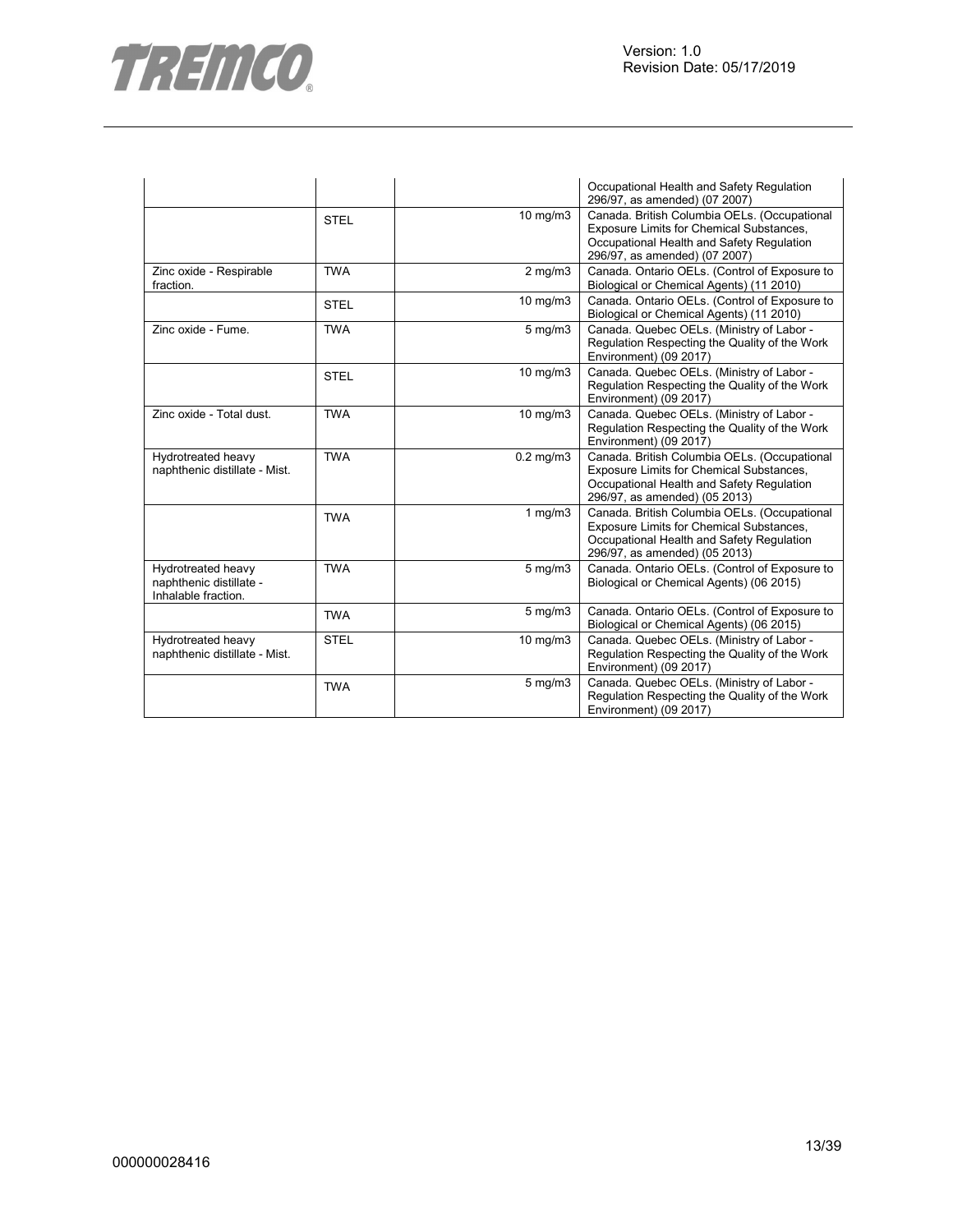

|                                                                      |             |                  | Occupational Health and Safety Regulation<br>296/97, as amended) (07 2007)                                                                                             |
|----------------------------------------------------------------------|-------------|------------------|------------------------------------------------------------------------------------------------------------------------------------------------------------------------|
|                                                                      | <b>STEL</b> | 10 mg/m3         | Canada. British Columbia OELs. (Occupational<br>Exposure Limits for Chemical Substances,<br>Occupational Health and Safety Regulation<br>296/97, as amended) (07 2007) |
| Zinc oxide - Respirable<br>fraction.                                 | <b>TWA</b>  | $2$ mg/m $3$     | Canada. Ontario OELs. (Control of Exposure to<br>Biological or Chemical Agents) (11 2010)                                                                              |
|                                                                      | <b>STEL</b> | 10 mg/m3         | Canada. Ontario OELs. (Control of Exposure to<br>Biological or Chemical Agents) (11 2010)                                                                              |
| Zinc oxide - Fume.                                                   | <b>TWA</b>  | $5$ mg/m $3$     | Canada. Quebec OELs. (Ministry of Labor -<br>Regulation Respecting the Quality of the Work<br>Environment) (09 2017)                                                   |
|                                                                      | <b>STEL</b> | 10 mg/m3         | Canada. Quebec OELs. (Ministry of Labor -<br>Regulation Respecting the Quality of the Work<br>Environment) (09 2017)                                                   |
| Zinc oxide - Total dust.                                             | <b>TWA</b>  | 10 mg/m3         | Canada. Quebec OELs. (Ministry of Labor -<br>Regulation Respecting the Quality of the Work<br>Environment) (09 2017)                                                   |
| Hydrotreated heavy<br>naphthenic distillate - Mist.                  | <b>TWA</b>  | $0.2$ mg/m $3$   | Canada. British Columbia OELs. (Occupational<br>Exposure Limits for Chemical Substances,<br>Occupational Health and Safety Regulation<br>296/97, as amended) (05 2013) |
|                                                                      | <b>TWA</b>  | $1$ mg/m $3$     | Canada. British Columbia OELs. (Occupational<br>Exposure Limits for Chemical Substances,<br>Occupational Health and Safety Regulation<br>296/97, as amended) (05 2013) |
| Hydrotreated heavy<br>naphthenic distillate -<br>Inhalable fraction. | <b>TWA</b>  | $5 \text{ mg/m}$ | Canada. Ontario OELs. (Control of Exposure to<br>Biological or Chemical Agents) (06 2015)                                                                              |
|                                                                      | <b>TWA</b>  | $5 \text{ mg/m}$ | Canada. Ontario OELs. (Control of Exposure to<br>Biological or Chemical Agents) (06 2015)                                                                              |
| Hydrotreated heavy<br>naphthenic distillate - Mist.                  | <b>STEL</b> | $10$ mg/m $3$    | Canada. Quebec OELs. (Ministry of Labor -<br>Regulation Respecting the Quality of the Work<br>Environment) (09 2017)                                                   |
|                                                                      | <b>TWA</b>  | 5 mg/m3          | Canada. Quebec OELs. (Ministry of Labor -<br>Regulation Respecting the Quality of the Work<br>Environment) (09 2017)                                                   |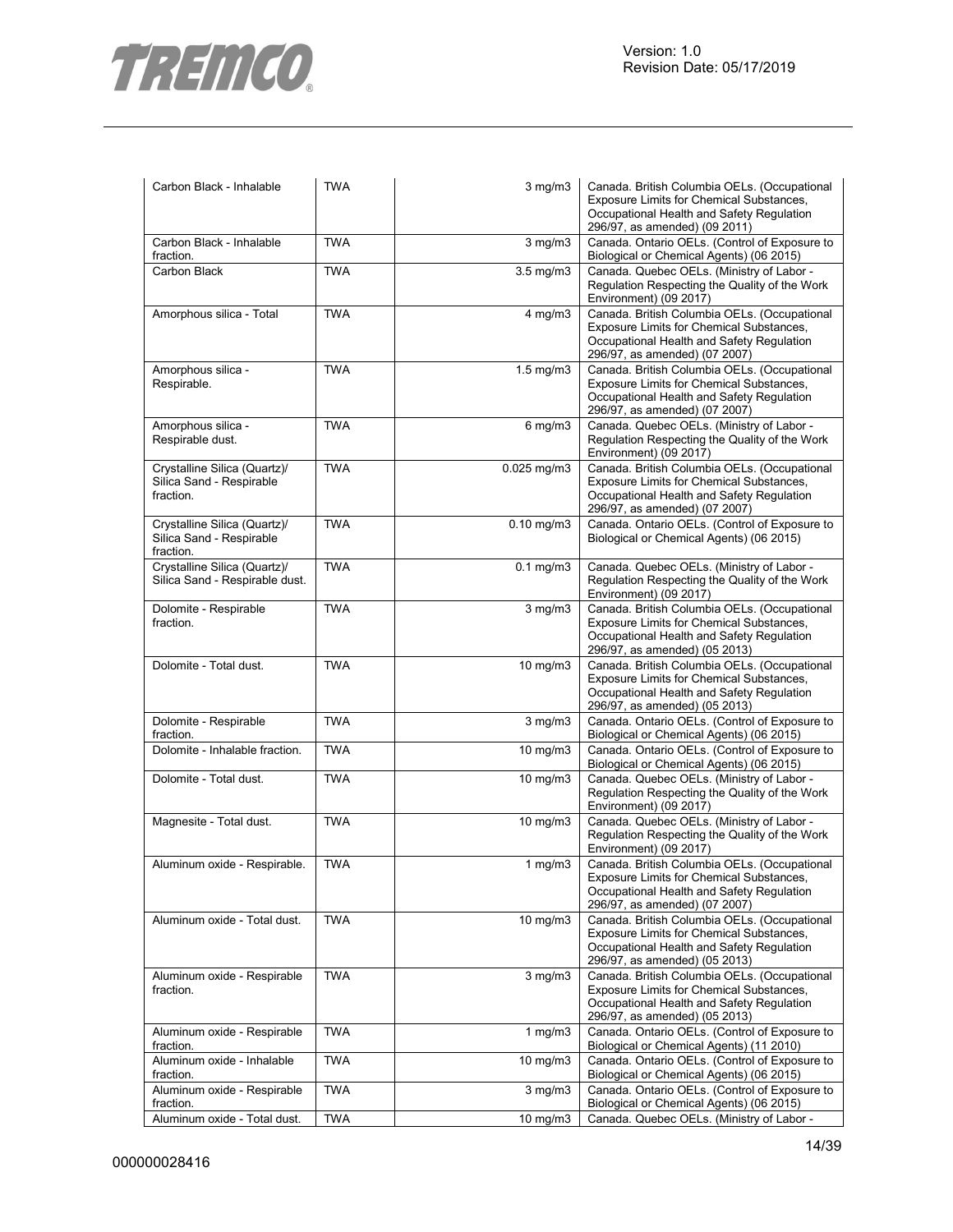

| Carbon Black - Inhalable                                              | <b>TWA</b> | 3 mg/m3          | Canada. British Columbia OELs. (Occupational<br>Exposure Limits for Chemical Substances,<br>Occupational Health and Safety Regulation<br>296/97, as amended) (09 2011) |
|-----------------------------------------------------------------------|------------|------------------|------------------------------------------------------------------------------------------------------------------------------------------------------------------------|
| Carbon Black - Inhalable<br>fraction.                                 | <b>TWA</b> | $3$ mg/m $3$     | Canada. Ontario OELs. (Control of Exposure to<br>Biological or Chemical Agents) (06 2015)                                                                              |
| Carbon Black                                                          | <b>TWA</b> | $3.5$ mg/m $3$   | Canada. Quebec OELs. (Ministry of Labor -<br>Regulation Respecting the Quality of the Work<br>Environment) (09 2017)                                                   |
| Amorphous silica - Total                                              | <b>TWA</b> | $4$ mg/m $3$     | Canada. British Columbia OELs. (Occupational<br>Exposure Limits for Chemical Substances,<br>Occupational Health and Safety Regulation<br>296/97, as amended) (07 2007) |
| Amorphous silica -<br>Respirable.                                     | <b>TWA</b> | 1.5 mg/m3        | Canada. British Columbia OELs. (Occupational<br>Exposure Limits for Chemical Substances,<br>Occupational Health and Safety Regulation<br>296/97, as amended) (07 2007) |
| Amorphous silica -<br>Respirable dust.                                | <b>TWA</b> | $6$ mg/m $3$     | Canada. Quebec OELs. (Ministry of Labor -<br>Regulation Respecting the Quality of the Work<br>Environment) (09 2017)                                                   |
| Crystalline Silica (Quartz)/<br>Silica Sand - Respirable<br>fraction. | <b>TWA</b> | $0.025$ mg/m $3$ | Canada. British Columbia OELs. (Occupational<br>Exposure Limits for Chemical Substances,<br>Occupational Health and Safety Regulation<br>296/97, as amended) (07 2007) |
| Crystalline Silica (Quartz)/<br>Silica Sand - Respirable<br>fraction. | <b>TWA</b> | $0.10$ mg/m $3$  | Canada. Ontario OELs. (Control of Exposure to<br>Biological or Chemical Agents) (06 2015)                                                                              |
| Crystalline Silica (Quartz)/<br>Silica Sand - Respirable dust.        | <b>TWA</b> | $0.1$ mg/m $3$   | Canada. Quebec OELs. (Ministry of Labor -<br>Regulation Respecting the Quality of the Work<br>Environment) (09 2017)                                                   |
| Dolomite - Respirable<br>fraction.                                    | <b>TWA</b> | $3$ mg/m $3$     | Canada. British Columbia OELs. (Occupational<br>Exposure Limits for Chemical Substances,<br>Occupational Health and Safety Regulation<br>296/97, as amended) (05 2013) |
| Dolomite - Total dust.                                                | <b>TWA</b> | $10$ mg/m $3$    | Canada. British Columbia OELs. (Occupational<br>Exposure Limits for Chemical Substances,<br>Occupational Health and Safety Regulation<br>296/97, as amended) (05 2013) |
| Dolomite - Respirable<br>fraction.                                    | <b>TWA</b> | $3$ mg/m $3$     | Canada. Ontario OELs. (Control of Exposure to<br>Biological or Chemical Agents) (06 2015)                                                                              |
| Dolomite - Inhalable fraction.                                        | <b>TWA</b> | 10 mg/m3         | Canada. Ontario OELs. (Control of Exposure to<br>Biological or Chemical Agents) (06 2015)                                                                              |
| Dolomite - Total dust.                                                | <b>TWA</b> | 10 mg/m3         | Canada. Quebec OELs. (Ministry of Labor -<br>Regulation Respecting the Quality of the Work<br>Environment) (09 2017)                                                   |
| Magnesite - Total dust.                                               | <b>TWA</b> | 10 mg/m3         | Canada. Quebec OELs. (Ministry of Labor -<br>Regulation Respecting the Quality of the Work<br>Environment) (09 2017)                                                   |
| Aluminum oxide - Respirable.                                          | <b>TWA</b> | $1$ mg/m $3$     | Canada. British Columbia OELs. (Occupational<br>Exposure Limits for Chemical Substances,<br>Occupational Health and Safety Regulation<br>296/97, as amended) (07 2007) |
| Aluminum oxide - Total dust.                                          | <b>TWA</b> | 10 mg/m3         | Canada. British Columbia OELs. (Occupational<br>Exposure Limits for Chemical Substances,<br>Occupational Health and Safety Regulation<br>296/97, as amended) (05 2013) |
| Aluminum oxide - Respirable<br>fraction.                              | <b>TWA</b> | $3$ mg/m $3$     | Canada. British Columbia OELs. (Occupational<br>Exposure Limits for Chemical Substances,<br>Occupational Health and Safety Regulation<br>296/97, as amended) (05 2013) |
| Aluminum oxide - Respirable<br>fraction.                              | <b>TWA</b> | 1 $mg/m3$        | Canada. Ontario OELs. (Control of Exposure to<br>Biological or Chemical Agents) (11 2010)                                                                              |
| Aluminum oxide - Inhalable<br>fraction.                               | <b>TWA</b> | 10 mg/m3         | Canada. Ontario OELs. (Control of Exposure to<br>Biological or Chemical Agents) (06 2015)                                                                              |
| Aluminum oxide - Respirable<br>fraction.                              | <b>TWA</b> | $3$ mg/m $3$     | Canada. Ontario OELs. (Control of Exposure to<br>Biological or Chemical Agents) (06 2015)                                                                              |
| Aluminum oxide - Total dust.                                          | <b>TWA</b> | 10 mg/m3         | Canada. Quebec OELs. (Ministry of Labor -                                                                                                                              |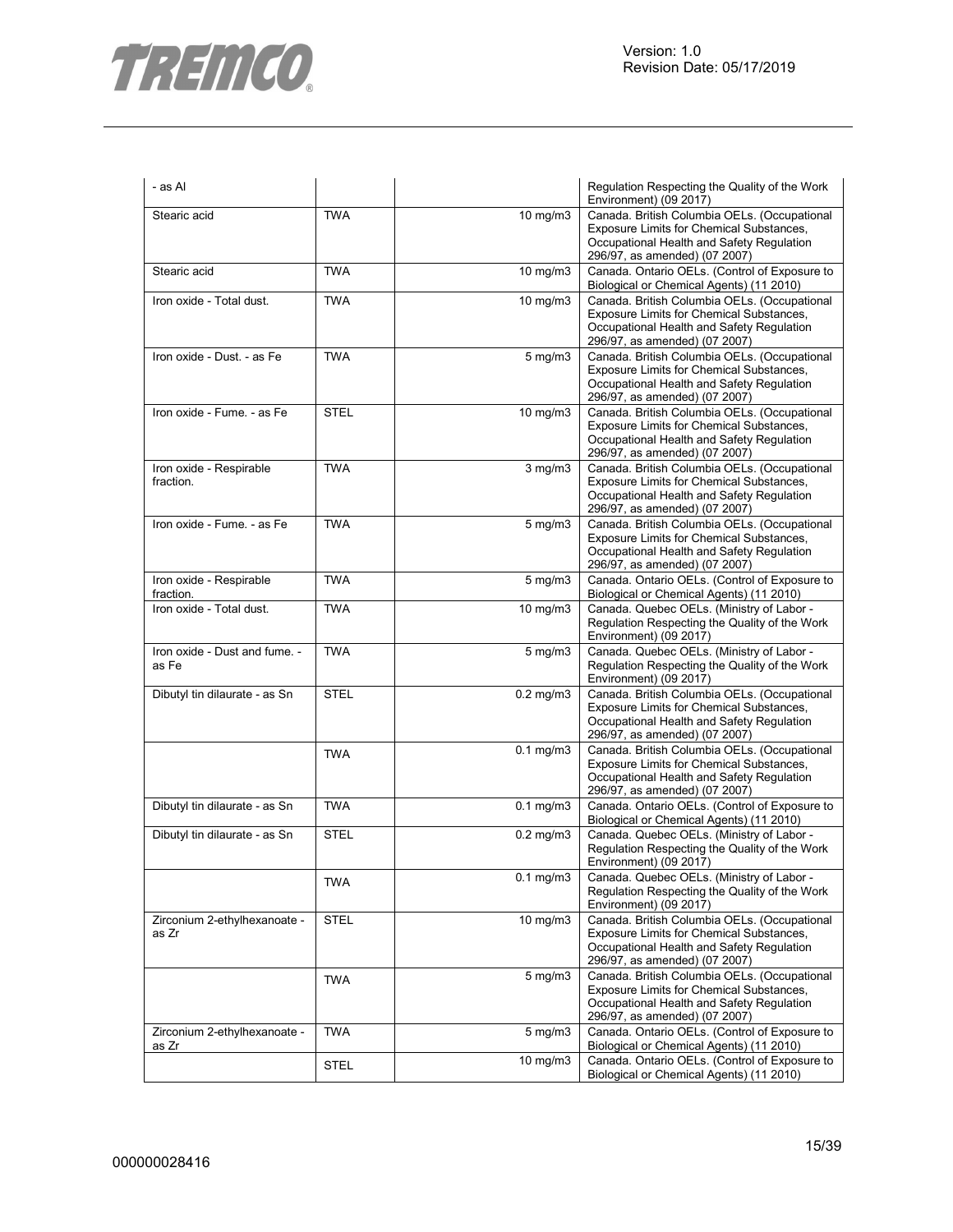

| - as Al                                |             |                    | Regulation Respecting the Quality of the Work<br>Environment) (09 2017)                                                                                                |
|----------------------------------------|-------------|--------------------|------------------------------------------------------------------------------------------------------------------------------------------------------------------------|
| Stearic acid                           | <b>TWA</b>  | 10 mg/m3           | Canada. British Columbia OELs. (Occupational<br>Exposure Limits for Chemical Substances,<br>Occupational Health and Safety Regulation<br>296/97, as amended) (07 2007) |
| Stearic acid                           | <b>TWA</b>  | 10 mg/m3           | Canada. Ontario OELs. (Control of Exposure to<br>Biological or Chemical Agents) (11 2010)                                                                              |
| Iron oxide - Total dust.               | <b>TWA</b>  | 10 mg/m3           | Canada. British Columbia OELs. (Occupational<br>Exposure Limits for Chemical Substances,<br>Occupational Health and Safety Regulation<br>296/97, as amended) (07 2007) |
| Iron oxide - Dust. - as Fe             | <b>TWA</b>  | $5 \text{ mg/m}$   | Canada. British Columbia OELs. (Occupational<br>Exposure Limits for Chemical Substances,<br>Occupational Health and Safety Regulation<br>296/97, as amended) (07 2007) |
| Iron oxide - Fume. - as Fe             | <b>STEL</b> | 10 mg/m3           | Canada. British Columbia OELs. (Occupational<br>Exposure Limits for Chemical Substances,<br>Occupational Health and Safety Regulation<br>296/97, as amended) (07 2007) |
| Iron oxide - Respirable<br>fraction.   | <b>TWA</b>  | $3$ mg/m $3$       | Canada. British Columbia OELs. (Occupational<br>Exposure Limits for Chemical Substances,<br>Occupational Health and Safety Regulation<br>296/97, as amended) (07 2007) |
| Iron oxide - Fume. - as Fe             | <b>TWA</b>  | $5 \text{ mg/m}$   | Canada. British Columbia OELs. (Occupational<br>Exposure Limits for Chemical Substances,<br>Occupational Health and Safety Regulation<br>296/97, as amended) (07 2007) |
| Iron oxide - Respirable<br>fraction.   | <b>TWA</b>  | $5$ mg/m $3$       | Canada. Ontario OELs. (Control of Exposure to<br>Biological or Chemical Agents) (11 2010)                                                                              |
| Iron oxide - Total dust.               | <b>TWA</b>  | 10 mg/m3           | Canada. Quebec OELs. (Ministry of Labor -<br>Regulation Respecting the Quality of the Work<br>Environment) (09 2017)                                                   |
| Iron oxide - Dust and fume. -<br>as Fe | <b>TWA</b>  | $5 \text{ mg/m}$   | Canada. Quebec OELs. (Ministry of Labor -<br>Regulation Respecting the Quality of the Work<br>Environment) (09 2017)                                                   |
| Dibutyl tin dilaurate - as Sn          | <b>STEL</b> | $0.2$ mg/m $3$     | Canada. British Columbia OELs. (Occupational<br>Exposure Limits for Chemical Substances,<br>Occupational Health and Safety Regulation<br>296/97, as amended) (07 2007) |
|                                        | <b>TWA</b>  | $0.1 \text{ mg/m}$ | Canada. British Columbia OELs. (Occupational<br>Exposure Limits for Chemical Substances,<br>Occupational Health and Safety Regulation<br>296/97, as amended) (07 2007) |
| Dibutyl tin dilaurate - as Sn          | <b>TWA</b>  | $0.1$ mg/m $3$     | Canada. Ontario OELs. (Control of Exposure to<br>Biological or Chemical Agents) (11 2010)                                                                              |
| Dibutyl tin dilaurate - as Sn          | <b>STEL</b> | $0.2$ mg/m $3$     | Canada. Quebec OELs. (Ministry of Labor -<br>Regulation Respecting the Quality of the Work<br>Environment) (09 2017)                                                   |
|                                        | TWA         | $0.1$ mg/m $3$     | Canada. Quebec OELs. (Ministry of Labor -<br>Regulation Respecting the Quality of the Work<br>Environment) (09 2017)                                                   |
| Zirconium 2-ethylhexanoate -<br>as Zr  | <b>STEL</b> | 10 mg/m3           | Canada. British Columbia OELs. (Occupational<br>Exposure Limits for Chemical Substances,<br>Occupational Health and Safety Regulation<br>296/97, as amended) (07 2007) |
|                                        | <b>TWA</b>  | $5$ mg/m $3$       | Canada. British Columbia OELs. (Occupational<br>Exposure Limits for Chemical Substances,<br>Occupational Health and Safety Regulation<br>296/97, as amended) (07 2007) |
| Zirconium 2-ethylhexanoate -<br>as Zr  | <b>TWA</b>  | $5$ mg/m $3$       | Canada. Ontario OELs. (Control of Exposure to<br>Biological or Chemical Agents) (11 2010)                                                                              |
|                                        | STEL        | $10 \text{ mg/m}$  | Canada. Ontario OELs. (Control of Exposure to<br>Biological or Chemical Agents) (11 2010)                                                                              |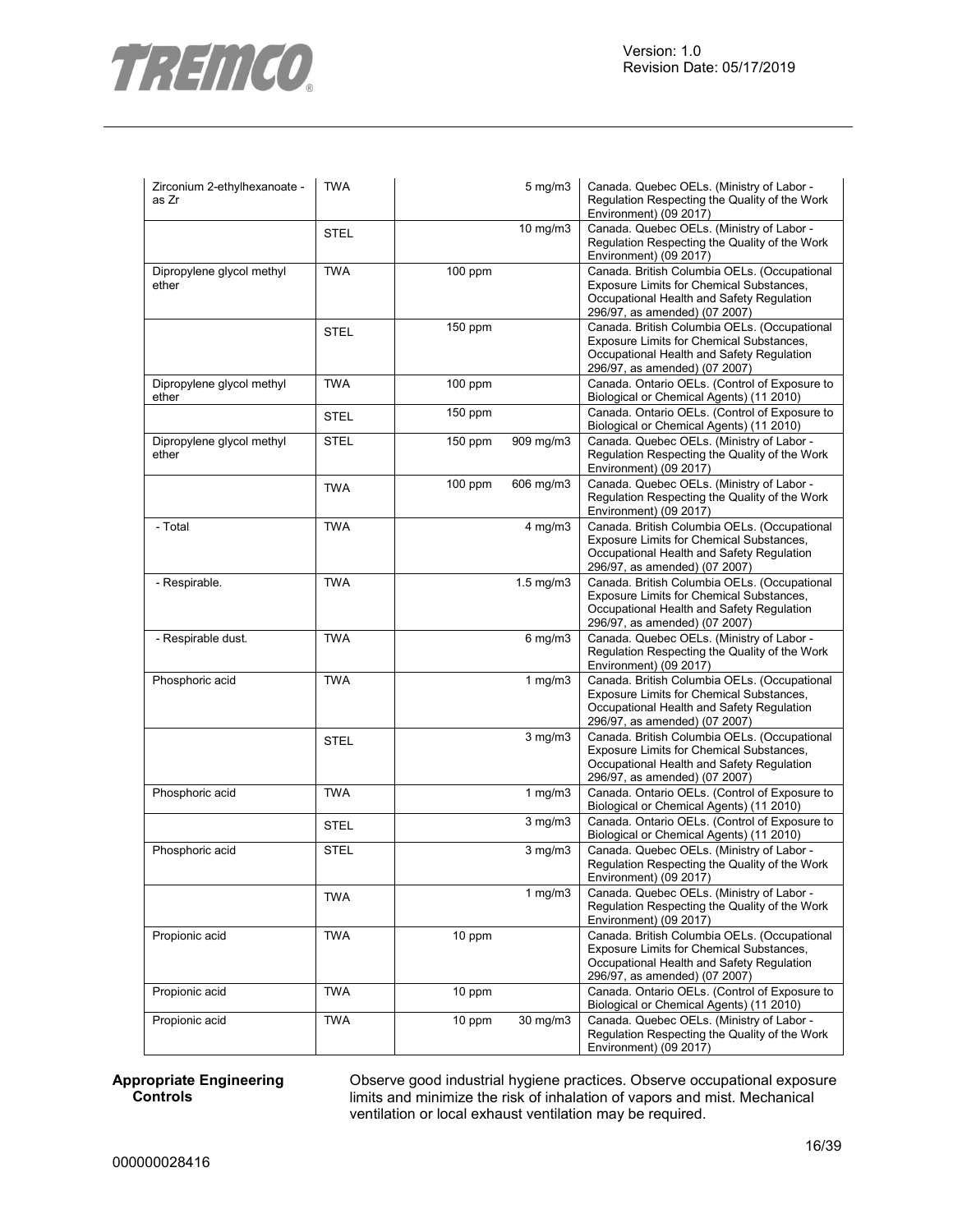

| Zirconium 2-ethylhexanoate -<br>as Zr | <b>TWA</b>  |           | $5$ mg/m $3$ | Canada. Quebec OELs. (Ministry of Labor -<br>Regulation Respecting the Quality of the Work<br>Environment) (09 2017)                                                   |
|---------------------------------------|-------------|-----------|--------------|------------------------------------------------------------------------------------------------------------------------------------------------------------------------|
|                                       | <b>STEL</b> |           | 10 mg/m3     | Canada. Quebec OELs. (Ministry of Labor -<br>Regulation Respecting the Quality of the Work<br>Environment) (09 2017)                                                   |
| Dipropylene glycol methyl<br>ether    | <b>TWA</b>  | 100 ppm   |              | Canada. British Columbia OELs. (Occupational<br>Exposure Limits for Chemical Substances,<br>Occupational Health and Safety Regulation<br>296/97, as amended) (07 2007) |
|                                       | <b>STEL</b> | 150 ppm   |              | Canada. British Columbia OELs. (Occupational<br>Exposure Limits for Chemical Substances,<br>Occupational Health and Safety Regulation<br>296/97, as amended) (07 2007) |
| Dipropylene glycol methyl<br>ether    | <b>TWA</b>  | 100 ppm   |              | Canada. Ontario OELs. (Control of Exposure to<br>Biological or Chemical Agents) (11 2010)                                                                              |
|                                       | <b>STEL</b> | 150 ppm   |              | Canada. Ontario OELs. (Control of Exposure to<br>Biological or Chemical Agents) (11 2010)                                                                              |
| Dipropylene glycol methyl<br>ether    | <b>STEL</b> | 150 ppm   | 909 mg/m3    | Canada. Quebec OELs. (Ministry of Labor -<br>Regulation Respecting the Quality of the Work<br>Environment) (09 2017)                                                   |
|                                       | <b>TWA</b>  | $100$ ppm | 606 mg/m3    | Canada. Quebec OELs. (Ministry of Labor -<br>Regulation Respecting the Quality of the Work<br>Environment) (09 2017)                                                   |
| - Total                               | <b>TWA</b>  |           | $4$ mg/m $3$ | Canada. British Columbia OELs. (Occupational<br>Exposure Limits for Chemical Substances,<br>Occupational Health and Safety Regulation<br>296/97, as amended) (07 2007) |
| - Respirable.                         | <b>TWA</b>  |           | 1.5 mg/m3    | Canada. British Columbia OELs. (Occupational<br>Exposure Limits for Chemical Substances,<br>Occupational Health and Safety Regulation<br>296/97, as amended) (07 2007) |
| - Respirable dust.                    | <b>TWA</b>  |           | $6$ mg/m $3$ | Canada. Quebec OELs. (Ministry of Labor -<br>Regulation Respecting the Quality of the Work<br>Environment) (09 2017)                                                   |
| Phosphoric acid                       | <b>TWA</b>  |           | 1 $mg/m3$    | Canada. British Columbia OELs. (Occupational<br>Exposure Limits for Chemical Substances,<br>Occupational Health and Safety Regulation<br>296/97, as amended) (07 2007) |
|                                       | <b>STEL</b> |           | $3$ mg/m $3$ | Canada. British Columbia OELs. (Occupational<br>Exposure Limits for Chemical Substances,<br>Occupational Health and Safety Regulation<br>296/97, as amended) (07 2007) |
| Phosphoric acid                       | <b>TWA</b>  |           | 1 $mg/m3$    | Canada. Ontario OELs. (Control of Exposure to<br>Biological or Chemical Agents) (11 2010)                                                                              |
|                                       | <b>STEL</b> |           | $3$ mg/m $3$ | Canada. Ontario OELs. (Control of Exposure to<br>Biological or Chemical Agents) (11 2010)                                                                              |
| Phosphoric acid                       | <b>STEL</b> |           | $3$ mg/m $3$ | Canada. Quebec OELs. (Ministry of Labor -<br>Regulation Respecting the Quality of the Work<br>Environment) (09 2017)                                                   |
|                                       | <b>TWA</b>  |           | 1 $mg/m3$    | Canada. Quebec OELs. (Ministry of Labor -<br>Regulation Respecting the Quality of the Work<br>Environment) (09 2017)                                                   |
| Propionic acid                        | <b>TWA</b>  | 10 ppm    |              | Canada. British Columbia OELs. (Occupational<br>Exposure Limits for Chemical Substances,<br>Occupational Health and Safety Regulation<br>296/97, as amended) (07 2007) |
| Propionic acid                        | <b>TWA</b>  | 10 ppm    |              | Canada. Ontario OELs. (Control of Exposure to<br>Biological or Chemical Agents) (11 2010)                                                                              |
| Propionic acid                        | <b>TWA</b>  | 10 ppm    | 30 mg/m3     | Canada. Quebec OELs. (Ministry of Labor -<br>Regulation Respecting the Quality of the Work<br>Environment) (09 2017)                                                   |

#### **Appropriate Engineering Controls**

Observe good industrial hygiene practices. Observe occupational exposure limits and minimize the risk of inhalation of vapors and mist. Mechanical ventilation or local exhaust ventilation may be required.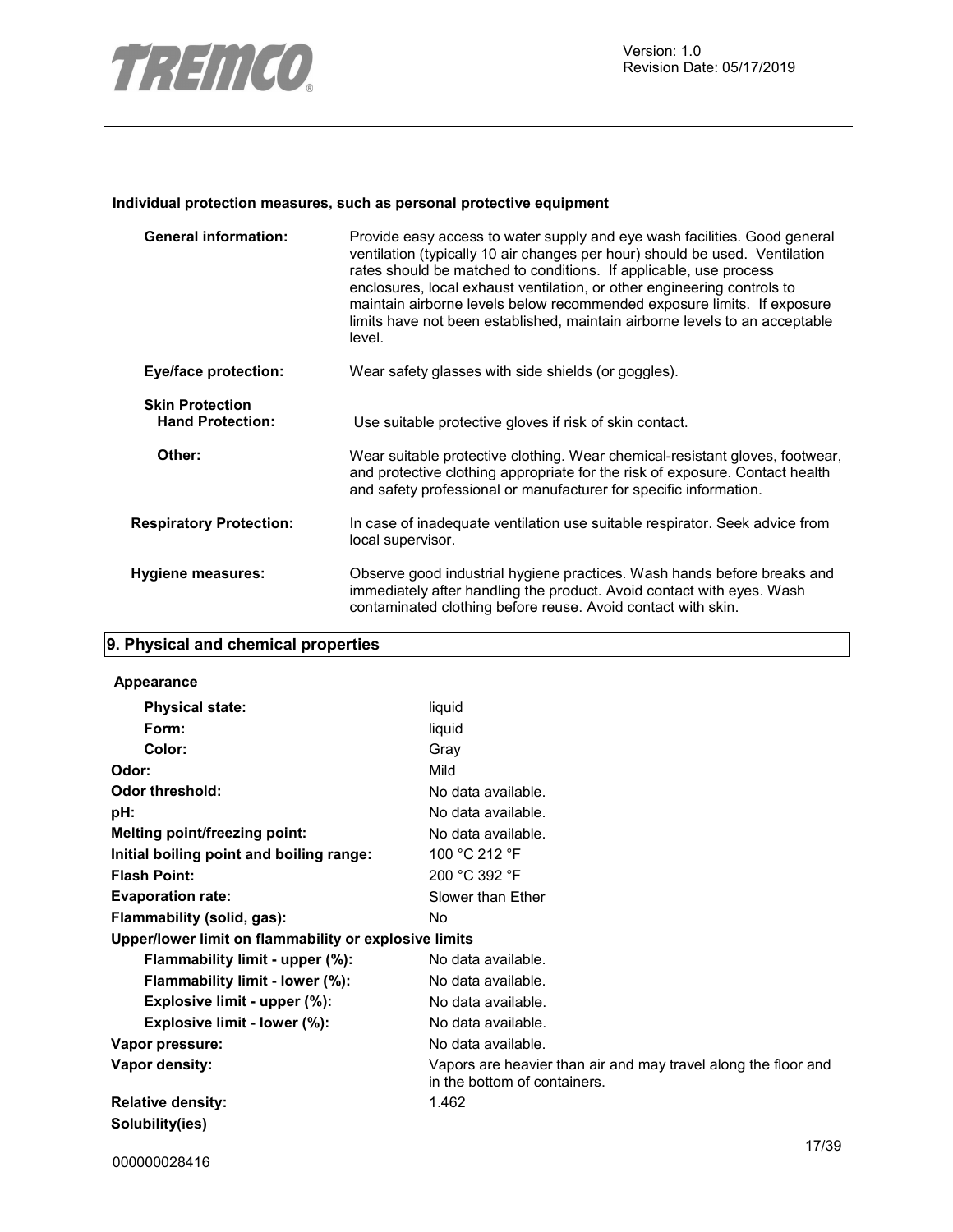

#### **Individual protection measures, such as personal protective equipment**

| <b>General information:</b>                       | Provide easy access to water supply and eye wash facilities. Good general<br>ventilation (typically 10 air changes per hour) should be used. Ventilation<br>rates should be matched to conditions. If applicable, use process<br>enclosures, local exhaust ventilation, or other engineering controls to<br>maintain airborne levels below recommended exposure limits. If exposure<br>limits have not been established, maintain airborne levels to an acceptable<br>level. |
|---------------------------------------------------|------------------------------------------------------------------------------------------------------------------------------------------------------------------------------------------------------------------------------------------------------------------------------------------------------------------------------------------------------------------------------------------------------------------------------------------------------------------------------|
| <b>Eye/face protection:</b>                       | Wear safety glasses with side shields (or goggles).                                                                                                                                                                                                                                                                                                                                                                                                                          |
| <b>Skin Protection</b><br><b>Hand Protection:</b> | Use suitable protective gloves if risk of skin contact.                                                                                                                                                                                                                                                                                                                                                                                                                      |
| Other:                                            | Wear suitable protective clothing. Wear chemical-resistant gloves, footwear,<br>and protective clothing appropriate for the risk of exposure. Contact health<br>and safety professional or manufacturer for specific information.                                                                                                                                                                                                                                            |
| <b>Respiratory Protection:</b>                    | In case of inadequate ventilation use suitable respirator. Seek advice from<br>local supervisor.                                                                                                                                                                                                                                                                                                                                                                             |
| <b>Hygiene measures:</b>                          | Observe good industrial hygiene practices. Wash hands before breaks and<br>immediately after handling the product. Avoid contact with eyes. Wash<br>contaminated clothing before reuse. Avoid contact with skin.                                                                                                                                                                                                                                                             |

# **9. Physical and chemical properties**

#### **Appearance**

| <b>Physical state:</b>                                | liquid                                                                                         |
|-------------------------------------------------------|------------------------------------------------------------------------------------------------|
| Form:                                                 | liquid                                                                                         |
| Color:                                                | Gray                                                                                           |
| Odor:                                                 | Mild                                                                                           |
| <b>Odor threshold:</b>                                | No data available.                                                                             |
| pH:                                                   | No data available.                                                                             |
| Melting point/freezing point:                         | No data available.                                                                             |
| Initial boiling point and boiling range:              | 100 °C 212 °F                                                                                  |
| <b>Flash Point:</b>                                   | 200 °C 392 °F                                                                                  |
| <b>Evaporation rate:</b>                              | Slower than Ether                                                                              |
| Flammability (solid, gas):                            | No.                                                                                            |
| Upper/lower limit on flammability or explosive limits |                                                                                                |
| Flammability limit - upper (%):                       | No data available.                                                                             |
| Flammability limit - lower (%):                       | No data available.                                                                             |
| Explosive limit - upper (%):                          | No data available.                                                                             |
| Explosive limit - lower (%):                          | No data available.                                                                             |
| Vapor pressure:                                       | No data available.                                                                             |
| Vapor density:                                        | Vapors are heavier than air and may travel along the floor and<br>in the bottom of containers. |
| <b>Relative density:</b>                              | 1.462                                                                                          |
| Solubility(ies)                                       |                                                                                                |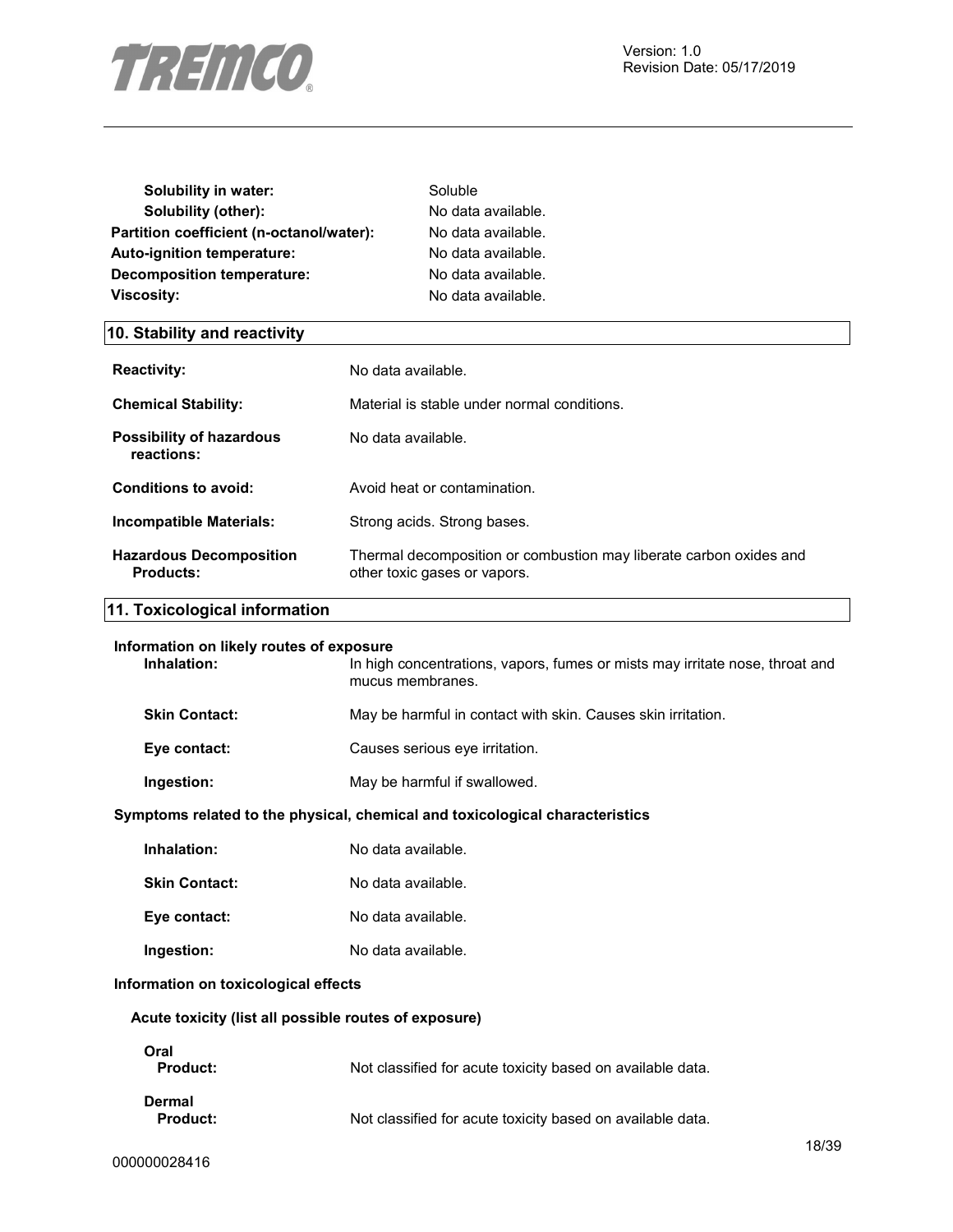

| Solubility in water:                     | Soluble            |
|------------------------------------------|--------------------|
| Solubility (other):                      | No data available. |
| Partition coefficient (n-octanol/water): | No data available. |
| <b>Auto-ignition temperature:</b>        | No data available. |
| Decomposition temperature:               | No data available. |
| <b>Viscosity:</b>                        | No data available. |

# **10. Stability and reactivity**

| <b>Reactivity:</b>                            | No data available.                                                                                 |
|-----------------------------------------------|----------------------------------------------------------------------------------------------------|
| <b>Chemical Stability:</b>                    | Material is stable under normal conditions.                                                        |
| <b>Possibility of hazardous</b><br>reactions: | No data available.                                                                                 |
| Conditions to avoid:                          | Avoid heat or contamination.                                                                       |
| Incompatible Materials:                       | Strong acids. Strong bases.                                                                        |
| <b>Hazardous Decomposition</b><br>Products:   | Thermal decomposition or combustion may liberate carbon oxides and<br>other toxic gases or vapors. |

# **11. Toxicological information**

| Information on likely routes of exposure<br>Inhalation:                      | In high concentrations, vapors, fumes or mists may irritate nose, throat and<br>mucus membranes. |  |
|------------------------------------------------------------------------------|--------------------------------------------------------------------------------------------------|--|
| <b>Skin Contact:</b>                                                         | May be harmful in contact with skin. Causes skin irritation.                                     |  |
| Eye contact:                                                                 | Causes serious eye irritation.                                                                   |  |
| Ingestion:                                                                   | May be harmful if swallowed.                                                                     |  |
| Symptoms related to the physical, chemical and toxicological characteristics |                                                                                                  |  |
| Inhalation:                                                                  | No data available.                                                                               |  |
| <b>Skin Contact:</b>                                                         | No data available.                                                                               |  |
| Eye contact:                                                                 | No data available.                                                                               |  |
| Ingestion:                                                                   | No data available.                                                                               |  |
| Information on toxicological effects                                         |                                                                                                  |  |
| Acute toxicity (list all possible routes of exposure)                        |                                                                                                  |  |
| <b>Oral</b>                                                                  |                                                                                                  |  |

| ма<br><b>Product:</b>     | Not classified for acute toxicity based on available data. |
|---------------------------|------------------------------------------------------------|
| Dermal<br><b>Product:</b> | Not classified for acute toxicity based on available data. |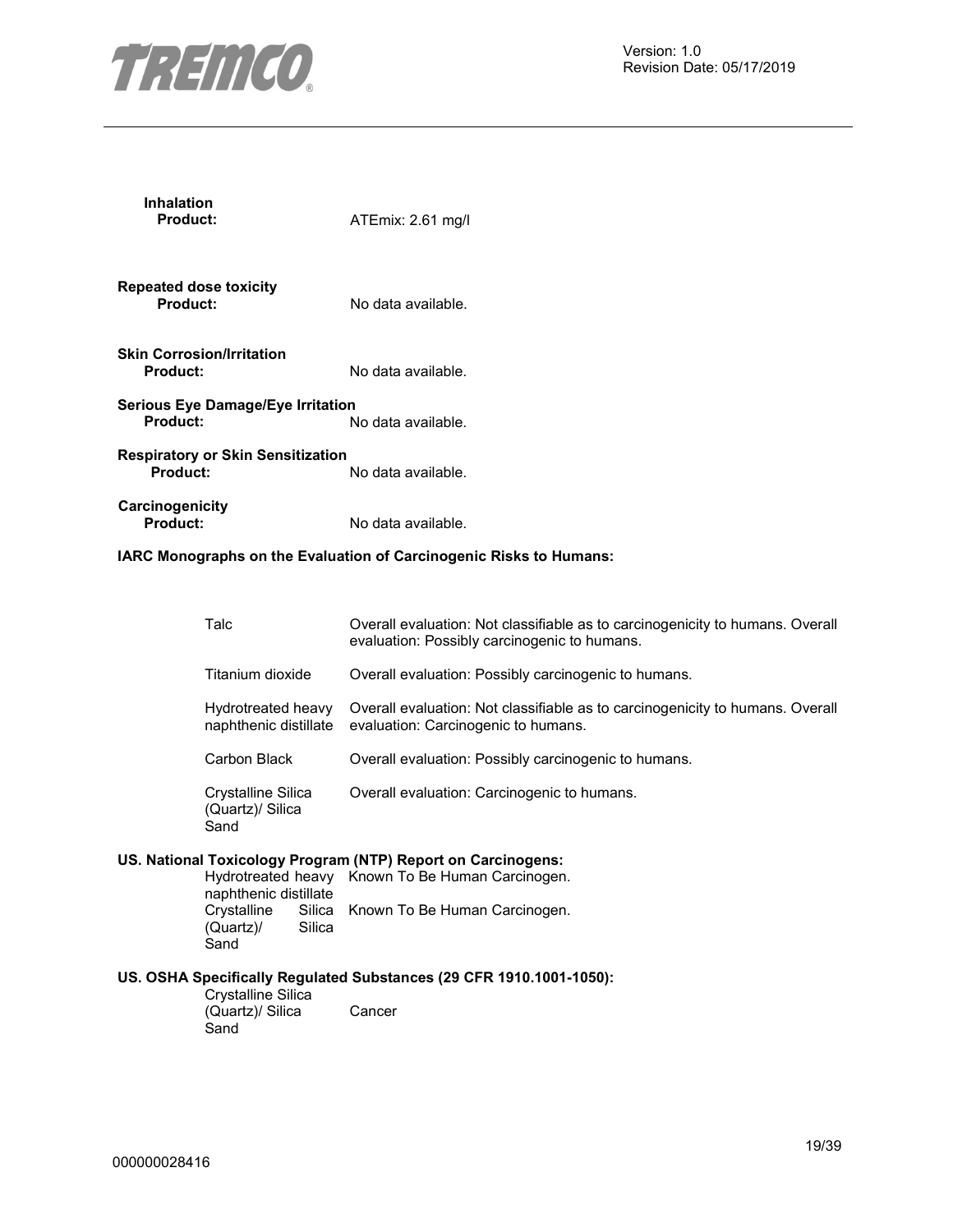

| <b>Inhalation</b><br>Product:                               | ATEmix: 2.61 mg/l                                                             |
|-------------------------------------------------------------|-------------------------------------------------------------------------------|
| <b>Repeated dose toxicity</b><br><b>Product:</b>            | No data available.                                                            |
| <b>Skin Corrosion/Irritation</b><br><b>Product:</b>         | No data available.                                                            |
| <b>Serious Eye Damage/Eye Irritation</b><br><b>Product:</b> | No data available.                                                            |
| <b>Respiratory or Skin Sensitization</b><br><b>Product:</b> | No data available.                                                            |
| Carcinogenicity<br><b>Product:</b>                          | No data available.                                                            |
|                                                             | IARC Monographs on the Evaluation of Carcinogenic Risks to Humans:            |
| Talc                                                        | Overall evaluation: Not classifiable as to carcinogenicity to humans. Overall |

| Crystalline Silica<br>(Quartz)/ Silica<br>Sand | Overall evaluation: Carcinogenic to humans.                                                                                              |
|------------------------------------------------|------------------------------------------------------------------------------------------------------------------------------------------|
| Carbon Black                                   | Overall evaluation: Possibly carcinogenic to humans.                                                                                     |
| Hydrotreated heavy<br>naphthenic distillate    | Overall evaluation: Not classifiable as to carcinogenicity to humans. Overall<br>evaluation: Carcinogenic to humans.                     |
| Titanium dioxide                               | Overall evaluation: Possibly carcinogenic to humans.                                                                                     |
|                                                | O FOI UIT O FUIDING IN THE ORDONIGLOID OU TO DUI UITIOGOTIIOITY TO TIUTIIUITO. O FOI UIT<br>evaluation: Possibly carcinogenic to humans. |

#### **US. National Toxicology Program (NTP) Report on Carcinogens:**

Hydrotreated heavy Known To Be Human Carcinogen. naphthenic distillate Crystalline Silica<br>(Quartz)/ Silica  $(Quartz)$ Sand Silica Known To Be Human Carcinogen.

## **US. OSHA Specifically Regulated Substances (29 CFR 1910.1001-1050):**

Crystalline Silica (Quartz)/ Silica **Sand** Cancer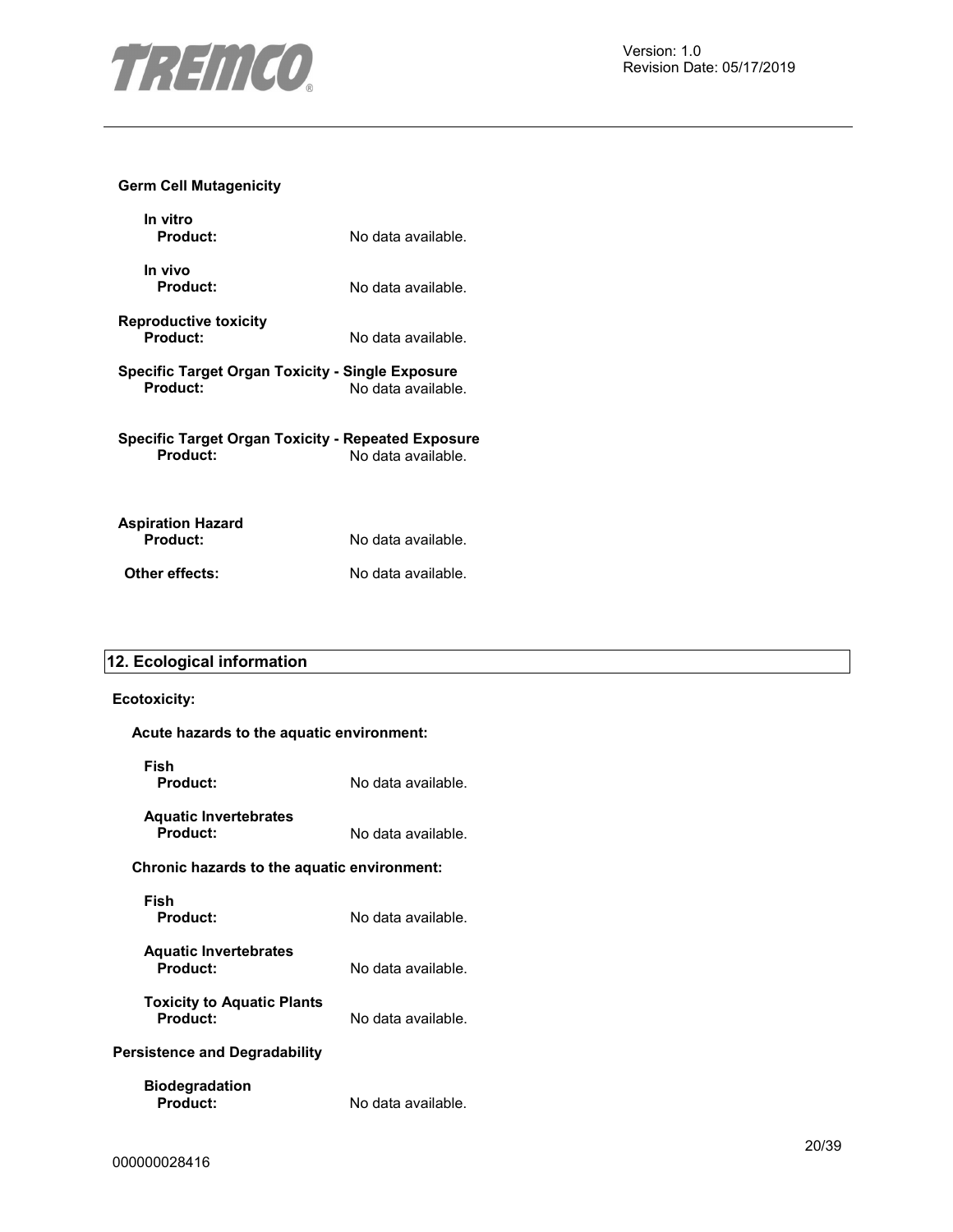

#### **Germ Cell Mutagenicity**

| In vitro<br>Product:                                           | No data available. |
|----------------------------------------------------------------|--------------------|
| In vivo<br>Product:                                            | No data available. |
| <b>Reproductive toxicity</b><br>Product:                       | No data available. |
| Specific Target Organ Toxicity - Single Exposure<br>Product:   | No data available. |
| Specific Target Organ Toxicity - Repeated Exposure<br>Product: | No data available. |
| <b>Aspiration Hazard</b><br>Product:                           | No data available. |
| Other effects:                                                 | No data available. |

# **12. Ecological information**

#### **Ecotoxicity:**

#### **Acute hazards to the aquatic environment:**

| Fish<br>Product:                              | No data available. |  |
|-----------------------------------------------|--------------------|--|
| <b>Aquatic Invertebrates</b><br>Product:      | No data available. |  |
| Chronic hazards to the aquatic environment:   |                    |  |
| Fish<br>Product:                              | No data available. |  |
| <b>Aquatic Invertebrates</b><br>Product:      | No data available. |  |
| <b>Toxicity to Aquatic Plants</b><br>Product: | No data available. |  |
| <b>Persistence and Degradability</b>          |                    |  |
| <b>Biodegradation</b><br>Product:             | No data available. |  |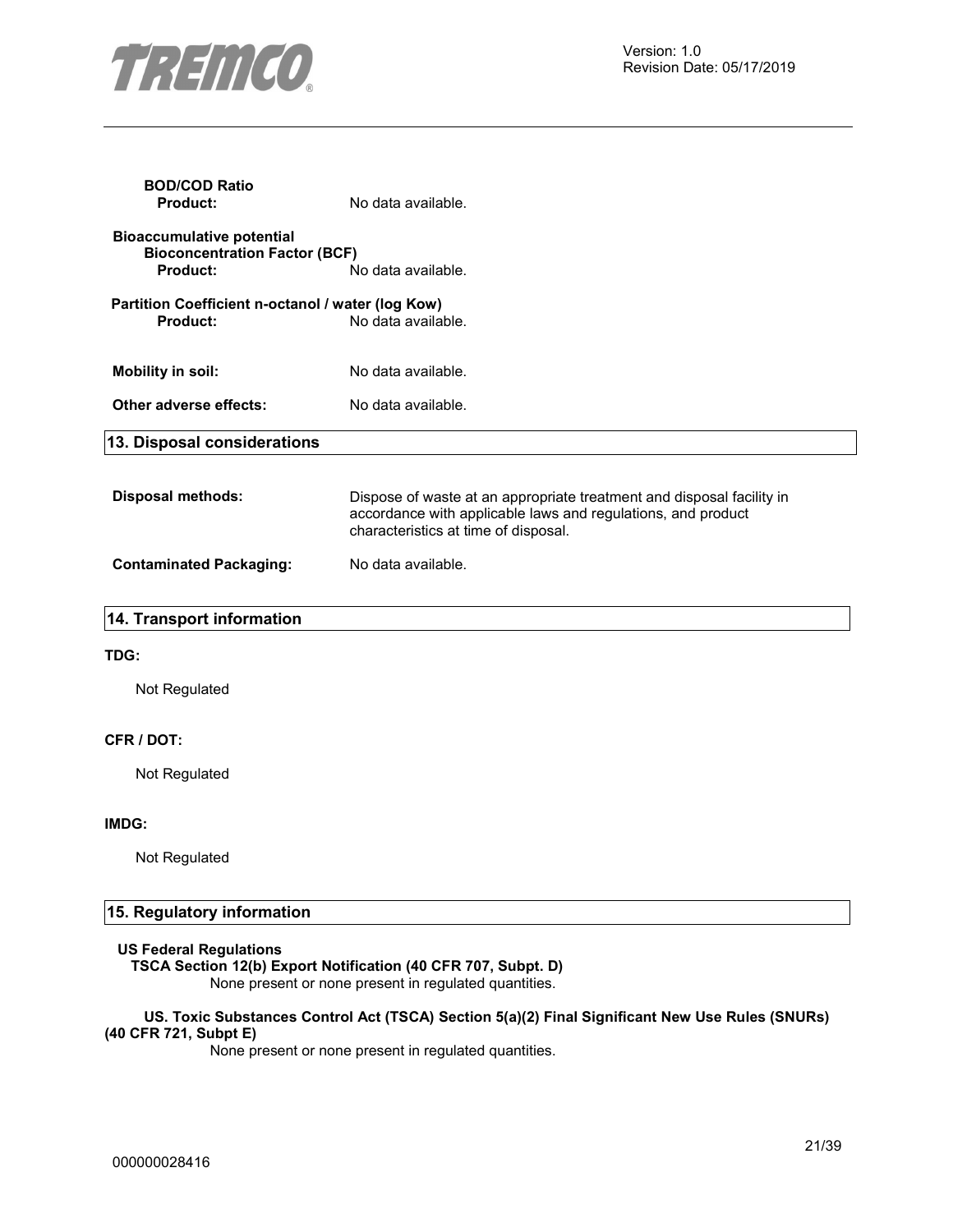

| <b>BOD/COD Ratio</b><br><b>Product:</b>                                                     | No data available.                                                                                                                                                            |
|---------------------------------------------------------------------------------------------|-------------------------------------------------------------------------------------------------------------------------------------------------------------------------------|
| <b>Bioaccumulative potential</b><br><b>Bioconcentration Factor (BCF)</b><br><b>Product:</b> | No data available.                                                                                                                                                            |
| Partition Coefficient n-octanol / water (log Kow)<br>Product:                               | No data available.                                                                                                                                                            |
| <b>Mobility in soil:</b>                                                                    | No data available.                                                                                                                                                            |
| Other adverse effects:                                                                      | No data available.                                                                                                                                                            |
| 13. Disposal considerations                                                                 |                                                                                                                                                                               |
| <b>Disposal methods:</b>                                                                    | Dispose of waste at an appropriate treatment and disposal facility in<br>accordance with applicable laws and regulations, and product<br>characteristics at time of disposal. |
| <b>Contaminated Packaging:</b>                                                              | No data available.                                                                                                                                                            |

| 14. Transport information |
|---------------------------|
|---------------------------|

#### **TDG:**

Not Regulated

#### **CFR / DOT:**

Not Regulated

#### **IMDG:**

Not Regulated

#### **15. Regulatory information**

#### **US Federal Regulations**

**TSCA Section 12(b) Export Notification (40 CFR 707, Subpt. D)** 

None present or none present in regulated quantities.

#### **US. Toxic Substances Control Act (TSCA) Section 5(a)(2) Final Significant New Use Rules (SNURs) (40 CFR 721, Subpt E)**

None present or none present in regulated quantities.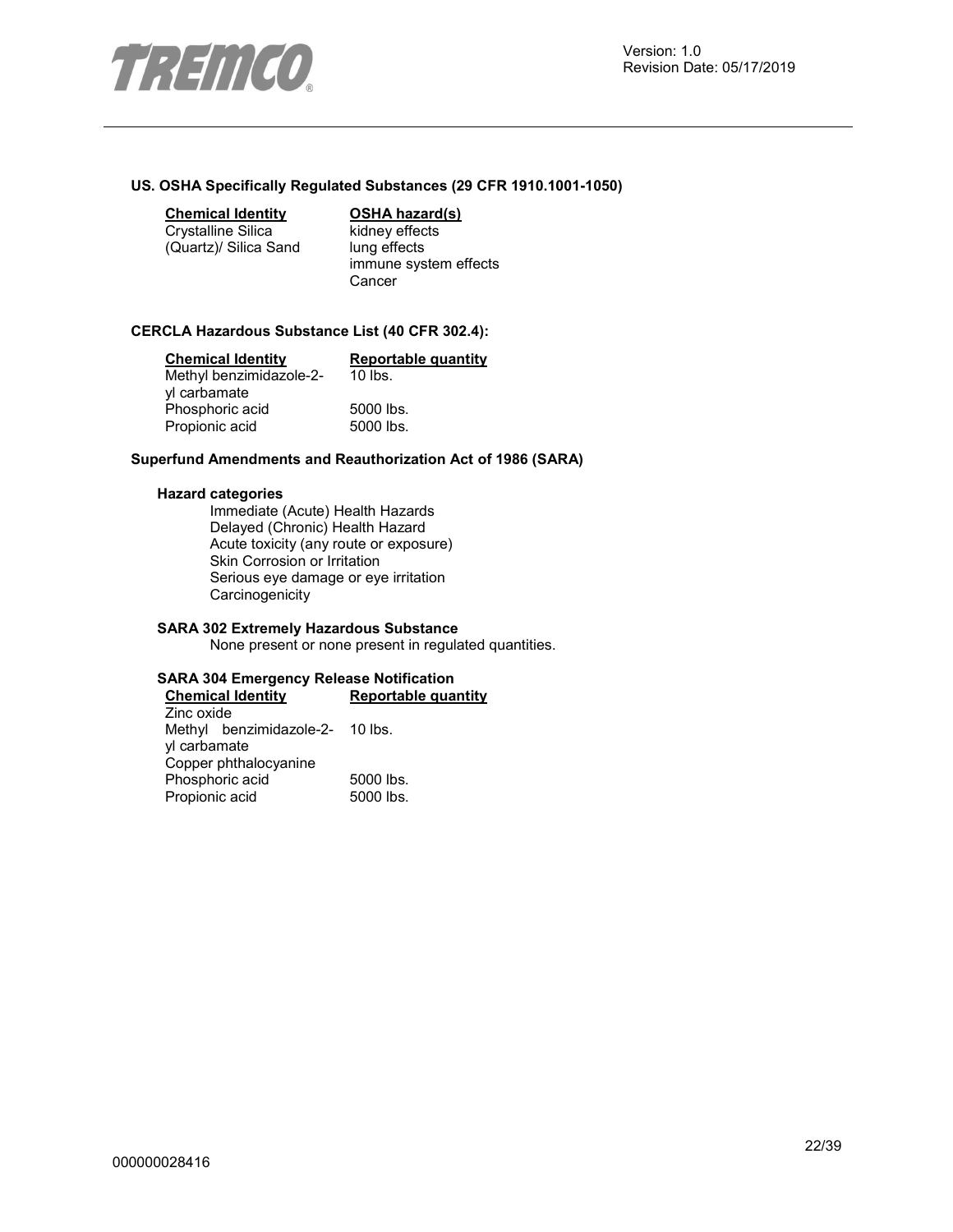

#### **US. OSHA Specifically Regulated Substances (29 CFR 1910.1001-1050)**

#### **Chemical Identity OSHA hazard(s)**

Crystalline Silica (Quartz)/ Silica Sand

kidney effects lung effects immune system effects Cancer

#### **CERCLA Hazardous Substance List (40 CFR 302.4):**

| <b>Chemical Identity</b> | <b>Reportable quantity</b> |
|--------------------------|----------------------------|
| Methyl benzimidazole-2-  | $10$ lbs.                  |
| yl carbamate             |                            |
| Phosphoric acid          | 5000 lbs.                  |
| Propionic acid           | 5000 lbs.                  |

#### **Superfund Amendments and Reauthorization Act of 1986 (SARA)**

#### **Hazard categories**

Immediate (Acute) Health Hazards Delayed (Chronic) Health Hazard Acute toxicity (any route or exposure) Skin Corrosion or Irritation Serious eye damage or eye irritation **Carcinogenicity** 

#### **SARA 302 Extremely Hazardous Substance**

None present or none present in regulated quantities.

#### **SARA 304 Emergency Release Notification**

| <b>Chemical Identity</b>        | <b>Reportable quantity</b> |  |
|---------------------------------|----------------------------|--|
| Zinc oxide                      |                            |  |
| Methyl benzimidazole-2- 10 lbs. |                            |  |
| yl carbamate                    |                            |  |
| Copper phthalocyanine           |                            |  |
| Phosphoric acid                 | 5000 lbs.                  |  |
| Propionic acid                  | 5000 lbs.                  |  |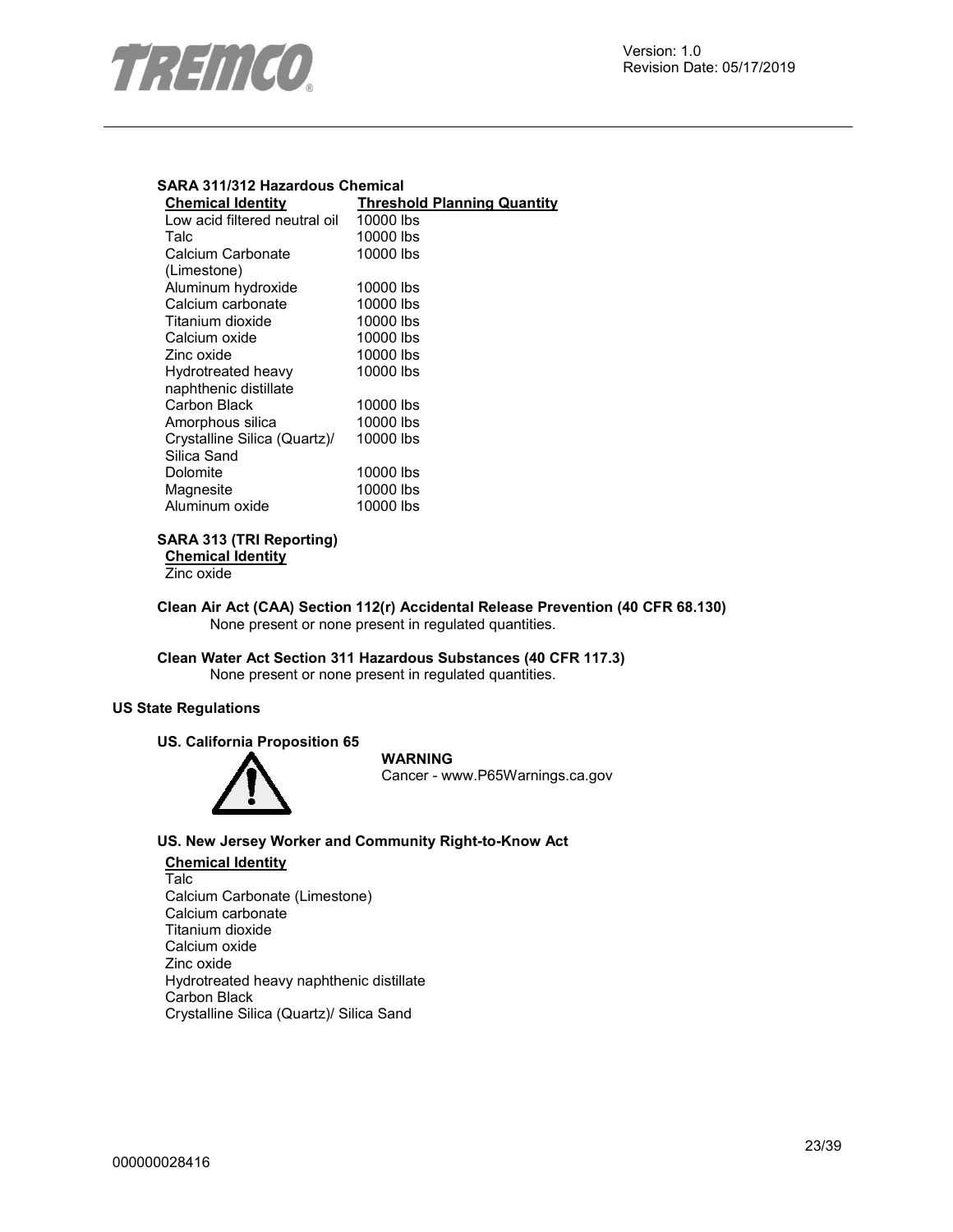

#### **SARA 311/312 Hazardous Chemical**

| <b>Chemical Identity</b>      | <b>Threshold Planning Quantity</b> |
|-------------------------------|------------------------------------|
| Low acid filtered neutral oil | 10000 lbs                          |
| Talc                          | 10000 lbs                          |
| Calcium Carbonate             | 10000 lbs                          |
| (Limestone)                   |                                    |
| Aluminum hydroxide            | 10000 lbs                          |
| Calcium carbonate             | 10000 lbs                          |
| Titanium dioxide              | 10000 lbs                          |
| Calcium oxide                 | 10000 lbs                          |
| Zinc oxide                    | 10000 lbs                          |
| Hydrotreated heavy            | 10000 lbs                          |
| naphthenic distillate         |                                    |
| Carbon Black                  | 10000 lbs                          |
| Amorphous silica              | 10000 lbs                          |
| Crystalline Silica (Quartz)/  | 10000 lbs                          |
| Silica Sand                   |                                    |
| Dolomite                      | 10000 lbs                          |
| Magnesite                     | 10000 lbs                          |
| Aluminum oxide                | 10000 lbs                          |
|                               |                                    |

#### **SARA 313 (TRI Reporting)**

**Chemical Identity**

Zinc oxide

**Clean Air Act (CAA) Section 112(r) Accidental Release Prevention (40 CFR 68.130)**  None present or none present in regulated quantities.

**Clean Water Act Section 311 Hazardous Substances (40 CFR 117.3)**  None present or none present in regulated quantities.

#### **US State Regulations**

#### **US. California Proposition 65**



#### **WARNING**

Cancer - www.P65Warnings.ca.gov

#### **US. New Jersey Worker and Community Right-to-Know Act**

#### **Chemical Identity** Talc Calcium Carbonate (Limestone) Calcium carbonate Titanium dioxide Calcium oxide Zinc oxide Hydrotreated heavy naphthenic distillate

Carbon Black Crystalline Silica (Quartz)/ Silica Sand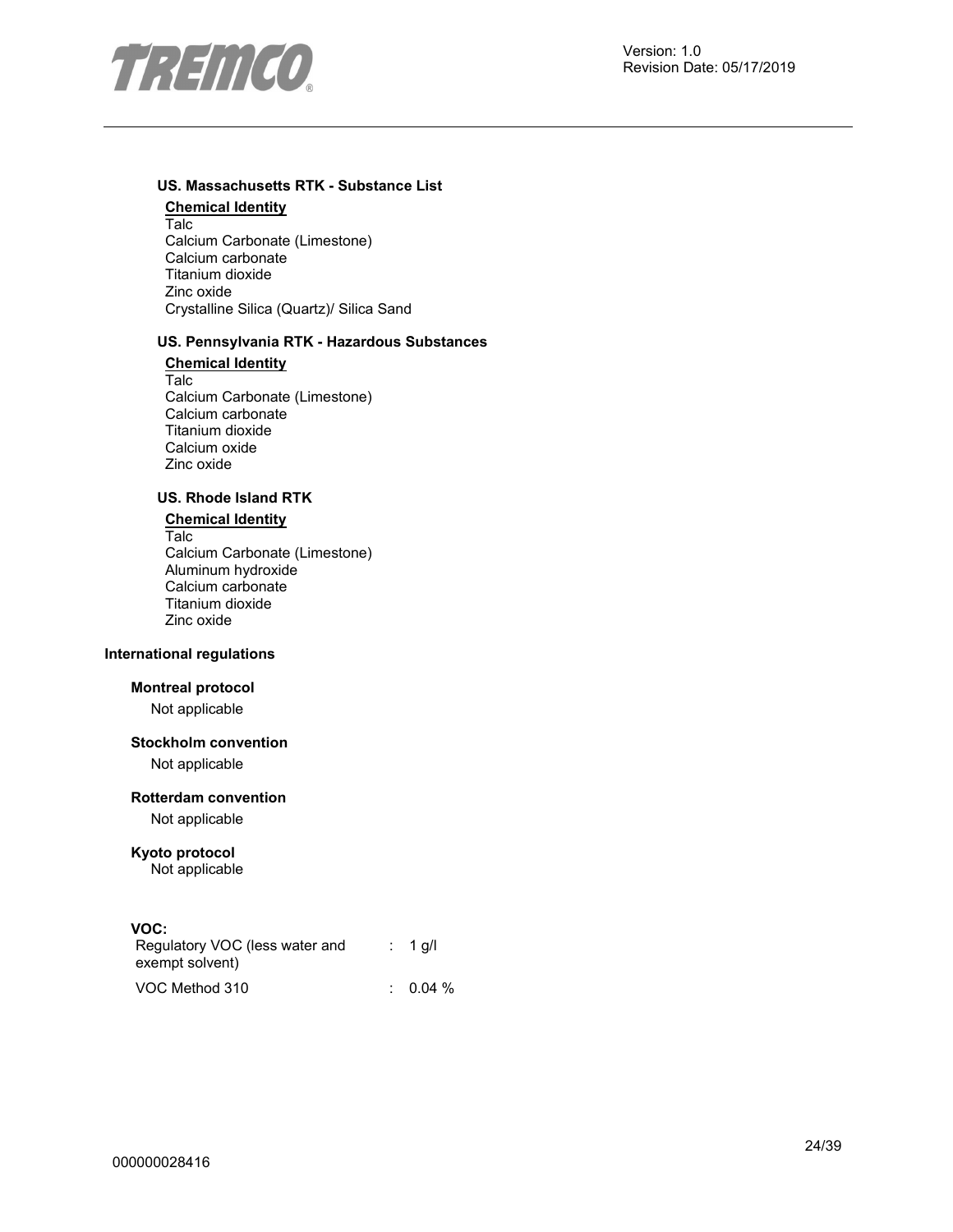

#### **US. Massachusetts RTK - Substance List**

**Chemical Identity** Talc Calcium Carbonate (Limestone) Calcium carbonate Titanium dioxide Zinc oxide Crystalline Silica (Quartz)/ Silica Sand

#### **US. Pennsylvania RTK - Hazardous Substances**

**Chemical Identity** Talc Calcium Carbonate (Limestone) Calcium carbonate Titanium dioxide Calcium oxide Zinc oxide

#### **US. Rhode Island RTK**

#### **Chemical Identity**

Talc Calcium Carbonate (Limestone) Aluminum hydroxide Calcium carbonate Titanium dioxide Zinc oxide

#### **International regulations**

#### **Montreal protocol**

Not applicable

#### **Stockholm convention**

Not applicable

#### **Rotterdam convention**

Not applicable

#### **Kyoto protocol**

Not applicable

#### **VOC:**

| Regulatory VOC (less water and<br>exempt solvent) | $: 1$ q/l |
|---------------------------------------------------|-----------|
| VOC Method 310                                    | $0.04\%$  |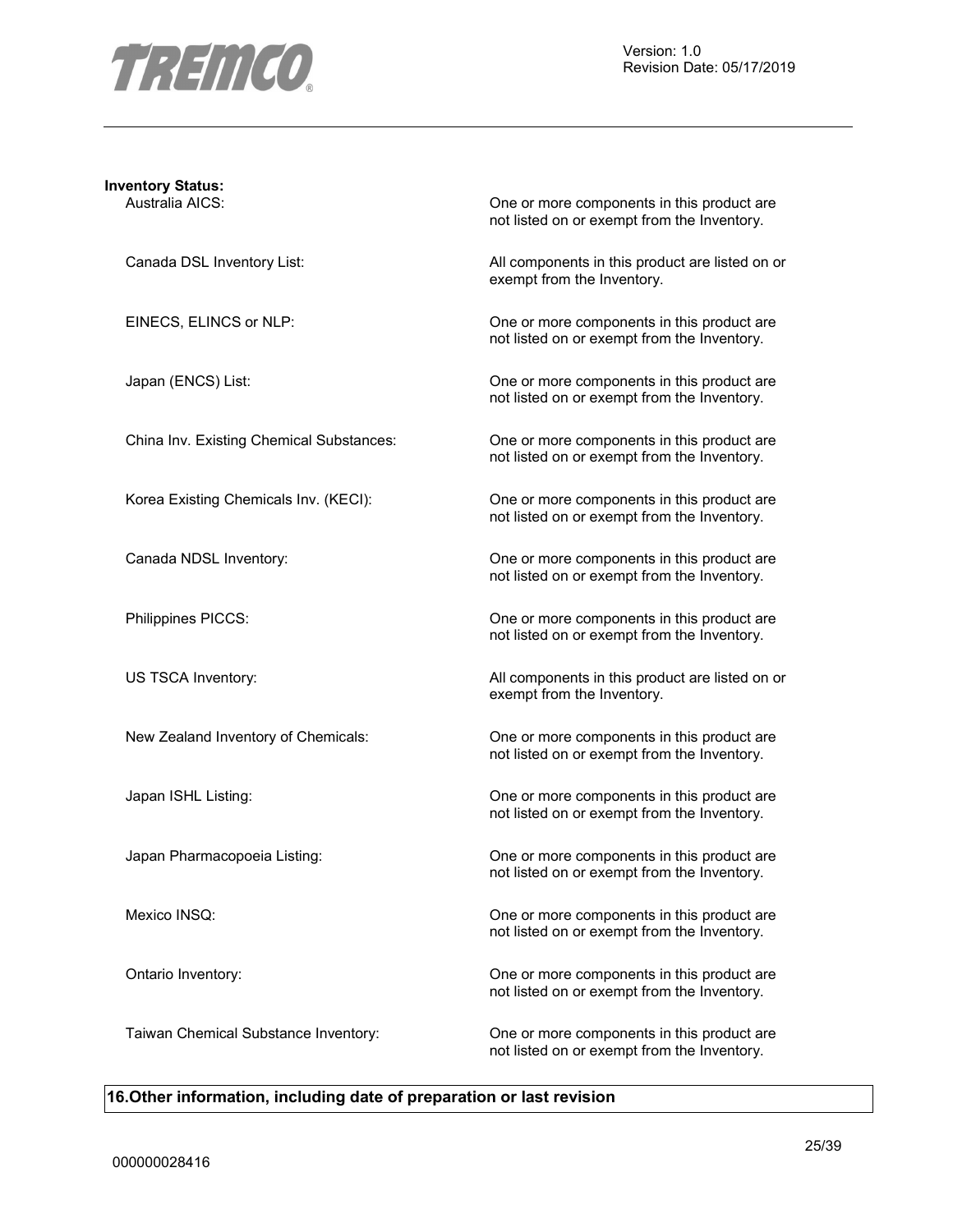

# **Inventory Status:**

Australia AICS: One or more components in this product are not listed on or exempt from the Inventory.

Canada DSL Inventory List: All components in this product are listed on or exempt from the Inventory.

EINECS, ELINCS or NLP: One or more components in this product are not listed on or exempt from the Inventory.

Japan (ENCS) List: One or more components in this product are not listed on or exempt from the Inventory.

China Inv. Existing Chemical Substances: One or more components in this product are not listed on or exempt from the Inventory.

Korea Existing Chemicals Inv. (KECI): One or more components in this product are not listed on or exempt from the Inventory.

Canada NDSL Inventory:  $\Box$  One or more components in this product are not listed on or exempt from the Inventory.

Philippines PICCS: One or more components in this product are not listed on or exempt from the Inventory.

US TSCA Inventory: example a set of the All components in this product are listed on or exempt from the Inventory.

New Zealand Inventory of Chemicals: One or more components in this product are not listed on or exempt from the Inventory.

Japan ISHL Listing: One or more components in this product are not listed on or exempt from the Inventory.

Japan Pharmacopoeia Listing: One or more components in this product are not listed on or exempt from the Inventory.

Mexico INSQ: One or more components in this product are not listed on or exempt from the Inventory.

Ontario Inventory: One or more components in this product are not listed on or exempt from the Inventory.

Taiwan Chemical Substance Inventory: One or more components in this product are not listed on or exempt from the Inventory.

#### **16.Other information, including date of preparation or last revision**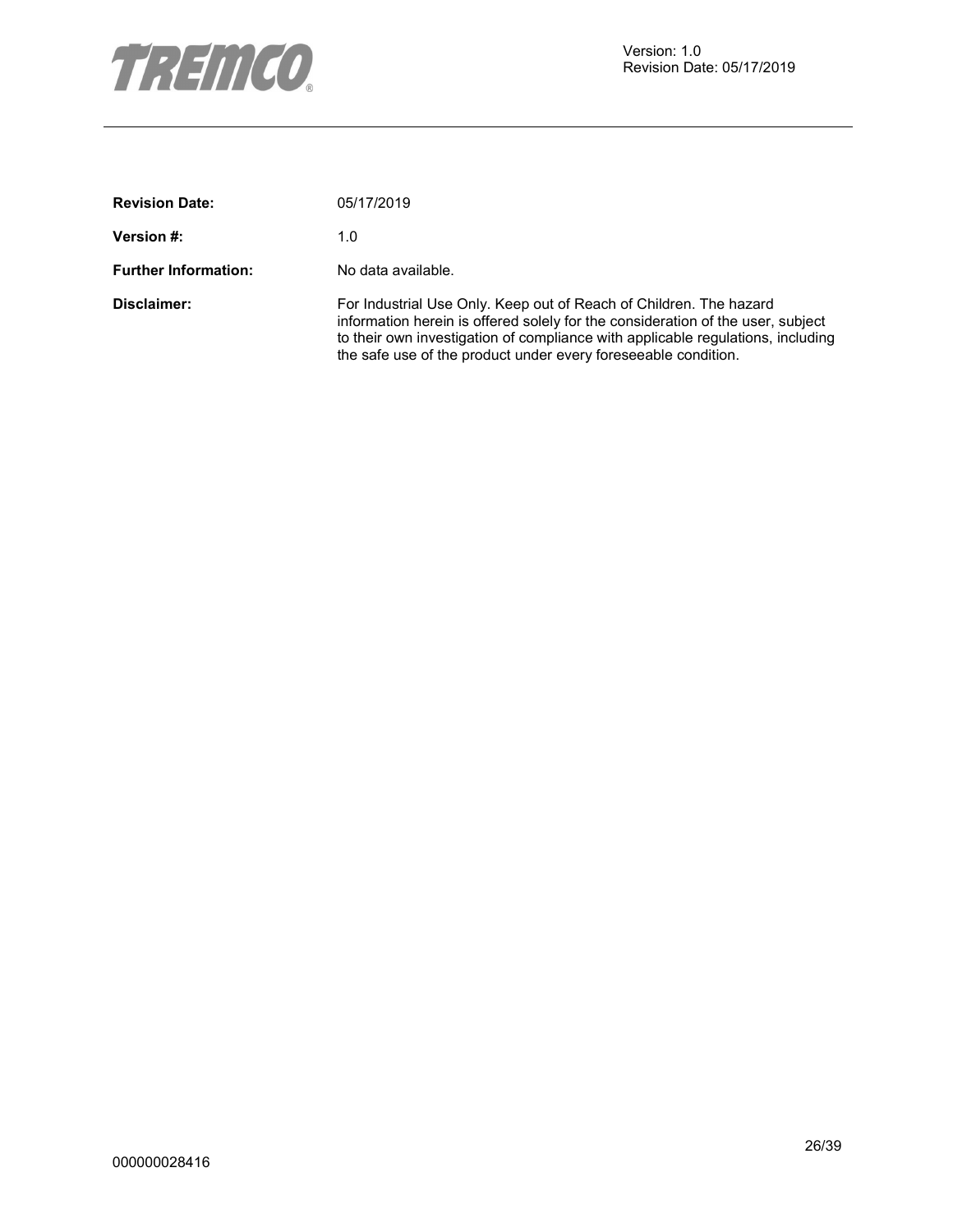

| <b>Revision Date:</b>       | 05/17/2019                                                                                                                                                                                                                                                                                                  |
|-----------------------------|-------------------------------------------------------------------------------------------------------------------------------------------------------------------------------------------------------------------------------------------------------------------------------------------------------------|
| <b>Version #:</b>           | 1.0                                                                                                                                                                                                                                                                                                         |
| <b>Further Information:</b> | No data available.                                                                                                                                                                                                                                                                                          |
| Disclaimer:                 | For Industrial Use Only. Keep out of Reach of Children. The hazard<br>information herein is offered solely for the consideration of the user, subject<br>to their own investigation of compliance with applicable regulations, including<br>the safe use of the product under every fore seeable condition. |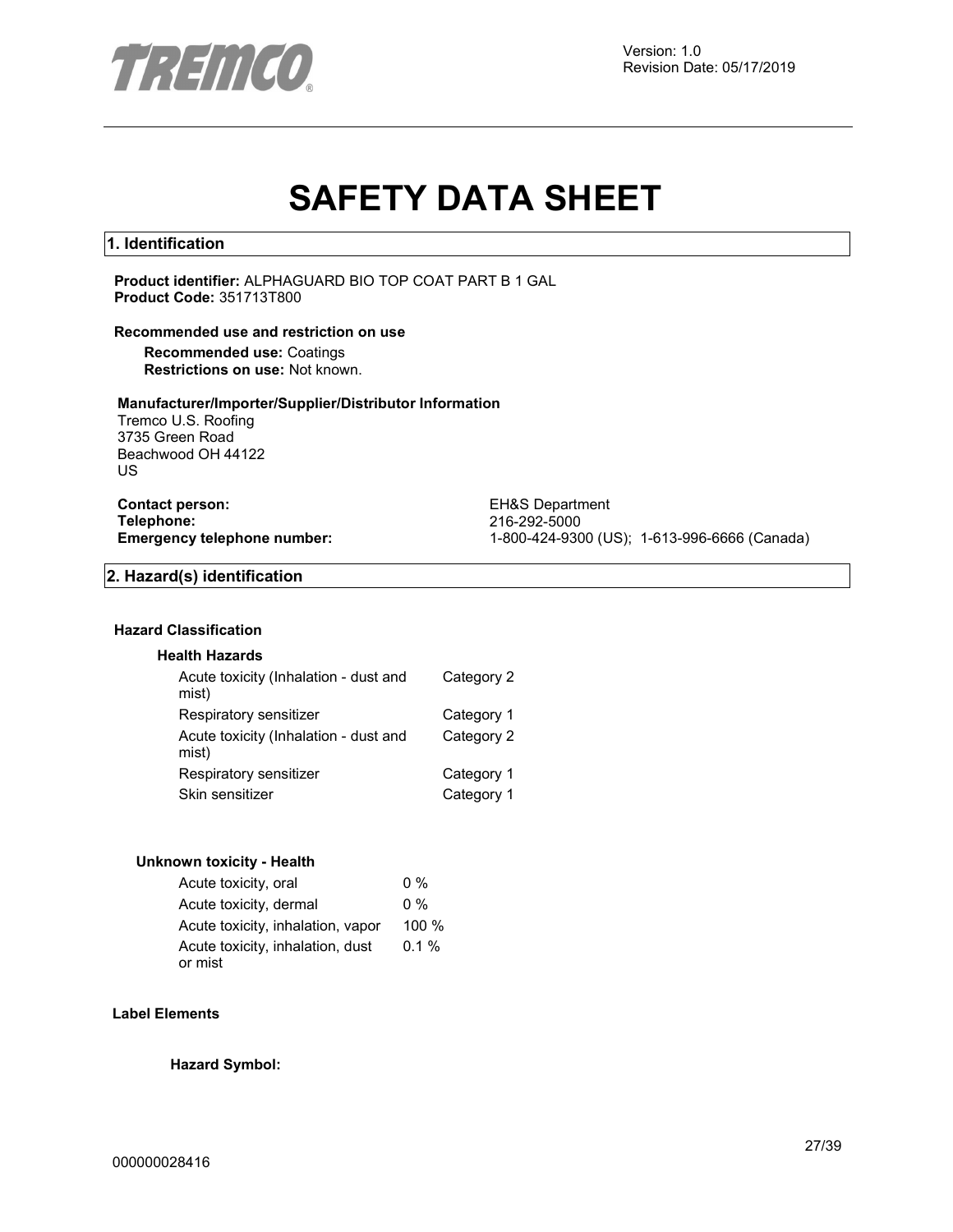

# **SAFETY DATA SHEET**

#### **1. Identification**

**Product identifier:** ALPHAGUARD BIO TOP COAT PART B 1 GAL **Product Code:** 351713T800

#### **Recommended use and restriction on use**

**Recommended use:** Coatings **Restrictions on use:** Not known.

#### **Manufacturer/Importer/Supplier/Distributor Information**

Tremco U.S. Roofing 3735 Green Road Beachwood OH 44122 US

**Contact person:** EH&S Department<br> **Telephone:** 216-292-5000 **Telephone:** 216-292-5000

**Emergency telephone number:** 1-800-424-9300 (US); 1-613-996-6666 (Canada)

#### **2. Hazard(s) identification**

#### **Hazard Classification**

#### **Health Hazards**

| Acute toxicity (Inhalation - dust and<br>mist) | Category 2 |
|------------------------------------------------|------------|
| Respiratory sensitizer                         | Category 1 |
| Acute toxicity (Inhalation - dust and<br>mist) | Category 2 |
| Respiratory sensitizer                         | Category 1 |
| Skin sensitizer                                | Category 1 |

#### **Unknown toxicity - Health**

| Acute toxicity, oral                        | $0\%$   |
|---------------------------------------------|---------|
| Acute toxicity, dermal                      | $0\%$   |
| Acute toxicity, inhalation, vapor           | 100 %   |
| Acute toxicity, inhalation, dust<br>or mist | $0.1\%$ |
|                                             |         |

#### **Label Elements**

**Hazard Symbol:**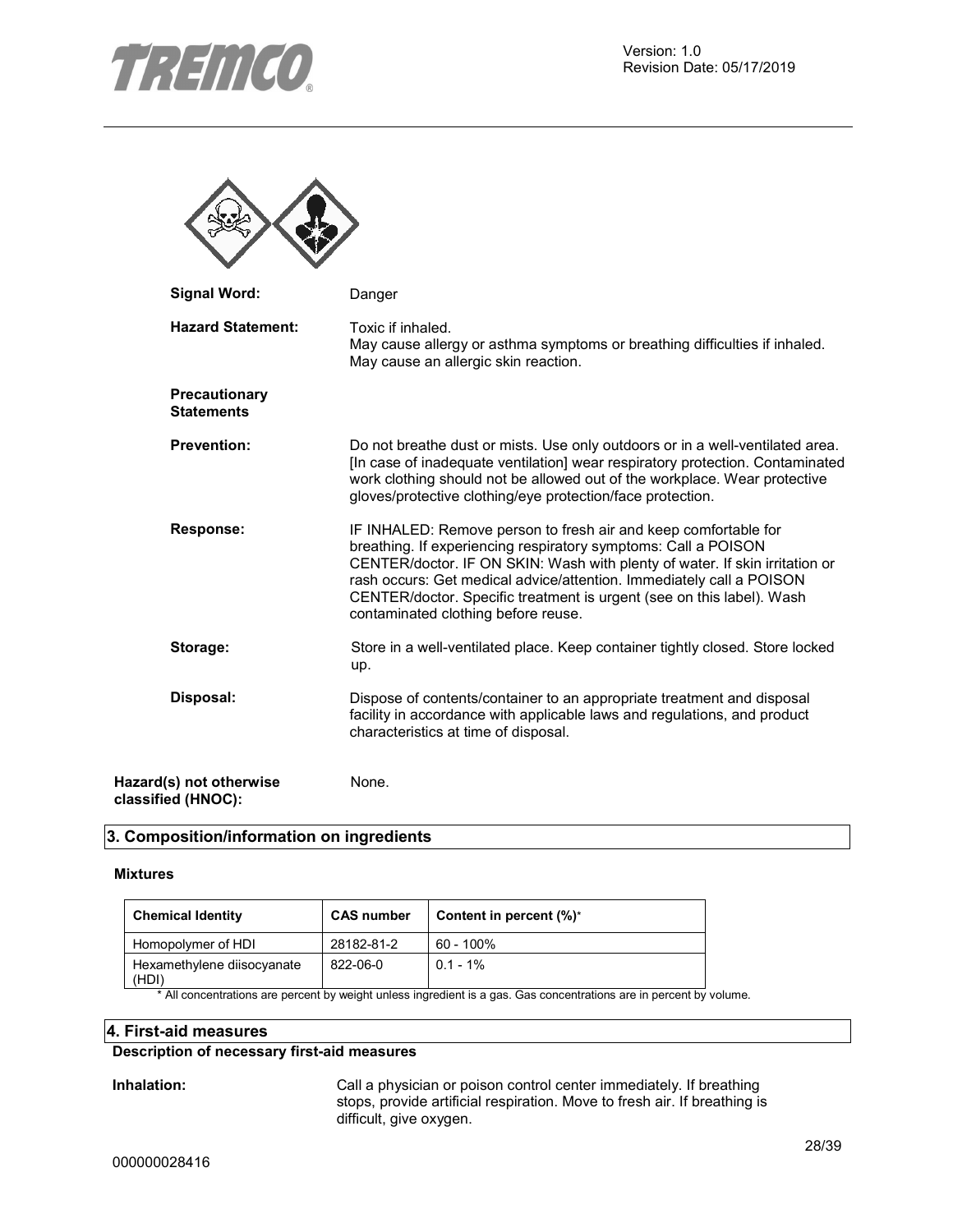

 $\blacktriangle$ 

木

| <b>Signal Word:</b>                           | Danger                                                                                                                                                                                                                                                                                                                                                                                                   |
|-----------------------------------------------|----------------------------------------------------------------------------------------------------------------------------------------------------------------------------------------------------------------------------------------------------------------------------------------------------------------------------------------------------------------------------------------------------------|
| <b>Hazard Statement:</b>                      | Toxic if inhaled.<br>May cause allergy or asthma symptoms or breathing difficulties if inhaled.<br>May cause an allergic skin reaction.                                                                                                                                                                                                                                                                  |
| Precautionary<br><b>Statements</b>            |                                                                                                                                                                                                                                                                                                                                                                                                          |
| <b>Prevention:</b>                            | Do not breathe dust or mists. Use only outdoors or in a well-ventilated area.<br>[In case of inadequate ventilation] wear respiratory protection. Contaminated<br>work clothing should not be allowed out of the workplace. Wear protective<br>gloves/protective clothing/eye protection/face protection.                                                                                                |
| <b>Response:</b>                              | IF INHALED: Remove person to fresh air and keep comfortable for<br>breathing. If experiencing respiratory symptoms: Call a POISON<br>CENTER/doctor. IF ON SKIN: Wash with plenty of water. If skin irritation or<br>rash occurs: Get medical advice/attention. Immediately call a POISON<br>CENTER/doctor. Specific treatment is urgent (see on this label). Wash<br>contaminated clothing before reuse. |
| Storage:                                      | Store in a well-ventilated place. Keep container tightly closed. Store locked<br>up.                                                                                                                                                                                                                                                                                                                     |
| Disposal:                                     | Dispose of contents/container to an appropriate treatment and disposal<br>facility in accordance with applicable laws and regulations, and product<br>characteristics at time of disposal.                                                                                                                                                                                                               |
| Hazard(s) not otherwise<br>classified (HNOC): | None.                                                                                                                                                                                                                                                                                                                                                                                                    |

#### **3. Composition/information on ingredients**

#### **Mixtures**

| <b>Chemical Identity</b>            | <b>CAS number</b> | Content in percent (%)* |
|-------------------------------------|-------------------|-------------------------|
| Homopolymer of HDI                  | 28182-81-2        | $60 - 100\%$            |
| Hexamethylene diisocyanate<br>(HDI) | 822-06-0          | $0.1 - 1\%$             |

\* All concentrations are percent by weight unless ingredient is a gas. Gas concentrations are in percent by volume.

#### **4. First-aid measures**

#### **Description of necessary first-aid measures**

**Inhalation:** Call a physician or poison control center immediately. If breathing stops, provide artificial respiration. Move to fresh air. If breathing is difficult, give oxygen.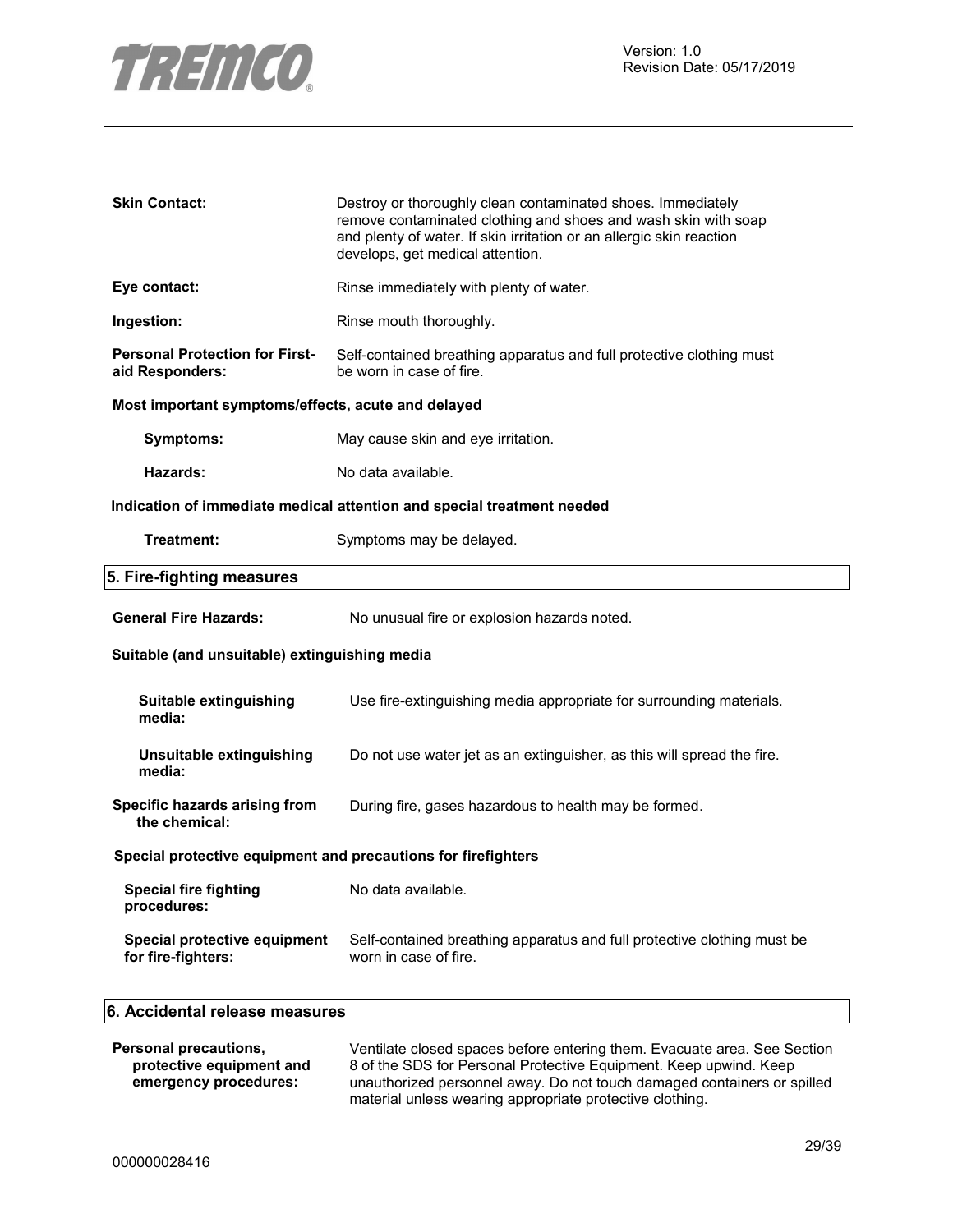

| <b>Skin Contact:</b>                                          | Destroy or thoroughly clean contaminated shoes. Immediately<br>remove contaminated clothing and shoes and wash skin with soap<br>and plenty of water. If skin irritation or an allergic skin reaction<br>develops, get medical attention. |
|---------------------------------------------------------------|-------------------------------------------------------------------------------------------------------------------------------------------------------------------------------------------------------------------------------------------|
| Eye contact:                                                  | Rinse immediately with plenty of water.                                                                                                                                                                                                   |
| Ingestion:                                                    | Rinse mouth thoroughly.                                                                                                                                                                                                                   |
| <b>Personal Protection for First-</b><br>aid Responders:      | Self-contained breathing apparatus and full protective clothing must<br>be worn in case of fire.                                                                                                                                          |
| Most important symptoms/effects, acute and delayed            |                                                                                                                                                                                                                                           |
| <b>Symptoms:</b>                                              | May cause skin and eye irritation.                                                                                                                                                                                                        |
| Hazards:                                                      | No data available.                                                                                                                                                                                                                        |
|                                                               | Indication of immediate medical attention and special treatment needed                                                                                                                                                                    |
| Treatment:                                                    | Symptoms may be delayed.                                                                                                                                                                                                                  |
| 5. Fire-fighting measures                                     |                                                                                                                                                                                                                                           |
| <b>General Fire Hazards:</b>                                  | No unusual fire or explosion hazards noted.                                                                                                                                                                                               |
| Suitable (and unsuitable) extinguishing media                 |                                                                                                                                                                                                                                           |
| Suitable extinguishing<br>media:                              | Use fire-extinguishing media appropriate for surrounding materials.                                                                                                                                                                       |
| Unsuitable extinguishing<br>media:                            | Do not use water jet as an extinguisher, as this will spread the fire.                                                                                                                                                                    |
| Specific hazards arising from<br>the chemical:                | During fire, gases hazardous to health may be formed.                                                                                                                                                                                     |
| Special protective equipment and precautions for firefighters |                                                                                                                                                                                                                                           |
| <b>Special fire fighting</b><br>procedures:                   | No data available.                                                                                                                                                                                                                        |
| Special protective equipment<br>for fire-fighters:            | Self-contained breathing apparatus and full protective clothing must be<br>worn in case of fire.                                                                                                                                          |
| 6. Accidental release measures                                |                                                                                                                                                                                                                                           |

| Personal precautions,    | Ventilate closed spaces before entering them. Evacuate area. See Section                                                            |
|--------------------------|-------------------------------------------------------------------------------------------------------------------------------------|
| protective equipment and | 8 of the SDS for Personal Protective Equipment. Keep upwind. Keep                                                                   |
| emergency procedures:    | unauthorized personnel away. Do not touch damaged containers or spilled<br>material unless wearing appropriate protective clothing. |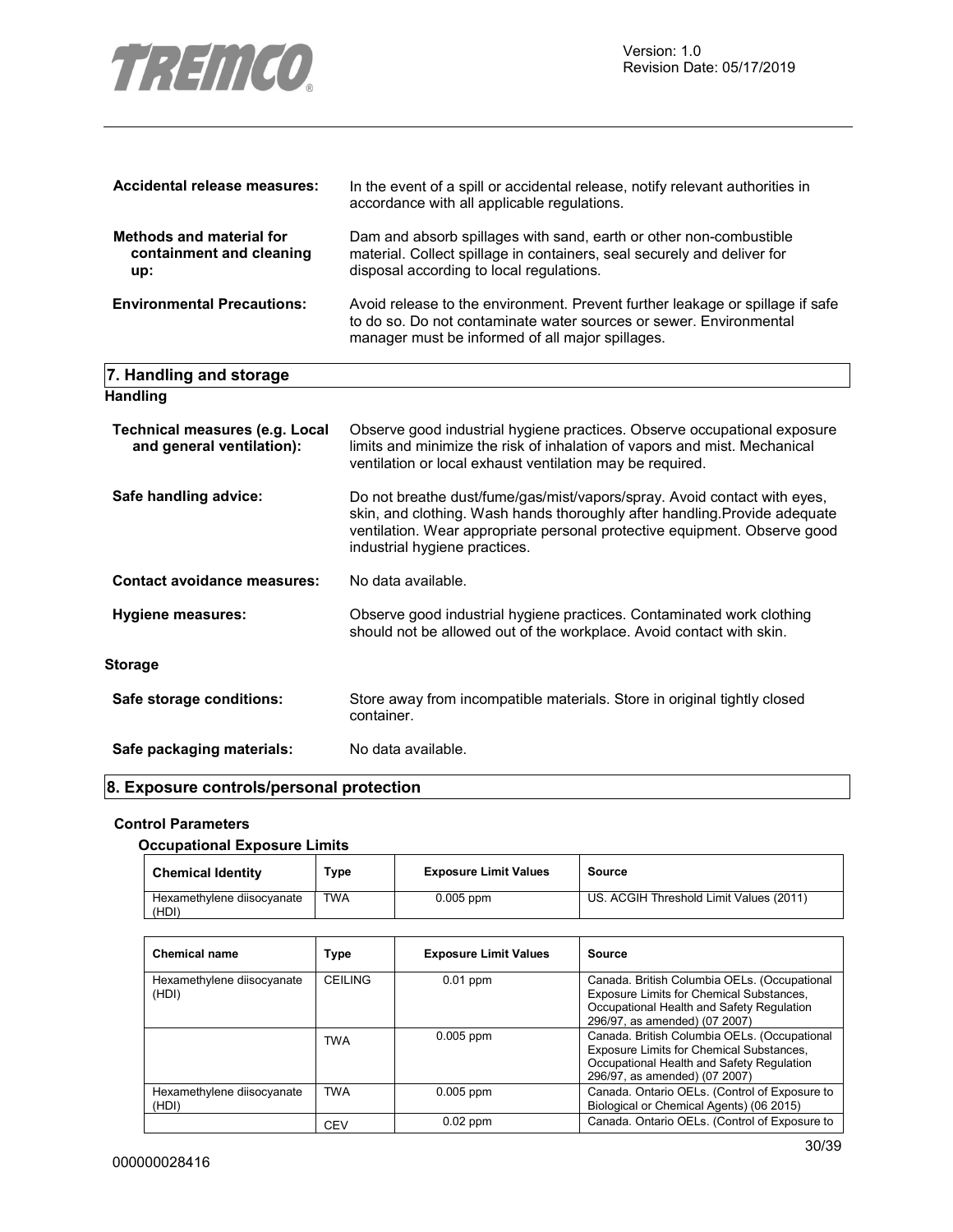

| Accidental release measures:                                       | In the event of a spill or accidental release, notify relevant authorities in<br>accordance with all applicable regulations.                                                                                                                                         |
|--------------------------------------------------------------------|----------------------------------------------------------------------------------------------------------------------------------------------------------------------------------------------------------------------------------------------------------------------|
| <b>Methods and material for</b><br>containment and cleaning<br>up: | Dam and absorb spillages with sand, earth or other non-combustible<br>material. Collect spillage in containers, seal securely and deliver for<br>disposal according to local regulations.                                                                            |
| <b>Environmental Precautions:</b>                                  | Avoid release to the environment. Prevent further leakage or spillage if safe<br>to do so. Do not contaminate water sources or sewer. Environmental<br>manager must be informed of all major spillages.                                                              |
| 7. Handling and storage                                            |                                                                                                                                                                                                                                                                      |
| <b>Handling</b>                                                    |                                                                                                                                                                                                                                                                      |
| <b>Technical measures (e.g. Local</b><br>and general ventilation): | Observe good industrial hygiene practices. Observe occupational exposure<br>limits and minimize the risk of inhalation of vapors and mist. Mechanical<br>ventilation or local exhaust ventilation may be required.                                                   |
| Safe handling advice:                                              | Do not breathe dust/fume/gas/mist/vapors/spray. Avoid contact with eyes,<br>skin, and clothing. Wash hands thoroughly after handling. Provide adequate<br>ventilation. Wear appropriate personal protective equipment. Observe good<br>industrial hygiene practices. |
| <b>Contact avoidance measures:</b>                                 | No data available.                                                                                                                                                                                                                                                   |
| <b>Hygiene measures:</b>                                           | Observe good industrial hygiene practices. Contaminated work clothing<br>should not be allowed out of the workplace. Avoid contact with skin.                                                                                                                        |
| <b>Storage</b>                                                     |                                                                                                                                                                                                                                                                      |
| Safe storage conditions:                                           | Store away from incompatible materials. Store in original tightly closed                                                                                                                                                                                             |

Safe packaging materials: No data available.

#### **8. Exposure controls/personal protection**

container.

#### **Control Parameters**

#### **Occupational Exposure Limits**

| <b>Chemical Identity</b>            | Туре       | <b>Exposure Limit Values</b> | Source                                  |
|-------------------------------------|------------|------------------------------|-----------------------------------------|
| Hexamethylene diisocyanate<br>(HDI) | <b>TWA</b> | $0.005$ ppm                  | US. ACGIH Threshold Limit Values (2011) |

| <b>Chemical name</b>                | Type           | <b>Exposure Limit Values</b> | Source                                                                                                                                                                 |
|-------------------------------------|----------------|------------------------------|------------------------------------------------------------------------------------------------------------------------------------------------------------------------|
| Hexamethylene diisocyanate<br>(HDI) | <b>CEILING</b> | $0.01$ ppm                   | Canada. British Columbia OELs. (Occupational<br>Exposure Limits for Chemical Substances,<br>Occupational Health and Safety Regulation<br>296/97, as amended) (07 2007) |
|                                     | <b>TWA</b>     | $0.005$ ppm                  | Canada. British Columbia OELs. (Occupational<br>Exposure Limits for Chemical Substances,<br>Occupational Health and Safety Regulation<br>296/97, as amended) (07 2007) |
| Hexamethylene diisocyanate<br>(HDI) | <b>TWA</b>     | $0.005$ ppm                  | Canada. Ontario OELs. (Control of Exposure to<br>Biological or Chemical Agents) (06 2015)                                                                              |
|                                     | CEV            | $0.02$ ppm                   | Canada. Ontario OELs. (Control of Exposure to                                                                                                                          |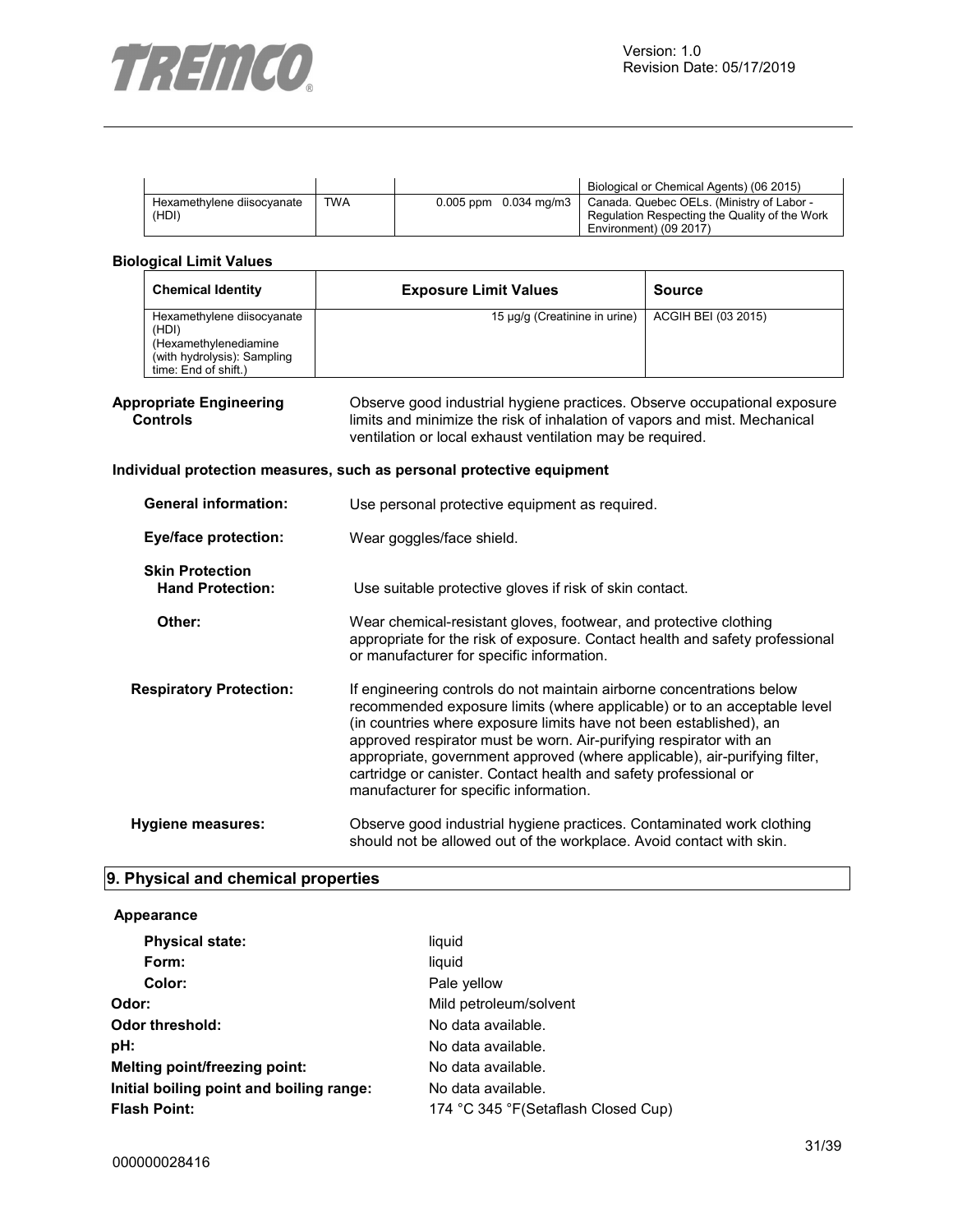

|                                     |            |                           | Biological or Chemical Agents) (06 2015)                                                                             |
|-------------------------------------|------------|---------------------------|----------------------------------------------------------------------------------------------------------------------|
| Hexamethylene diisocyanate<br>(HDI) | <b>TWA</b> | $0.005$ ppm $0.034$ mg/m3 | Canada. Quebec OELs. (Ministry of Labor -<br>Regulation Respecting the Quality of the Work<br>Environment) (09 2017) |

#### **Biological Limit Values**

| <b>Chemical Identity</b>                                                                                            | <b>Exposure Limit Values</b>  | <b>Source</b>       |
|---------------------------------------------------------------------------------------------------------------------|-------------------------------|---------------------|
| Hexamethylene diisocyanate<br>(HDI)<br>(Hexamethylenediamine<br>(with hydrolysis): Sampling<br>time: End of shift.) | 15 µg/g (Creatinine in urine) | ACGIH BEI (03 2015) |

#### **Appropriate Engineering Controls**

Observe good industrial hygiene practices. Observe occupational exposure limits and minimize the risk of inhalation of vapors and mist. Mechanical ventilation or local exhaust ventilation may be required.

#### **Individual protection measures, such as personal protective equipment**

| <b>General information:</b>                       | Use personal protective equipment as required.                                                                                                                                                                                                                                                                                                                                                                                                                                            |  |
|---------------------------------------------------|-------------------------------------------------------------------------------------------------------------------------------------------------------------------------------------------------------------------------------------------------------------------------------------------------------------------------------------------------------------------------------------------------------------------------------------------------------------------------------------------|--|
| <b>Eye/face protection:</b>                       | Wear goggles/face shield.                                                                                                                                                                                                                                                                                                                                                                                                                                                                 |  |
| <b>Skin Protection</b><br><b>Hand Protection:</b> | Use suitable protective gloves if risk of skin contact.                                                                                                                                                                                                                                                                                                                                                                                                                                   |  |
| Other:                                            | Wear chemical-resistant gloves, footwear, and protective clothing<br>appropriate for the risk of exposure. Contact health and safety professional<br>or manufacturer for specific information.                                                                                                                                                                                                                                                                                            |  |
| <b>Respiratory Protection:</b>                    | If engineering controls do not maintain airborne concentrations below<br>recommended exposure limits (where applicable) or to an acceptable level<br>(in countries where exposure limits have not been established), an<br>approved respirator must be worn. Air-purifying respirator with an<br>appropriate, government approved (where applicable), air-purifying filter,<br>cartridge or canister. Contact health and safety professional or<br>manufacturer for specific information. |  |
| Hygiene measures:                                 | Observe good industrial hygiene practices. Contaminated work clothing<br>should not be allowed out of the workplace. Avoid contact with skin.                                                                                                                                                                                                                                                                                                                                             |  |

#### **9. Physical and chemical properties**

#### **Appearance**

| <b>Physical state:</b>                   | liquid                               |
|------------------------------------------|--------------------------------------|
| Form:                                    | liquid                               |
| Color:                                   | Pale yellow                          |
| Odor:                                    | Mild petroleum/solvent               |
| Odor threshold:                          | No data available.                   |
| pH:                                      | No data available.                   |
| Melting point/freezing point:            | No data available.                   |
| Initial boiling point and boiling range: | No data available.                   |
| <b>Flash Point:</b>                      | 174 °C 345 °F (Setaflash Closed Cup) |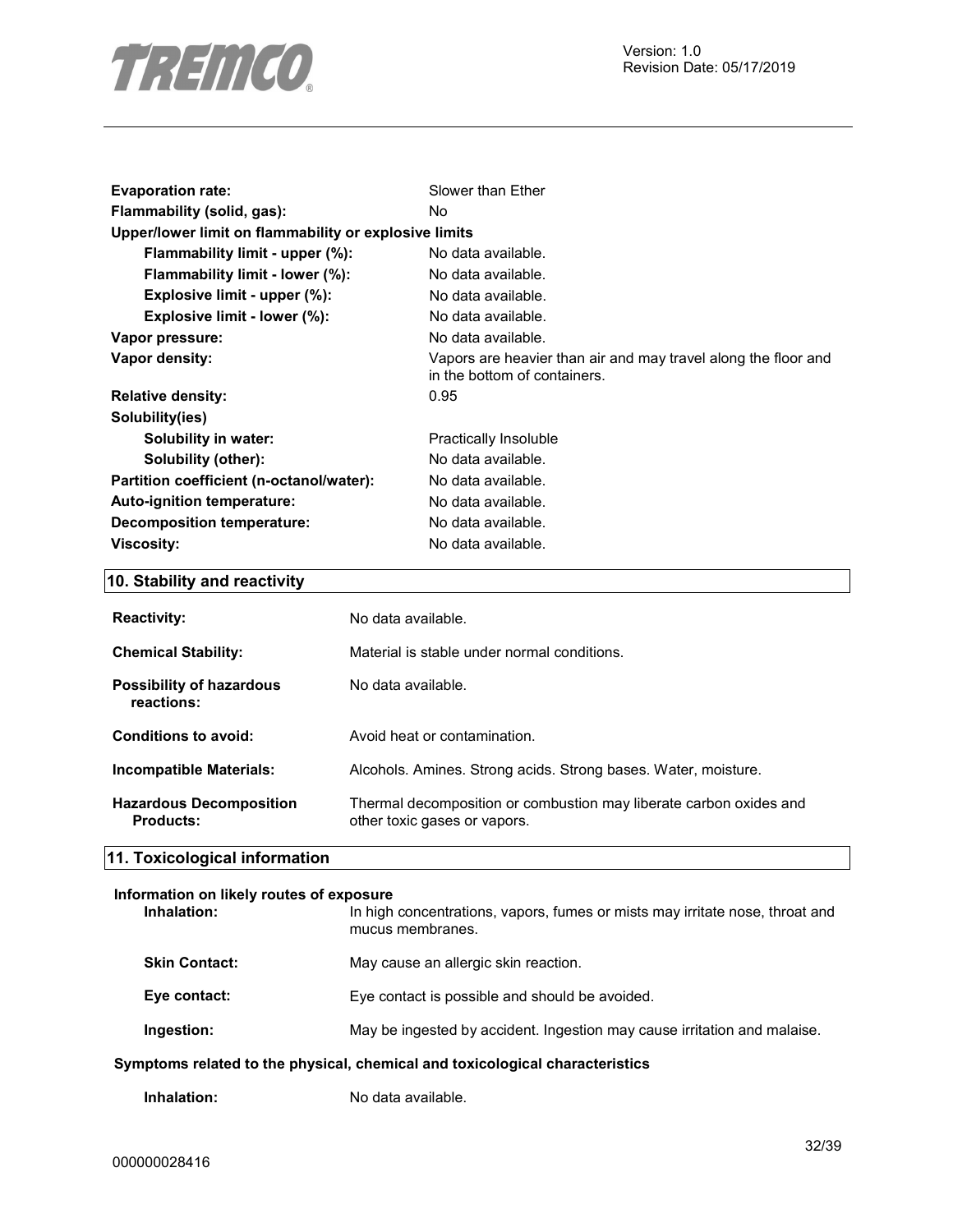

| <b>Evaporation rate:</b>                              | Slower than Ether                                                                              |
|-------------------------------------------------------|------------------------------------------------------------------------------------------------|
| Flammability (solid, gas):                            | No.                                                                                            |
| Upper/lower limit on flammability or explosive limits |                                                                                                |
| Flammability limit - upper (%):                       | No data available.                                                                             |
| Flammability limit - lower (%):                       | No data available.                                                                             |
| Explosive limit - upper $(\%)$ :                      | No data available.                                                                             |
| Explosive limit - lower (%):                          | No data available.                                                                             |
| Vapor pressure:                                       | No data available.                                                                             |
| Vapor density:                                        | Vapors are heavier than air and may travel along the floor and<br>in the bottom of containers. |
| <b>Relative density:</b>                              | 0.95                                                                                           |
| Solubility(ies)                                       |                                                                                                |
| Solubility in water:                                  | Practically Insoluble                                                                          |
| Solubility (other):                                   | No data available.                                                                             |
| Partition coefficient (n-octanol/water):              | No data available.                                                                             |
| Auto-ignition temperature:                            | No data available.                                                                             |
| <b>Decomposition temperature:</b>                     | No data available.                                                                             |
| Viscosity:                                            | No data available.                                                                             |

## **10. Stability and reactivity**

| <b>Reactivity:</b>                          | No data available.                                                                                 |
|---------------------------------------------|----------------------------------------------------------------------------------------------------|
| <b>Chemical Stability:</b>                  | Material is stable under normal conditions.                                                        |
| Possibility of hazardous<br>reactions:      | No data available.                                                                                 |
| Conditions to avoid:                        | Avoid heat or contamination.                                                                       |
| <b>Incompatible Materials:</b>              | Alcohols. Amines. Strong acids. Strong bases. Water, moisture.                                     |
| <b>Hazardous Decomposition</b><br>Products: | Thermal decomposition or combustion may liberate carbon oxides and<br>other toxic gases or vapors. |

## **11. Toxicological information**

# **Information on likely routes of exposure Inhalation:** In high concentrations, vapors, fumes or mists may irritate nose, throat and mucus membranes. **Skin Contact:** May cause an allergic skin reaction. Eye contact: Eye contact is possible and should be avoided. **Ingestion:** May be ingested by accident. Ingestion may cause irritation and malaise. **Symptoms related to the physical, chemical and toxicological characteristics**

**Inhalation:** No data available.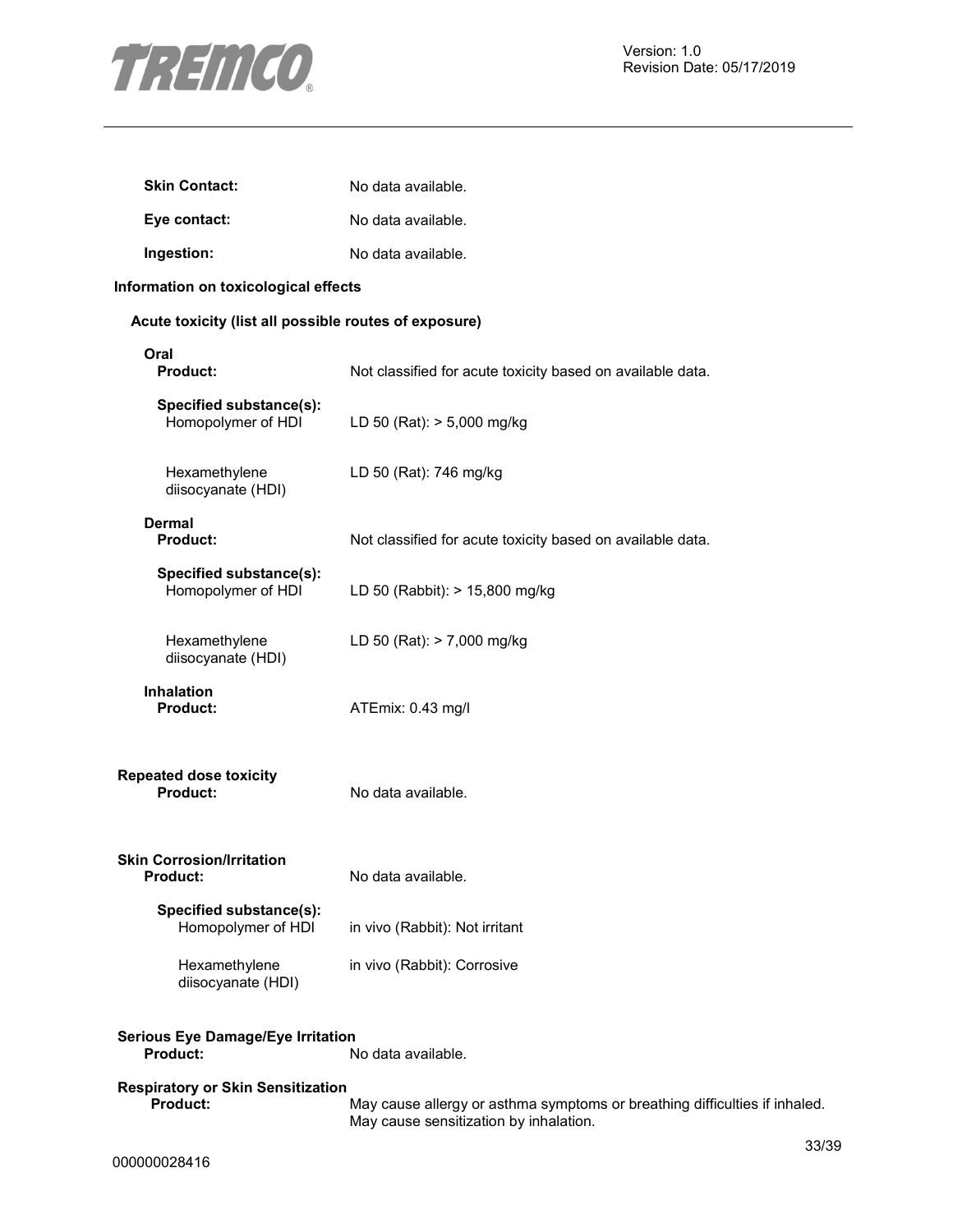

| <b>Skin Contact:</b> | No data available. |
|----------------------|--------------------|
| Eye contact:         | No data available. |
| Ingestion:           | No data available. |

#### **Information on toxicological effects**

#### **Acute toxicity (list all possible routes of exposure)**

| Oral<br>Product:                                            | Not classified for acute toxicity based on available data.  |
|-------------------------------------------------------------|-------------------------------------------------------------|
| Specified substance(s):<br>Homopolymer of HDI               | LD 50 (Rat): > 5,000 mg/kg                                  |
| Hexamethylene<br>diisocyanate (HDI)                         | LD 50 (Rat): 746 mg/kg                                      |
| Dermal<br><b>Product:</b>                                   | Not classified for acute toxicity based on available data.  |
| Specified substance(s):<br>Homopolymer of HDI               | LD 50 (Rabbit): > 15,800 mg/kg                              |
| Hexamethylene<br>diisocyanate (HDI)                         | LD 50 (Rat): > 7,000 mg/kg                                  |
| <b>Inhalation</b><br><b>Product:</b>                        | ATEmix: 0.43 mg/l                                           |
| <b>Repeated dose toxicity</b><br>Product:                   | No data available.                                          |
| <b>Skin Corrosion/Irritation</b><br><b>Product:</b>         | No data available.                                          |
| Specified substance(s):<br>Homopolymer of HDI               | in vivo (Rabbit): Not irritant                              |
| Hexamethylene<br>diisocyanate (HDI)                         | in vivo (Rabbit): Corrosive                                 |
| <b>Serious Eye Damage/Eye Irritation</b><br><b>Product:</b> | No data available.                                          |
| <b>Respiratory or Skin Sensitization</b><br><b>Product:</b> | May cause allergy or asthma symptoms or breathing difficult |

May cause sensitization by inhalation.

May cause allergy or asthma symptoms or breathing difficulties if inhaled.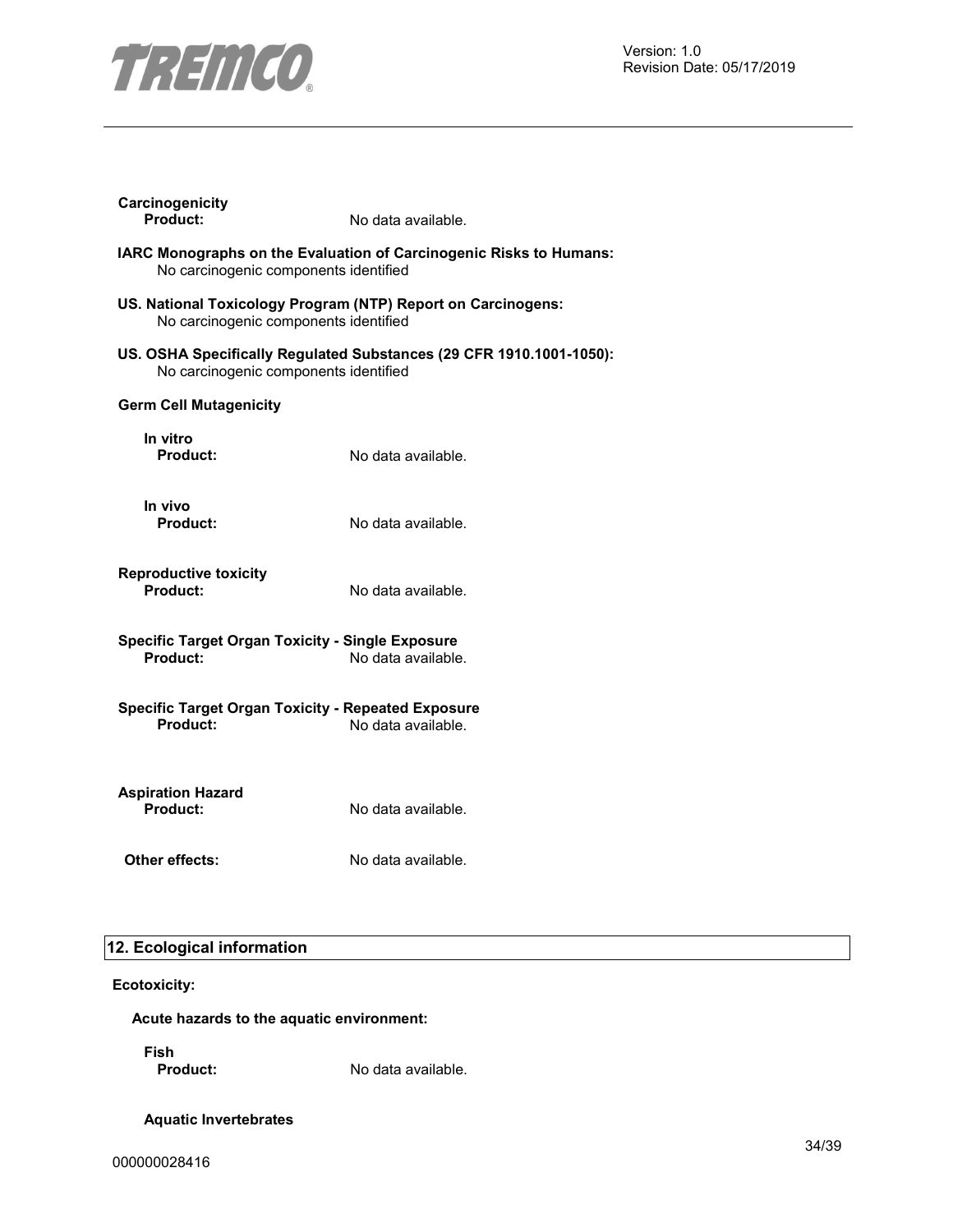

| No carcinogenic components identified<br>No carcinogenic components identified<br>No carcinogenic components identified<br><b>Germ Cell Mutagenicity</b><br>In vitro<br><b>Product:</b><br>No data available.<br>In vivo<br>Product:<br>No data available.<br><b>Reproductive toxicity</b><br>Product:<br>No data available.<br><b>Specific Target Organ Toxicity - Single Exposure</b><br>Product:<br>No data available.<br><b>Specific Target Organ Toxicity - Repeated Exposure</b><br><b>Product:</b><br>No data available.<br><b>Aspiration Hazard</b><br><b>Product:</b><br>No data available.<br>Other effects:<br>No data available. | Carcinogenicity<br>Product:                                         | No data available. |
|----------------------------------------------------------------------------------------------------------------------------------------------------------------------------------------------------------------------------------------------------------------------------------------------------------------------------------------------------------------------------------------------------------------------------------------------------------------------------------------------------------------------------------------------------------------------------------------------------------------------------------------------|---------------------------------------------------------------------|--------------------|
|                                                                                                                                                                                                                                                                                                                                                                                                                                                                                                                                                                                                                                              | IARC Monographs on the Evaluation of Carcinogenic Risks to Humans:  |                    |
|                                                                                                                                                                                                                                                                                                                                                                                                                                                                                                                                                                                                                                              | US. National Toxicology Program (NTP) Report on Carcinogens:        |                    |
|                                                                                                                                                                                                                                                                                                                                                                                                                                                                                                                                                                                                                                              | US. OSHA Specifically Regulated Substances (29 CFR 1910.1001-1050): |                    |
|                                                                                                                                                                                                                                                                                                                                                                                                                                                                                                                                                                                                                                              |                                                                     |                    |
|                                                                                                                                                                                                                                                                                                                                                                                                                                                                                                                                                                                                                                              |                                                                     |                    |
|                                                                                                                                                                                                                                                                                                                                                                                                                                                                                                                                                                                                                                              |                                                                     |                    |
|                                                                                                                                                                                                                                                                                                                                                                                                                                                                                                                                                                                                                                              |                                                                     |                    |
|                                                                                                                                                                                                                                                                                                                                                                                                                                                                                                                                                                                                                                              |                                                                     |                    |
|                                                                                                                                                                                                                                                                                                                                                                                                                                                                                                                                                                                                                                              |                                                                     |                    |
|                                                                                                                                                                                                                                                                                                                                                                                                                                                                                                                                                                                                                                              |                                                                     |                    |
|                                                                                                                                                                                                                                                                                                                                                                                                                                                                                                                                                                                                                                              |                                                                     |                    |

# **12. Ecological information**

**Ecotoxicity:**

**Acute hazards to the aquatic environment:** 

**Fish** 

No data available.

**Aquatic Invertebrates**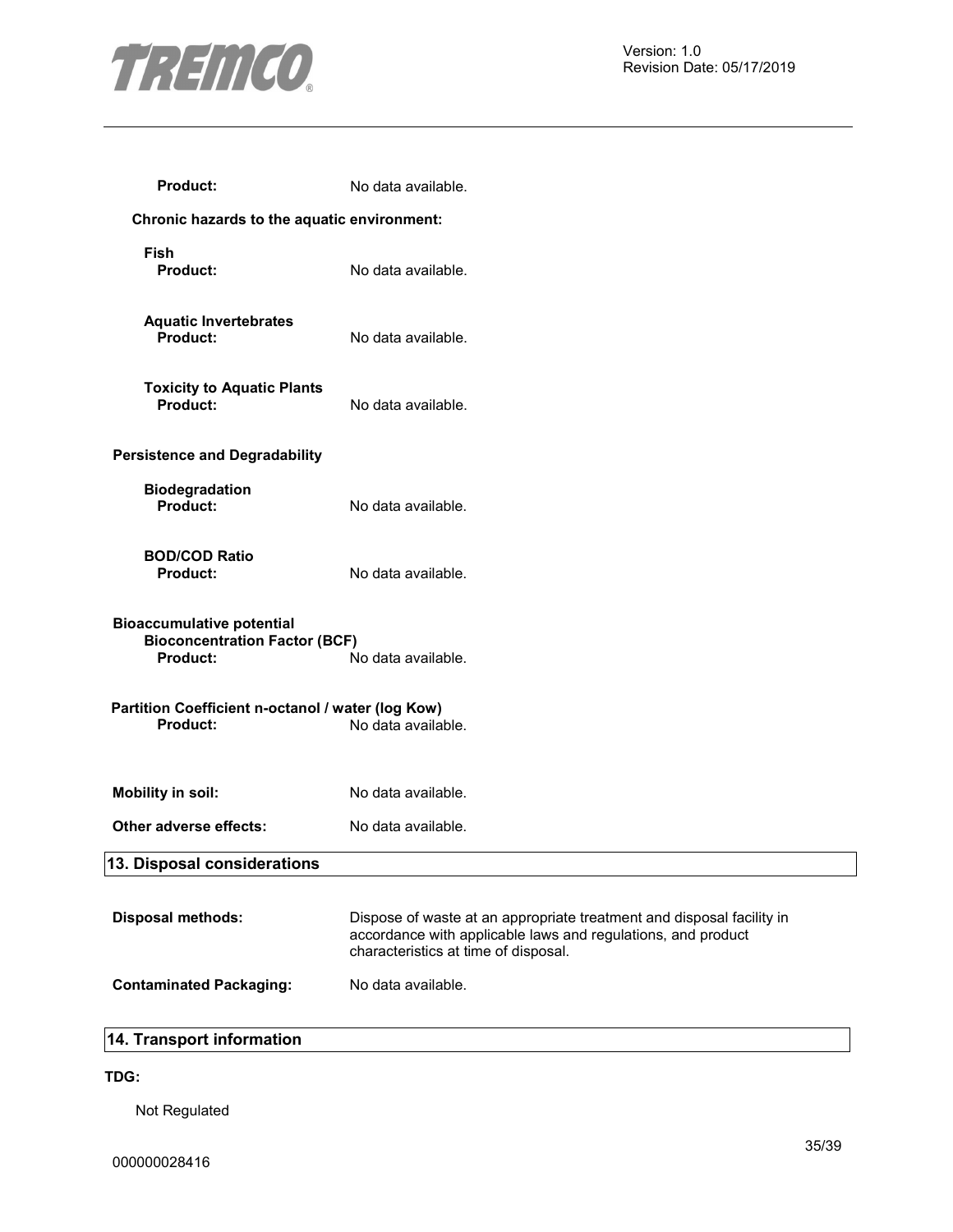

| <b>Product:</b>                                                                                                   | No data available.                                                                                                                                                            |  |
|-------------------------------------------------------------------------------------------------------------------|-------------------------------------------------------------------------------------------------------------------------------------------------------------------------------|--|
| Chronic hazards to the aquatic environment:                                                                       |                                                                                                                                                                               |  |
| Fish<br><b>Product:</b>                                                                                           | No data available.                                                                                                                                                            |  |
| <b>Aquatic Invertebrates</b><br>Product:                                                                          | No data available.                                                                                                                                                            |  |
| <b>Toxicity to Aquatic Plants</b><br><b>Product:</b>                                                              | No data available.                                                                                                                                                            |  |
| <b>Persistence and Degradability</b>                                                                              |                                                                                                                                                                               |  |
| <b>Biodegradation</b><br>Product:                                                                                 | No data available.                                                                                                                                                            |  |
| <b>BOD/COD Ratio</b><br><b>Product:</b>                                                                           | No data available.                                                                                                                                                            |  |
| <b>Bioaccumulative potential</b><br><b>Bioconcentration Factor (BCF)</b><br><b>Product:</b><br>No data available. |                                                                                                                                                                               |  |
| Partition Coefficient n-octanol / water (log Kow)<br>Product:                                                     | No data available.                                                                                                                                                            |  |
| <b>Mobility in soil:</b>                                                                                          | No data available.                                                                                                                                                            |  |
| Other adverse effects:                                                                                            | No data available.                                                                                                                                                            |  |
| 13. Disposal considerations                                                                                       |                                                                                                                                                                               |  |
| <b>Disposal methods:</b>                                                                                          | Dispose of waste at an appropriate treatment and disposal facility in<br>accordance with applicable laws and regulations, and product<br>characteristics at time of disposal. |  |
| <b>Contaminated Packaging:</b>                                                                                    | No data available.                                                                                                                                                            |  |
|                                                                                                                   |                                                                                                                                                                               |  |

#### **14. Transport information**

#### **TDG:**

Not Regulated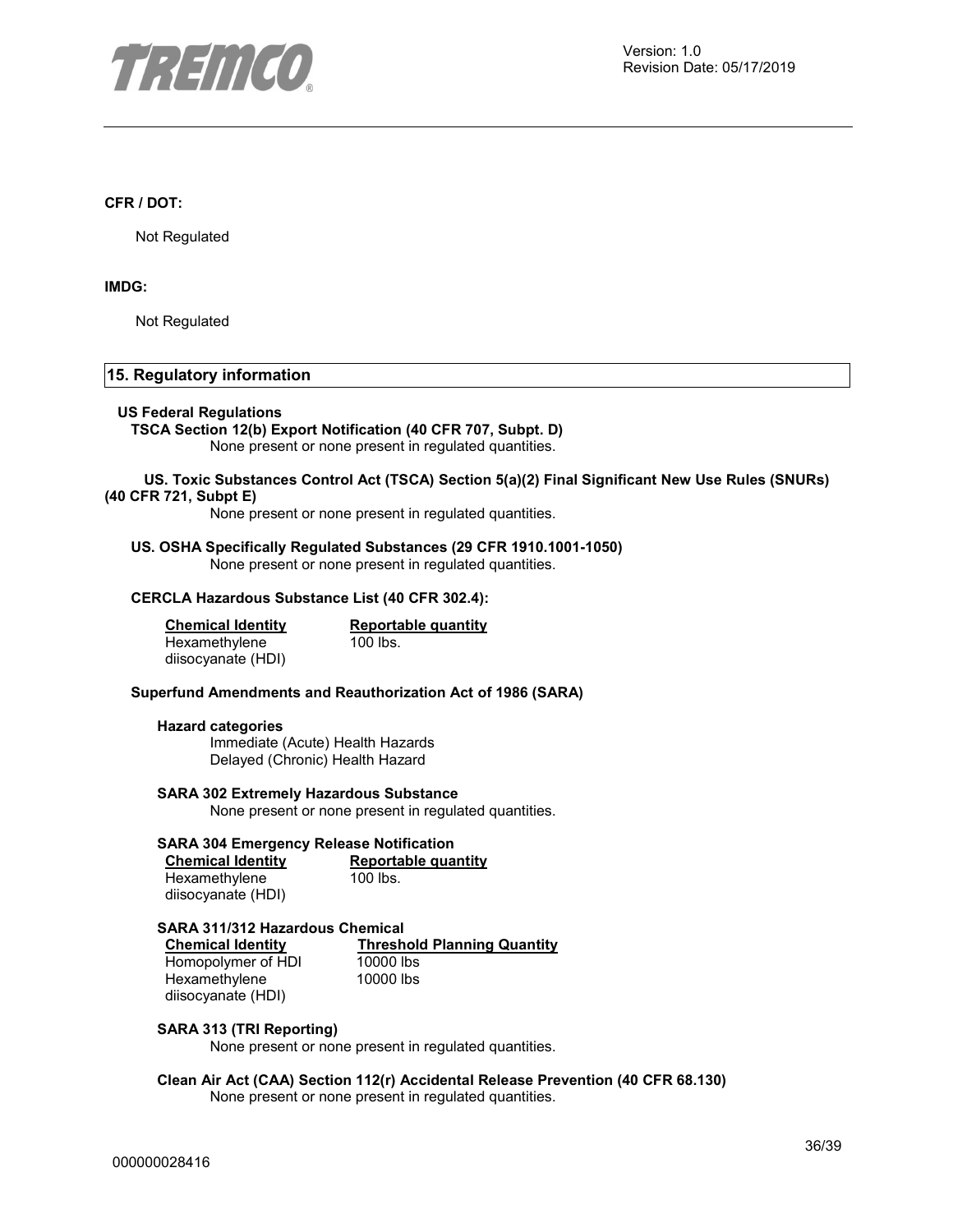

#### **CFR / DOT:**

Not Regulated

#### **IMDG:**

Not Regulated

#### **15. Regulatory information**

#### **US Federal Regulations**

**TSCA Section 12(b) Export Notification (40 CFR 707, Subpt. D)**  None present or none present in regulated quantities.

#### **US. Toxic Substances Control Act (TSCA) Section 5(a)(2) Final Significant New Use Rules (SNURs) (40 CFR 721, Subpt E)**

None present or none present in regulated quantities.

#### **US. OSHA Specifically Regulated Substances (29 CFR 1910.1001-1050)**  None present or none present in regulated quantities.

#### **CERCLA Hazardous Substance List (40 CFR 302.4):**

| <b>Chemical Identity</b> | Reportable quantity |
|--------------------------|---------------------|
| Hexamethylene            | $100$ lbs.          |
| diisocyanate (HDI)       |                     |

#### **Superfund Amendments and Reauthorization Act of 1986 (SARA)**

#### **Hazard categories**

Immediate (Acute) Health Hazards Delayed (Chronic) Health Hazard

#### **SARA 302 Extremely Hazardous Substance**

None present or none present in regulated quantities.

#### **SARA 304 Emergency Release Notification**

| <b>Chemical Identity</b> | Reportable quantity |
|--------------------------|---------------------|
| Hexamethylene            | 100 lbs.            |
| diisocyanate (HDI)       |                     |

**SARA 311/312 Hazardous Chemical Threshold Planning Quantity**<br>10000 lbs Homopolymer of HDI Hexamethylene diisocyanate (HDI) 10000 lbs

#### **SARA 313 (TRI Reporting)**

None present or none present in regulated quantities.

#### **Clean Air Act (CAA) Section 112(r) Accidental Release Prevention (40 CFR 68.130)**  None present or none present in regulated quantities.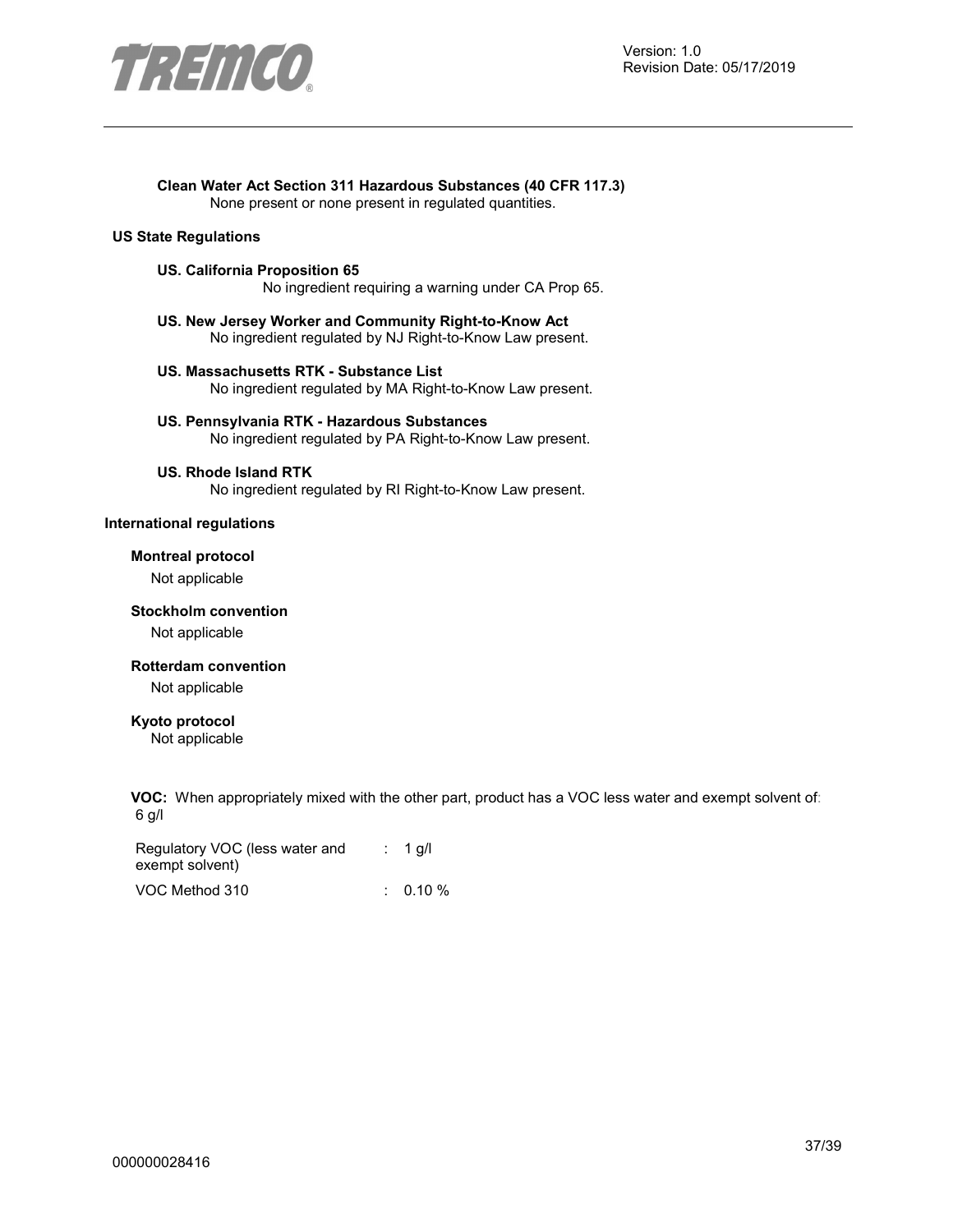

## **Clean Water Act Section 311 Hazardous Substances (40 CFR 117.3)**

None present or none present in regulated quantities.

#### **US State Regulations**

#### **US. California Proposition 65**

No ingredient requiring a warning under CA Prop 65.

- **US. New Jersey Worker and Community Right-to-Know Act**  No ingredient regulated by NJ Right-to-Know Law present.
- **US. Massachusetts RTK Substance List**  No ingredient regulated by MA Right-to-Know Law present.
- **US. Pennsylvania RTK Hazardous Substances**  No ingredient regulated by PA Right-to-Know Law present.

#### **US. Rhode Island RTK**

No ingredient regulated by RI Right-to-Know Law present.

#### **International regulations**

#### **Montreal protocol**

Not applicable

#### **Stockholm convention**

Not applicable

#### **Rotterdam convention**

Not applicable

#### **Kyoto protocol**

Not applicable

**VOC:** When appropriately mixed with the other part, product has a VOC less water and exempt solvent of: 6 g/l

| Regulatory VOC (less water and | $: 1$ q/l  |
|--------------------------------|------------|
| exempt solvent)                |            |
| VOC Method 310                 | $0.10\ \%$ |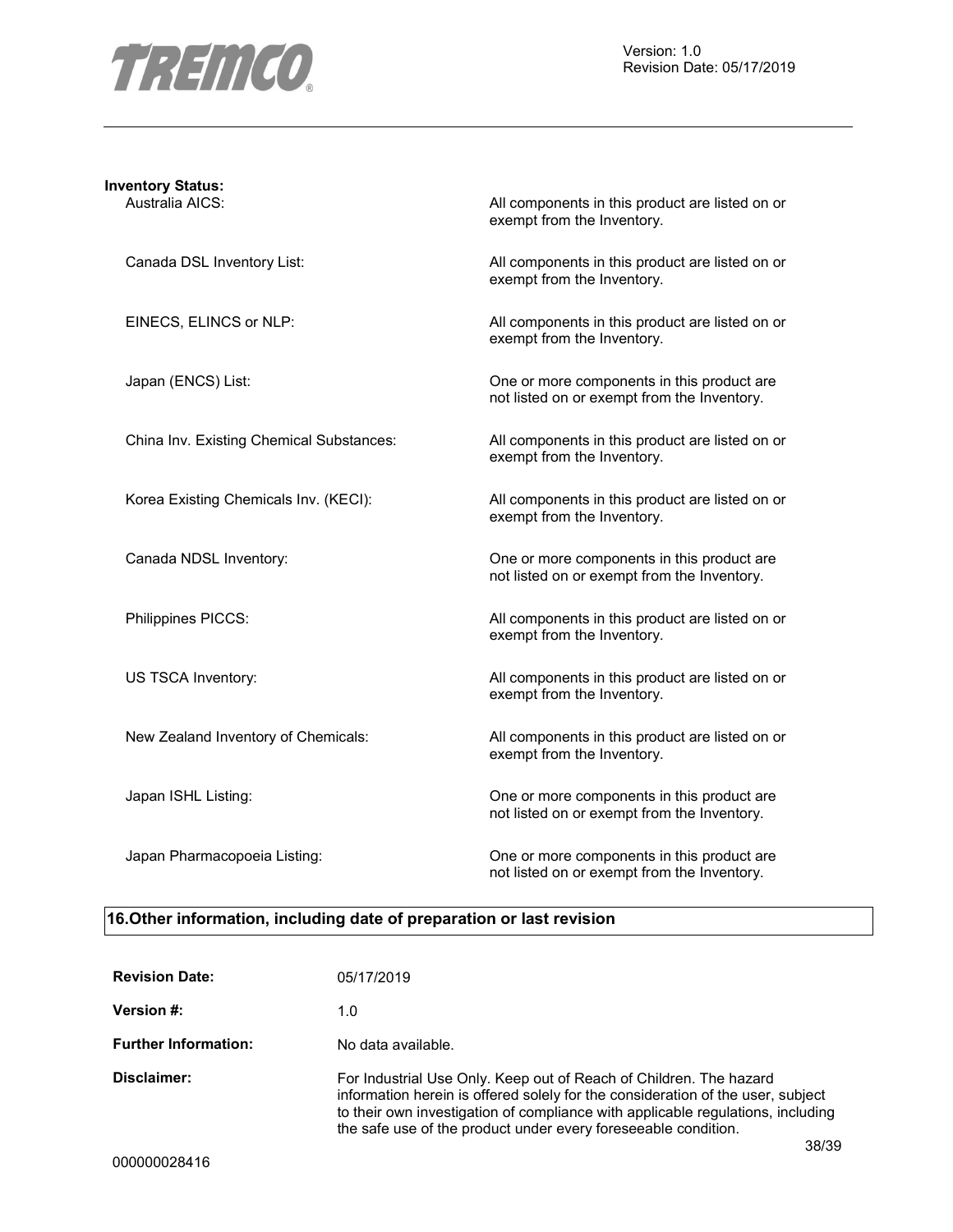

## **Inventory Status:**

Australia AICS: Australia AICS: All components in this product are listed on or exempt from the Inventory.

Canada DSL Inventory List: All components in this product are listed on or exempt from the Inventory.

EINECS, ELINCS or NLP:  $\qquad \qquad$  All components in this product are listed on or exempt from the Inventory.

Japan (ENCS) List: One or more components in this product are not listed on or exempt from the Inventory.

China Inv. Existing Chemical Substances: All components in this product are listed on or exempt from the Inventory.

Korea Existing Chemicals Inv. (KECI): All components in this product are listed on or exempt from the Inventory.

Canada NDSL Inventory: One or more components in this product are not listed on or exempt from the Inventory.

Philippines PICCS: and the state of the All components in this product are listed on or exempt from the Inventory.

US TSCA Inventory: example a set of the All components in this product are listed on or exempt from the Inventory.

New Zealand Inventory of Chemicals: All components in this product are listed on or exempt from the Inventory.

Japan ISHL Listing: One or more components in this product are not listed on or exempt from the Inventory.

Japan Pharmacopoeia Listing: One or more components in this product are not listed on or exempt from the Inventory.

#### **16.Other information, including date of preparation or last revision**

| <b>Revision Date:</b>       | 05/17/2019                                                                                                                                                                                                                                                                                                          |
|-----------------------------|---------------------------------------------------------------------------------------------------------------------------------------------------------------------------------------------------------------------------------------------------------------------------------------------------------------------|
| Version #:                  | 1.0                                                                                                                                                                                                                                                                                                                 |
| <b>Further Information:</b> | No data available.                                                                                                                                                                                                                                                                                                  |
| Disclaimer:                 | For Industrial Use Only. Keep out of Reach of Children. The hazard<br>information herein is offered solely for the consideration of the user, subject<br>to their own investigation of compliance with applicable regulations, including<br>the safe use of the product under every foreseeable condition.<br>38/39 |